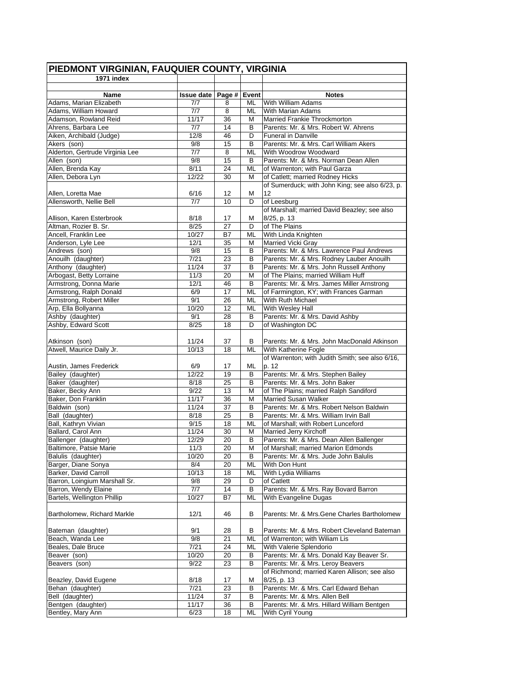| PIEDMONT VIRGINIAN, FAUQUIER COUNTY, VIRGINIA |                          |                   |           |                                                                       |  |  |  |
|-----------------------------------------------|--------------------------|-------------------|-----------|-----------------------------------------------------------------------|--|--|--|
| $1971$ index                                  |                          |                   |           |                                                                       |  |  |  |
|                                               |                          |                   |           |                                                                       |  |  |  |
| <b>Name</b><br>Adams, Marian Elizabeth        | <b>Issue date</b><br>7/7 | Page # Event<br>8 | ML        | <b>Notes</b><br>With William Adams                                    |  |  |  |
| Adams, William Howard                         | 7/7                      | 8                 | ML        | With Marian Adams                                                     |  |  |  |
| Adamson, Rowland Reid                         | 11/17                    | 36                | М         | Married Frankie Throckmorton                                          |  |  |  |
| Ahrens, Barbara Lee                           | 7/7                      | 14                | В         | Parents: Mr. & Mrs. Robert W. Ahrens                                  |  |  |  |
| Aiken, Archibald (Judge)                      | 12/8                     | 46                | D         | <b>Funeral in Danville</b>                                            |  |  |  |
| Akers (son)                                   | 9/8                      | 15                | B         | Parents: Mr. & Mrs. Carl William Akers                                |  |  |  |
| Alderton, Gertrude Virginia Lee               | 7/7                      | 8                 | ML        | With Woodrow Woodward                                                 |  |  |  |
| Allen (son)                                   | 9/8                      | 15                | в         | Parents: Mr. & Mrs. Norman Dean Allen                                 |  |  |  |
| Allen, Brenda Kay                             | 8/11                     | 24                | <b>ML</b> | of Warrenton; with Paul Garza                                         |  |  |  |
| Allen, Debora Lyn                             | 12/22                    | 30                | M         | of Catlett; married Rodney Hicks                                      |  |  |  |
|                                               |                          |                   |           | of Sumerduck; with John King; see also 6/23, p.                       |  |  |  |
| Allen, Loretta Mae                            | 6/16                     | 12                | М         | 12                                                                    |  |  |  |
| Allensworth, Nellie Bell                      | 7/7                      | 10                | D         | of Leesburg                                                           |  |  |  |
|                                               |                          |                   |           | of Marshall; married David Beazley; see also                          |  |  |  |
| Allison, Karen Esterbrook                     | 8/18                     | 17                | М         | 8/25, p. 13                                                           |  |  |  |
| Altman, Rozier B. Sr.                         | 8/25                     | 27                | D         | of The Plains                                                         |  |  |  |
| Ancell, Franklin Lee                          | 10/27                    | B7                | ML        | With Linda Knighten                                                   |  |  |  |
| Anderson, Lyle Lee                            | 12/1                     | 35                | м         | <b>Married Vicki Gray</b>                                             |  |  |  |
| Andrews (son)                                 | 9/8                      | 15                | в         | Parents: Mr. & Mrs. Lawrence Paul Andrews                             |  |  |  |
| Anouilh (daughter)                            | 7/21                     | 23                | B         | Parents: Mr. & Mrs. Rodney Lauber Anouilh                             |  |  |  |
| Anthony (daughter)                            | 11/24                    | 37                | B         | Parents: Mr. & Mrs. John Russell Anthony                              |  |  |  |
| Arbogast, Betty Lorraine                      | 11/3                     | 20                | M         | of The Plains; married William Huff                                   |  |  |  |
| Armstrong, Donna Marie                        | 12/1                     | 46                | В         | Parents: Mr. & Mrs. James Miller Arnstrong                            |  |  |  |
| Armstrong, Ralph Donald                       | 6/9                      | 17                | ML        | of Farmington, KY; with Frances Garman                                |  |  |  |
| Armstrong, Robert Miller                      | 9/1                      | 26                | ML        | With Ruth Michael                                                     |  |  |  |
| Arp, Ella Bollyanna                           | 10/20                    | 12                | ML        | With Wesley Hall                                                      |  |  |  |
| Ashby (daughter)                              | 9/1                      | 28                | в         | Parents: Mr. & Mrs. David Ashby                                       |  |  |  |
| Ashby, Edward Scott                           | 8/25                     | 18                | D         | of Washington DC                                                      |  |  |  |
|                                               |                          |                   |           |                                                                       |  |  |  |
| Atkinson (son)                                | 11/24                    | 37                | B         | Parents: Mr. & Mrs. John MacDonald Atkinson                           |  |  |  |
| Atwell, Maurice Daily Jr.                     | 10/13                    | 18                | ML        | With Katherine Fogle                                                  |  |  |  |
|                                               |                          |                   |           | of Warrenton; with Judith Smith; see also 6/16,                       |  |  |  |
| Austin, James Frederick                       | 6/9                      | 17                | ML        | p. 12                                                                 |  |  |  |
| Bailey (daughter)<br>Baker (daughter)         | 12/22                    | 19                | В         | Parents: Mr. & Mrs. Stephen Bailey                                    |  |  |  |
| Baker, Becky Ann                              | 8/18<br>9/22             | 25<br>13          | В<br>М    | Parents: Mr. & Mrs. John Baker                                        |  |  |  |
| Baker, Don Franklin                           | 11/17                    | 36                | М         | of The Plains; married Ralph Sandiford<br><b>Married Susan Walker</b> |  |  |  |
| Baldwin (son)                                 | 11/24                    | 37                | в         | Parents: Mr. & Mrs. Robert Nelson Baldwin                             |  |  |  |
| Ball (daughter)                               | 8/18                     | 25                | B         | Parents: Mr. & Mrs. William Irvin Ball                                |  |  |  |
| Ball, Kathryn Vivian                          | 9/15                     | 18                | ML        | of Marshall; with Robert Lunceford                                    |  |  |  |
| Ballard, Carol Ann                            | 11/24                    | 30                | M         | Married Jerry Kirchoff                                                |  |  |  |
| Ballenger (daughter)                          | 12/29                    | 20                | B         | Parents: Mr. & Mrs. Dean Allen Ballenger                              |  |  |  |
| Baltimore, Patsie Marie                       | 11/3                     | 20                | M         | of Marshall; married Marion Edmonds                                   |  |  |  |
| Balulis (daughter)                            | 10/20                    | 20                | В         | Parents: Mr. & Mrs. Jude John Balulis                                 |  |  |  |
| Barger, Diane Sonya                           | 8/4                      | 20                | ML        | With Don Hunt                                                         |  |  |  |
| Barker, David Carroll                         | 10/13                    | 18                | ML        | With Lydia Williams                                                   |  |  |  |
| Barron, Loingium Marshall Sr.                 | 9/8                      | 29                | D         | of Catlett                                                            |  |  |  |
| Barron, Wendy Elaine                          | 7/7                      | 14                | В         | Parents: Mr. & Mrs. Ray Bovard Barron                                 |  |  |  |
| Bartels, Wellington Phillip                   | 10/27                    | B7                | ML        | With Evangeline Dugas                                                 |  |  |  |
|                                               |                          |                   |           |                                                                       |  |  |  |
| Bartholomew, Richard Markle                   | 12/1                     | 46                | B         | Parents: Mr. & Mrs. Gene Charles Bartholomew                          |  |  |  |
|                                               |                          |                   |           |                                                                       |  |  |  |
| Bateman (daughter)                            | 9/1                      | 28                | в         | Parents: Mr. & Mrs. Robert Cleveland Bateman                          |  |  |  |
| Beach, Wanda Lee                              | 9/8                      | 21                | <b>ML</b> | of Warrenton; with Wiliam Lis                                         |  |  |  |
| Beales, Dale Bruce                            | 7/21                     | 24                | ML        | With Valerie Splendorio                                               |  |  |  |
| Beaver (son)                                  | 10/20                    | 20                | В         | Parents: Mr. & Mrs. Donald Kay Beaver Sr.                             |  |  |  |
| Beavers (son)                                 | 9/22                     | 23                | В         | Parents: Mr. & Mrs. Leroy Beavers                                     |  |  |  |
|                                               |                          |                   |           | of Richmond; married Karen Allison; see also                          |  |  |  |
| Beazley, David Eugene                         | 8/18                     | 17                | М         | 8/25, p. 13                                                           |  |  |  |
| Behan (daughter)                              | 7/21                     | 23                | в         | Parents: Mr. & Mrs. Carl Edward Behan                                 |  |  |  |
| Bell (daughter)                               | 11/24                    | 37                | В         | Parents: Mr. & Mrs. Allen Bell                                        |  |  |  |
| Bentgen (daughter)                            | 11/17                    | 36                | в         | Parents: Mr. & Mrs. Hillard William Bentgen                           |  |  |  |
| Bentley, Mary Ann                             | 6/23                     | 18                | <b>ML</b> | With Cyril Young                                                      |  |  |  |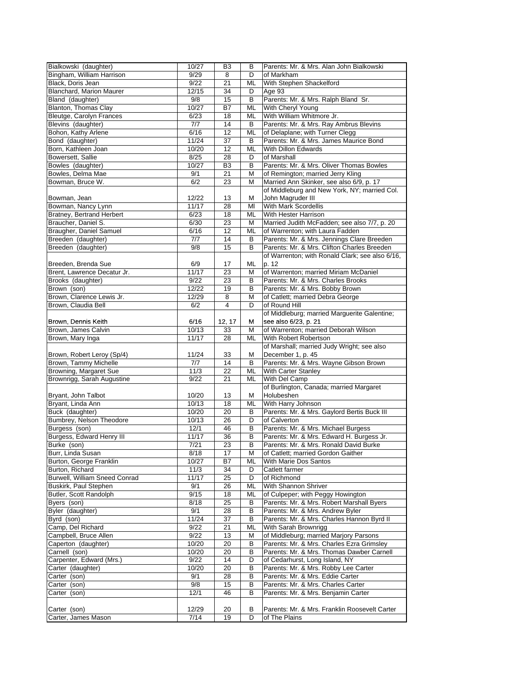| Bialkowski (daughter)         | 10/27 | B <sub>3</sub>  | В  | Parents: Mr. & Mrs. Alan John Bialkowski        |
|-------------------------------|-------|-----------------|----|-------------------------------------------------|
| Bingham, William Harrison     | 9/29  | 8               | D  | of Markham                                      |
| Black, Doris Jean             | 9/22  | 21              | ML | With Stephen Shackelford                        |
| Blanchard, Marion Maurer      | 12/15 | 34              | D  | Age 93                                          |
| Bland (daughter)              | 9/8   | 15              | B  | Parents: Mr. & Mrs. Ralph Bland Sr.             |
|                               |       |                 |    |                                                 |
| Blanton, Thomas Clay          | 10/27 | B7              | ML | With Cheryl Young                               |
| Bleutge, Carolyn Frances      | 6/23  | 18              | ML | With William Whitmore Jr.                       |
| Blevins (daughter)            | 7/7   | 14              | B  | Parents: Mr. & Mrs. Ray Ambrus Blevins          |
| Bohon, Kathy Arlene           | 6/16  | $\overline{12}$ | ML | of Delaplane; with Turner Clegg                 |
| Bond (daughter)               | 11/24 | 37              | B  | Parents: Mr. & Mrs. James Maurice Bond          |
| Born, Kathleen Joan           | 10/20 | 12              | ML | With Dillon Edwards                             |
| Bowersett, Sallie             | 8/25  | 28              | D  | of Marshall                                     |
| Bowles (daughter)             | 10/27 | B <sub>3</sub>  | B  | Parents: Mr. & Mrs. Oliver Thomas Bowles        |
| Bowles, Delma Mae             | 9/1   | 21              | M  | of Remington; married Jerry Kling               |
| Bowman, Bruce W.              | 6/2   | 23              | M  | Married Ann Skinker, see also 6/9, p. 17        |
|                               |       |                 |    |                                                 |
|                               |       |                 |    | of Middleburg and New York, NY; married Col.    |
| Bowman, Jean                  | 12/22 | 13              | M  | John Magruder III                               |
| Bowman, Nancy Lynn            | 11/17 | 28              | MI | With Mark Scordellis                            |
| Bratney, Bertrand Herbert     | 6/23  | 18              | ML | With Hester Harrison                            |
| Braucher, Daniel S.           | 6/30  | 23              | M  | Married Judith McFadden; see also 7/7, p. 20    |
| Braugher, Daniel Samuel       | 6/16  | 12              | ML | of Warrenton; with Laura Fadden                 |
| Breeden (daughter)            | 7/7   | 14              | В  | Parents: Mr. & Mrs. Jennings Clare Breeden      |
| Breeden (daughter)            | 9/8   | 15              | B  | Parents: Mr. & Mrs. Clifton Charles Breeden     |
|                               |       |                 |    | of Warrenton; with Ronald Clark; see also 6/16, |
|                               |       |                 |    |                                                 |
| Breeden, Brenda Sue           | 6/9   | 17              | ML | p. 12                                           |
| Brent, Lawrence Decatur Jr.   | 11/17 | 23              | М  | of Warrenton: married Miriam McDaniel           |
| Brooks (daughter)             | 9/22  | 23              | В  | Parents: Mr. & Mrs. Charles Brooks              |
| Brown (son)                   | 12/22 | 19              | В  | Parents: Mr. & Mrs. Bobby Brown                 |
| Brown, Clarence Lewis Jr.     | 12/29 | 8               | М  | of Catlett; married Debra George                |
| Brown, Claudia Bell           | 6/2   | $\overline{4}$  | D  | of Round Hill                                   |
|                               |       |                 |    | of Middleburg; married Marguerite Galentine;    |
| Brown, Dennis Keith           | 6/16  | 12, 17          | м  | see also 6/23, p. 21                            |
| Brown, James Calvin           | 10/13 | 33              | М  | of Warrenton; married Deborah Wilson            |
| Brown, Mary Inga              | 11/17 | 28              | ML | With Robert Robertson                           |
|                               |       |                 |    |                                                 |
|                               |       |                 |    | of Marshall; married Judy Wright; see also      |
| Brown, Robert Leroy (Sp/4)    | 11/24 | 33              | M  | December 1, p. 45                               |
| Brown, Tammy Michelle         | 7/7   | 14              | B  | Parents: Mr. & Mrs. Wayne Gibson Brown          |
| Browning, Margaret Sue        | 11/3  | 22              | ML | With Carter Stanley                             |
| Brownrigg, Sarah Augustine    | 9/22  | 21              | ML | With Del Camp                                   |
|                               |       |                 |    | of Burlington, Canada; married Margaret         |
| Bryant, John Talbot           | 10/20 | 13              | м  | Holubeshen                                      |
| Bryant, Linda Ann             | 10/13 | 18              | ML | With Harry Johnson                              |
| Buck (daughter)               | 10/20 | 20              | В  | Parents: Mr. & Mrs. Gaylord Bertis Buck III     |
| Bumbrey, Nelson Theodore      | 10/13 | 26              | D  | of Calverton                                    |
|                               |       |                 |    |                                                 |
| Burgess (son)                 | 12/1  | 46              | В  | Parents: Mr. & Mrs. Michael Burgess             |
| Burgess, Edward Henry III     | 11/17 | 36              | B  | Parents: Mr. & Mrs. Edward H. Burgess Jr.       |
| Burke (son)                   | 7/21  | 23              | B  | Parents: Mr. & Mrs. Ronald David Burke          |
| Burr, Linda Susan             | 8/18  | 1/              | M  | of Catlett; married Gordon Gaither              |
| Burton, George Franklin       | 10/27 | B7              | ML | With Marie Dos Santos                           |
| Burton, Richard               | 11/3  | 34              | D  | Catlett farmer                                  |
| Burwell, William Sneed Conrad | 11/17 | 25              | D  | of Richmond                                     |
| Buskirk, Paul Stephen         | 9/1   | 26              | ML | With Shannon Shriver                            |
|                               | 9/15  | 18              |    | of Culpeper; with Peggy Howington               |
| Butler, Scott Randolph        |       |                 | ML |                                                 |
| Byers (son)                   | 8/18  | 25              | В  | Parents: Mr. & Mrs. Robert Marshall Byers       |
| Byler (daughter)              | 9/1   | 28              | в  | Parents: Mr. & Mrs. Andrew Byler                |
| Byrd (son)                    | 11/24 | 37              | B  | Parents: Mr. & Mrs. Charles Hannon Byrd II      |
| Camp, Del Richard             | 9/22  | 21              | ML | With Sarah Brownrigg                            |
| Campbell, Bruce Allen         | 9/22  | 13              | М  | of Middleburg; married Marjory Parsons          |
| Caperton (daughter)           | 10/20 | 20              | в  | Parents: Mr. & Mrs. Charles Ezra Grimsley       |
| Carnell (son)                 | 10/20 | 20              | В  | Parents: Mr. & Mrs. Thomas Dawber Carnell       |
| Carpenter, Edward (Mrs.)      | 9/22  | 14              | D  | of Cedarhurst, Long Island, NY                  |
| Carter (daughter)             | 10/20 | 20              | В  | Parents: Mr. & Mrs. Robby Lee Carter            |
|                               |       |                 |    |                                                 |
| Carter (son)                  | 9/1   | 28              | в  | Parents: Mr. & Mrs. Eddie Carter                |
| Carter (son)                  | 9/8   | 15              | B  | Parents: Mr. & Mrs. Charles Carter              |
| Carter (son)                  | 12/1  | 46              | В  | Parents: Mr. & Mrs. Benjamin Carter             |
|                               |       |                 |    |                                                 |
| Carter (son)                  | 12/29 | 20              | В  | Parents: Mr. & Mrs. Franklin Roosevelt Carter   |
| Carter, James Mason           | 7/14  | 19              | D  | of The Plains                                   |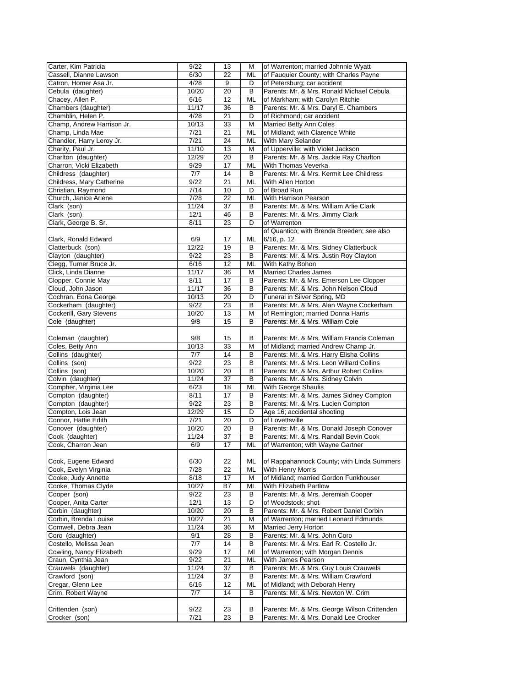| Carter, Kim Patricia              | 9/22         | 13       | M         | of Warrenton; married Johnnie Wyatt                                                    |
|-----------------------------------|--------------|----------|-----------|----------------------------------------------------------------------------------------|
| Cassell, Dianne Lawson            | 6/30         | 22       | ML        | of Fauguier County; with Charles Payne                                                 |
| Catron, Homer Asa Jr.             | 4/28         | 9        | D         | of Petersburg; car accident                                                            |
|                                   |              |          |           |                                                                                        |
| Cebula (daughter)                 | 10/20        | 20       | B         | Parents: Mr. & Mrs. Ronald Michael Cebula                                              |
| Chacey, Allen P.                  | 6/16         | 12       | ML        | of Markham; with Carolyn Ritchie                                                       |
| Chambers (daughter)               | 11/17        | 36       | в         | Parents: Mr. & Mrs. Daryl E. Chambers                                                  |
| Chamblin, Helen P.                | 4/28         | 21       | D         | of Richmond: car accident                                                              |
| Champ, Andrew Harrison Jr.        | 10/13        | 33       | М         | Married Betty Ann Coles                                                                |
| Champ, Linda Mae                  | 7/21         | 21       | ML        | of Midland; with Clarence White                                                        |
| Chandler, Harry Leroy Jr.         | 7/21         | 24       | ML        | With Mary Selander                                                                     |
| Charity, Paul Jr.                 | 11/10        | 13       | M         | of Upperville; with Violet Jackson                                                     |
| Charlton (daughter)               | 12/29        | 20       | В         | Parents: Mr. & Mrs. Jackie Ray Charlton                                                |
|                                   |              |          |           |                                                                                        |
| Charron, Vicki Elizabeth          | 9/29         | 17       | ML        | With Thomas Veverka                                                                    |
| Childress (daughter)              | 7/7          | 14       | В         | Parents: Mr. & Mrs. Kermit Lee Childress                                               |
| Childress, Mary Catherine         | 9/22         | 21       | ML        | With Allen Horton                                                                      |
| Christian, Raymond                | 7/14         | 10       | D         | of Broad Run                                                                           |
| Church, Janice Arlene             | 7/28         | 22       | ML        | With Harrison Pearson                                                                  |
| Clark (son)                       | 11/24        | 37       | В         | Parents: Mr. & Mrs. William Arlie Clark                                                |
| Clark (son)                       | 12/1         | 46       | В         | Parents: Mr. & Mrs. Jimmy Clark                                                        |
| Clark, George B. Sr.              | 8/11         | 23       | D         | of Warrenton                                                                           |
|                                   |              |          |           | of Quantico; with Brenda Breeden; see also                                             |
| Clark, Ronald Edward              | 6/9          | 17       |           | 6/16, p. 12                                                                            |
|                                   |              |          | ML        |                                                                                        |
| Clatterbuck (son)                 | 12/22        | 19       | В         | Parents: Mr. & Mrs. Sidney Clatterbuck                                                 |
| Clayton (daughter)                | 9/22         | 23       | В         | Parents: Mr. & Mrs. Justin Roy Clayton                                                 |
| Clegg, Turner Bruce Jr.           | 6/16         | 12       | ML        | With Kathy Bohon                                                                       |
| Click, Linda Dianne               | 11/17        | 36       | М         | Married Charles James                                                                  |
| Clopper, Connie May               | 8/11         | 17       | В         | Parents: Mr. & Mrs. Emerson Lee Clopper                                                |
| Cloud, John Jason                 | 11/17        | 36       | В         | Parents: Mr. & Mrs. John Nelson Cloud                                                  |
| Cochran, Edna George              | 10/13        | 20       | D         | Funeral in Silver Spring, MD                                                           |
| Cockerham (daughter)              | 9/22         | 23       | В         | Parents: Mr. & Mrs. Alan Wayne Cockerham                                               |
|                                   |              |          |           |                                                                                        |
| Cockerill, Gary Stevens           | 10/20        | 13       | M         | of Remington; married Donna Harris                                                     |
| Cole (daughter)                   | 9/8          | 15       | в         | Parents: Mr. & Mrs. William Cole                                                       |
|                                   |              |          |           |                                                                                        |
| Coleman (daughter)                | 9/8          | 15       | В         | Parents: Mr. & Mrs. William Francis Coleman                                            |
| Coles, Betty Ann                  | 10/13        | 33       | М         | of Midland; married Andrew Champ Jr.                                                   |
| Collins (daughter)                |              |          |           |                                                                                        |
|                                   | 7/7          | 14       | В         | Parents: Mr. & Mrs. Harry Elisha Collins                                               |
|                                   |              |          |           |                                                                                        |
| Collins (son)                     | 9/22         | 23       | B         | Parents: Mr. & Mrs. Leon Willard Collins                                               |
| Collins (son)                     | 10/20        | 20       | B         | Parents: Mr. & Mrs. Arthur Robert Collins                                              |
| Colvin (daughter)                 | 11/24        | 37       | В         | Parents: Mr. & Mrs. Sidney Colvin                                                      |
| Compher, Virginia Lee             | 6/23         | 18       | ML        | With George Shaulis                                                                    |
| Compton (daughter)                | 8/11         | 17       | В         | Parents: Mr. & Mrs. James Sidney Compton                                               |
| Compton (daughter)                | 9/22         | 23       | В         | Parents: Mr. & Mrs. Lucien Compton                                                     |
| Compton, Lois Jean                | 12/29        | 15       | D         | Age 16; accidental shooting                                                            |
| Connor, Hattie Edith              | 7/21         | 20       | D         | of Lovettsville                                                                        |
| Conover (daughter)                | 10/20        | 20       | В         | Parents: Mr. & Mrs. Donald Joseph Conover                                              |
|                                   |              |          |           | Parents: Mr. & Mrs. Randall Bevin Cook                                                 |
| Cook (daughter)                   | 11/24        | 37       | В         |                                                                                        |
| Cook, Charron Jean                | 6/9          | 17       | <b>ML</b> | of Warrenton; with Wayne Gartner                                                       |
|                                   |              |          |           |                                                                                        |
| Cook, Eugene Edward               | 6/30         | 22       | ML        | of Rappahannock County; with Linda Summers                                             |
| Cook, Evelyn Virginia             | 7/28         | 22       | ML        | With Henry Morris                                                                      |
| Cooke, Judy Annette               | 8/18         | 17       | M         | of Midland; married Gordon Funkhouser                                                  |
| Cooke, Thomas Clyde               | 10/27        | B7       | ML        | With Elizabeth Partlow                                                                 |
| Cooper (son)                      | 9/22         | 23       | В         | Parents: Mr. & Mrs. Jeremiah Cooper                                                    |
| Cooper, Anita Carter              | 12/1         | 13       | D         | of Woodstock; shot                                                                     |
|                                   |              | 20       | в         | Parents: Mr. & Mrs. Robert Daniel Corbin                                               |
| Corbin (daughter)                 | 10/20        |          |           |                                                                                        |
| Corbin, Brenda Louise             | 10/27        | 21       | M         | of Warrenton; married Leonard Edmunds                                                  |
| Cornwell, Debra Jean              | 11/24        | 36       | М         | <b>Married Jerry Horton</b>                                                            |
| Coro (daughter)                   | 9/1          | 28       | в         | Parents: Mr. & Mrs. John Coro                                                          |
| Costello, Melissa Jean            | 7/7          | 14       | В         | Parents: Mr. & Mrs. Earl R. Costello Jr.                                               |
| Cowling, Nancy Elizabeth          | 9/29         | 17       | MI        | of Warrenton; with Morgan Dennis                                                       |
| Craun, Cynthia Jean               | 9/22         | 21       | ML        | With James Pearson                                                                     |
| Crauwels (daughter)               | 11/24        | 37       | в         | Parents: Mr. & Mrs. Guy Louis Crauwels                                                 |
| Crawford (son)                    | 11/24        | 37       | B         | Parents: Mr. & Mrs. William Crawford                                                   |
|                                   | 6/16         | 12       | ML        | of Midland; with Deborah Henry                                                         |
| Cregar, Glenn Lee                 |              |          | В         |                                                                                        |
| Crim, Robert Wayne                | 7/7          | 14       |           | Parents: Mr. & Mrs. Newton W. Crim                                                     |
|                                   |              |          |           |                                                                                        |
| Crittenden (son)<br>Crocker (son) | 9/22<br>7/21 | 23<br>23 | в<br>B    | Parents: Mr. & Mrs. George Wilson Crittenden<br>Parents: Mr. & Mrs. Donald Lee Crocker |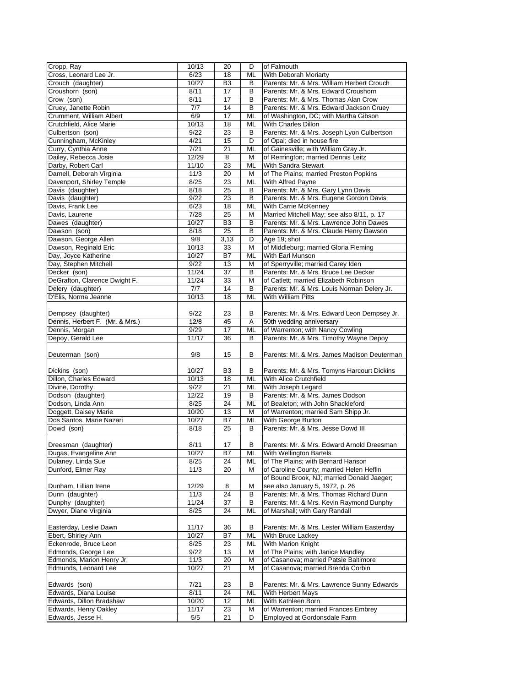| Cropp, Ray                      | 10/13        | 20             | D         | of Falmouth                                                       |
|---------------------------------|--------------|----------------|-----------|-------------------------------------------------------------------|
| Cross, Leonard Lee Jr.          | 6/23         | 18             | ML        | With Deborah Moriarty                                             |
| Crouch (daughter)               | 10/27        | B <sub>3</sub> | B         | Parents: Mr. & Mrs. William Herbert Crouch                        |
| Croushorn (son)                 | 8/11         | 17             | B         | Parents: Mr. & Mrs. Edward Croushorn                              |
| Crow (son)                      | 8/11         | 17             | B         | Parents: Mr. & Mrs. Thomas Alan Crow                              |
| Cruey, Janette Robin            | 7/7          | 14             | B         | Parents: Mr. & Mrs. Edward Jackson Cruey                          |
| Crumment, William Albert        | 6/9          | 17             | ML        | of Washington, DC; with Martha Gibson                             |
| Crutchfield, Alice Marie        | 10/13        | 18             | ML        | With Charles Dillon                                               |
| Culbertson (son)                | 9/22         | 23             | В         | Parents: Mr. & Mrs. Joseph Lyon Culbertson                        |
| Cunningham, McKinley            | 4/21         | 15             | D         | of Opal; died in house fire                                       |
| Curry, Cynthia Anne             | 7/21         | 21             | ML        | of Gainesville; with William Gray Jr.                             |
| Dailey, Rebecca Josie           | 12/29        | 8              | М         | of Remington; married Dennis Leitz                                |
| Darby, Robert Carl              | 11/10        | 23             | ML        | With Sandra Stewart                                               |
| Darnell, Deborah Virginia       | 11/3         | 20             | М         | of The Plains; married Preston Popkins                            |
| Davenport, Shirley Temple       | 8/25         | 23             | ML        | With Alfred Payne                                                 |
| Davis (daughter)                | 8/18         | 25             | В         | Parents: Mr. & Mrs. Gary Lynn Davis                               |
| Davis (daughter)                | 9/22         | 23             | В         | Parents: Mr. & Mrs. Eugene Gordon Davis                           |
| Davis, Frank Lee                | 6/23         | 18             | ML        | With Carrie McKenney                                              |
| Davis, Laurene                  | 7/28         | 25             | М         | Married Mitchell May; see also 8/11, p. 17                        |
| Dawes (daughter)                | 10/27        | B <sub>3</sub> | в         | Parents: Mr. & Mrs. Lawrence John Dawes                           |
| Dawson (son)                    | 8/18         | 25             | В         | Parents: Mr. & Mrs. Claude Henry Dawson                           |
| Dawson, George Allen            | 9/8          | 3,13           | D         | Age 19; shot                                                      |
| Dawson, Reginald Eric           | 10/13        | 33             | M         | of Middleburg; married Gloria Fleming                             |
| Day, Joyce Katherine            | 10/27        | B7             | <b>ML</b> | With Earl Munson                                                  |
| Day, Stephen Mitchell           | 9/22         | 13             | М         | of Sperryville; married Carey Iden                                |
| Decker (son)                    | 11/24        | 37             | В         | Parents: Mr. & Mrs. Bruce Lee Decker                              |
| DeGrafton, Clarence Dwight F.   | 11/24        | 33             | М         | of Catlett; married Elizabeth Robinson                            |
| Delery (daughter)               | 7/7          | 14             | B         |                                                                   |
| D'Elis, Norma Jeanne            | 10/13        | 18             | ML        | Parents: Mr. & Mrs. Louis Norman Delery Jr.<br>With William Pitts |
|                                 |              |                |           |                                                                   |
| Dempsey (daughter)              | 9/22         | 23             | B         | Parents: Mr. & Mrs. Edward Leon Dempsey Jr.                       |
| Dennis, Herbert F. (Mr. & Mrs.) | 12/8         | 45             |           | 50th wedding anniversary                                          |
| Dennis, Morgan                  | 9/29         | 17             | Α<br>ML   | of Warrenton; with Nancy Cowling                                  |
| Depoy, Gerald Lee               | 11/17        | 36             | В         | Parents: Mr. & Mrs. Timothy Wayne Depoy                           |
|                                 |              |                |           |                                                                   |
| Deuterman (son)                 | 9/8          | 15             | В         | Parents: Mr. & Mrs. James Madison Deuterman                       |
|                                 |              |                |           |                                                                   |
| Dickins (son)                   | 10/27        | B3             | В         | Parents: Mr. & Mrs. Tomyns Harcourt Dickins                       |
| Dillon, Charles Edward          | 10/13        | 18             | ML        | With Alice Crutchfield                                            |
| Divine, Dorothy                 | 9/22         | 21             | ML        | With Joseph Legard                                                |
| Dodson (daughter)               | 12/22        | 19             | B         | Parents: Mr. & Mrs. James Dodson                                  |
| Dodson. Linda Ann               | 8/25         | 24             | ML        | of Bealeton; with John Shackleford                                |
| Doggett, Daisey Marie           | 10/20        | 13             | M         | of Warrenton; married Sam Shipp Jr.                               |
| Dos Santos, Marie Nazari        | 10/27        | B7             | <b>ML</b> | With George Burton                                                |
| Dowd (son)                      | 8/18         | 25             | В         | Parents: Mr. & Mrs. Jesse Dowd III                                |
|                                 |              |                |           |                                                                   |
| Dreesman (daughter)             | 8/11         | 17             | B         | Parents: Mr. & Mrs. Edward Arnold Dreesman                        |
| Dugas, Evangeline Ann           | 10/27        | B7             | ML        | With Wellington Bartels                                           |
| Dulaney, Linda Sue              | 8/25         | 24             | ML        | of The Plains; with Bernard Hanson                                |
| Dunford, Elmer Ray              | 11/3         | 20             | М         | of Caroline County; married Helen Heflin                          |
|                                 |              |                |           | of Bound Brook, NJ; married Donald Jaeger;                        |
| Dunham, Lillian Irene           | 12/29        | 8              | M         | see also January 5, 1972, p. 26                                   |
| Dunn (daughter)                 | 11/3         | 24             | В         | Parents: Mr. & Mrs. Thomas Richard Dunn                           |
| Dunphy (daughter)               | 11/24        | 37             | В         | Parents: Mr. & Mrs. Kevin Raymond Dunphy                          |
| Dwyer, Diane Virginia           | 8/25         | 24             | ML        | of Marshall; with Gary Randall                                    |
|                                 |              |                |           |                                                                   |
| Easterday, Leslie Dawn          | 11/17        | 36             | В         | Parents: Mr. & Mrs. Lester William Easterday                      |
| Ebert, Shirley Ann              | 10/27        | B7             | ML        | With Bruce Lackey                                                 |
| Eckenrode, Bruce Leon           |              | 23             | ML        | With Marion Knight                                                |
| Edmonds, George Lee             |              |                |           |                                                                   |
| Edmonds, Marion Henry Jr.       | 8/25         |                |           |                                                                   |
| Edmunds, Leonard Lee            | 9/22<br>11/3 | 13             | M<br>M    | of The Plains; with Janice Mandley                                |
|                                 |              | 20<br>21       | М         | of Casanova; married Patsie Baltimore                             |
|                                 | 10/27        |                |           | of Casanova; married Brenda Corbin                                |
| Edwards (son)                   | 7/21         | 23             | В         | Parents: Mr. & Mrs. Lawrence Sunny Edwards                        |
| Edwards, Diana Louise           | 8/11         | 24             | ML        | With Herbert Mays                                                 |
| Edwards, Dillon Bradshaw        | 10/20        | 12             | ML        | With Kathleen Born                                                |
| Edwards, Henry Oakley           | 11/17        | 23             | M         | of Warrenton; married Frances Embrey                              |
| Edwards, Jesse H.               | 5/5          | 21             | D         | Employed at Gordonsdale Farm                                      |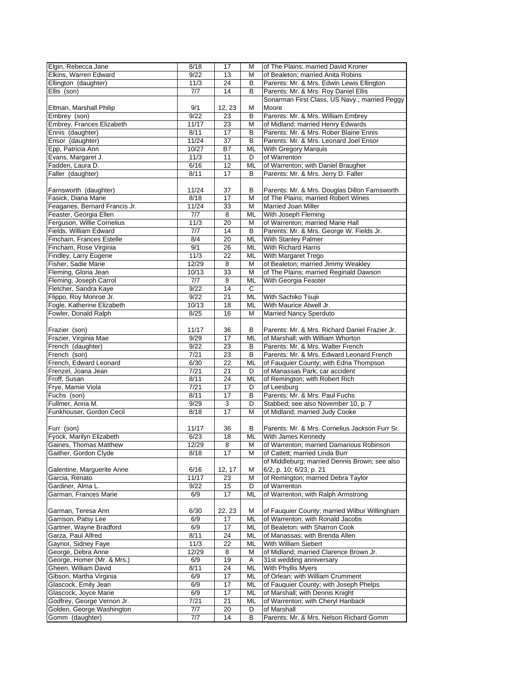| Elgin, Rebecca Jane           | 8/18  | $\overline{17}$ | M  | of The Plains; married David Kroner                    |
|-------------------------------|-------|-----------------|----|--------------------------------------------------------|
| Elkins, Warren Edward         | 9/22  |                 |    | of Bealeton; married Anita Robins                      |
|                               |       | 13              | М  |                                                        |
| Ellington (daughter)          | 11/3  | 24              | В  | Parents: Mr. & Mrs. Edwin Lewis Ellington              |
| Ellis (son)                   | 7/7   | 14              | B  | Parents: Mr. & Mrs. Roy Daniel Ellis                   |
|                               |       |                 |    | Sonarman First Class, US Navy.; married Peggy          |
| Eltman, Marshall Philip       | 9/1   | 12, 23          | М  | Moore                                                  |
|                               |       |                 |    |                                                        |
| Embrey (son)                  | 9/22  | 23              | В  | Parents: Mr. & Mrs. William Embrey                     |
| Embrey, Frances Elizabeth     | 11/17 | 23              | М  | of Midland; married Henry Edwards                      |
| Ennis (daughter)              | 8/11  | 17              | B  | Parents: Mr. & Mrs. Rober Blaine Ennis                 |
| Ensor (daughter)              | 11/24 | 37              | В  | Parents: Mr. & Mrs. Leonard Joel Ensor                 |
|                               |       |                 |    |                                                        |
| Epp, Patricia Ann             | 10/27 | B7              | ML | With Gregory Marquis                                   |
| Evans, Margaret J.            | 11/3  | 11              | D  | of Warrenton                                           |
| Fadden, Laura D.              | 6/16  | 12              | ML | of Warrenton; with Daniel Braugher                     |
| Faller (daughter)             | 8/11  | 17              | B  | Parents: Mr. & Mrs. Jerry D. Faller                    |
|                               |       |                 |    |                                                        |
|                               |       |                 |    |                                                        |
| Farnsworth (daughter)         | 11/24 | 37              | В  | Parents: Mr. & Mrs. Douglas Dillon Farnsworth          |
| Fasick, Diana Marie           | 8/18  | 17              | М  | of The Plains; married Robert Wines                    |
| Feaganes, Bernard Francis Jr. | 11/24 | 33              | M  | <b>Married Joan Miller</b>                             |
|                               |       |                 |    |                                                        |
| Feaster, Georgia Ellen        | 7/7   | 8               | ML | With Joseph Fleming                                    |
| Ferguson, Willie Cornelius    | 11/3  | 20              | М  | of Warrenton; married Marie Hall                       |
| Fields, William Edward        | 7/7   | 14              | B  | Parents: Mr. & Mrs. George W. Fields Jr.               |
| Fincham. Frances Estelle      | 8/4   | 20              | ML | With Stanley Palmer                                    |
|                               |       |                 |    |                                                        |
| Fincham, Rose Virginia        | 9/1   | 26              | ML | With Richard Harris                                    |
| Findley, Larry Eugene         | 11/3  | 22              | ML | With Margaret Trego                                    |
| Fisher, Sadie Marie           | 12/29 | 8               | М  | of Bealeton; married Jimmy Weakley                     |
| Fleming, Gloria Jean          | 10/13 | 33              | М  | of The Plains; married Reginald Dawson                 |
|                               |       |                 |    |                                                        |
| Fleming, Joseph Carrol        | 7/7   | 8               | ML | With Georgia Feaster                                   |
| Fletcher, Sandra Kaye         | 9/22  | 14              | C  |                                                        |
| Flippo, Roy Monroe Jr.        | 9/22  | 21              | ML | With Sachiko Tsujii                                    |
| Fogle, Katherine Elizabeth    | 10/13 | 18              | ML | With Maurice Atwell Jr.                                |
|                               |       |                 |    |                                                        |
| Fowler, Donald Ralph          | 8/25  | 16              | M  | <b>Married Nancy Sperduto</b>                          |
|                               |       |                 |    |                                                        |
| Frazier (son)                 | 11/17 | 36              | В  | Parents: Mr. & Mrs. Richard Daniel Frazier Jr.         |
| Frazier, Virginia Mae         | 9/29  | 17              | ML | of Marshall; with William Whorton                      |
|                               |       |                 |    |                                                        |
| French (daughter)             | 9/22  | 23              | В  | Parents: Mr. & Mrs. Walter French                      |
| French (son)                  | 7/21  | 23              | B  | Parents: Mr. & Mrs. Edward Leonard French              |
| French, Edward Leonard        | 6/30  | 22              | ML | of Fauquier County; with Edna Thompson                 |
| Frenzel, Joana Jean           | 7/21  | 21              | D  | of Manassas Park; car accident                         |
|                               |       |                 |    |                                                        |
| Froff, Susan                  | 8/11  | 24              | ML | of Remington; with Robert Rich                         |
| Frye, Mamie Viola             | 7/21  | 17              | D  | of Leesburg                                            |
| Fuchs (son)                   | 8/11  | $\overline{17}$ | В  | Parents: Mr. & Mrs. Paul Fuchs                         |
| Fullmer, Anna M.              | 9/29  | 3               | D  | Stabbed; see also November 10, p. 7                    |
|                               |       |                 |    |                                                        |
| Funkhouser, Gordon Cecil      | 8/18  | 17              | M  | of Midland; married Judy Cooke                         |
|                               |       |                 |    |                                                        |
| Furr (son)                    | 11/17 | 36              | В  | Parents: Mr. & Mrs. Cornelius Jackson Furr Sr.         |
| Fyock, Marilyn Elizabeth      | 6/23  | 18              | ML | With James Kennedy                                     |
|                               |       |                 |    |                                                        |
| Gaines, Thomas Matthew        | 12/29 | 8               | М  | of Warrenton; married Damarious Robinson               |
| Gaither, Gordon Clyde         | 8/18  | 17              | M  | of Catlett; married Linda Burr                         |
|                               |       |                 |    | of Middleburg; married Dennis Brown; see also          |
| Galentine, Marguerite Anne    | 6/16  | 12, 17          | М  | 6/2, p. 10; 6/23, p. 21                                |
|                               |       |                 |    |                                                        |
| Garcia, Renato                | 11/17 | 23              | М  | of Remington; married Debra Taylor                     |
| Gardiner, Alma L.             | 9/22  | 15              | D  | of Warrenton                                           |
| Garman, Frances Marie         | 6/9   | 17              | ML | of Warrenton; with Ralph Armstrong                     |
|                               |       |                 |    |                                                        |
|                               |       |                 |    |                                                        |
| Garman, Teresa Ann            | 6/30  | 22, 23          | М  | of Fauquier County; married Wilbur Willingham          |
| Garrison, Patsy Lee           | 6/9   | 17              | ML | of Warrenton; with Ronald Jacobs                       |
| Gartner, Wayne Bradford       | 6/9   | 17              | ML | of Bealeton; with Sharron Cook                         |
| Garza, Paul Alfred            | 8/11  | 24              | ML | of Manassas; with Brenda Allen                         |
|                               |       |                 |    |                                                        |
| Gaynor, Sidney Faye           | 11/3  | 22              | ML | With William Siebert                                   |
| George, Debra Anne            | 12/29 | 8               | М  | of Midland; married Clarence Brown Jr.                 |
| George, Homer (Mr. & Mrs.)    | 6/9   | 19              | Α  | 31st wedding anniversary                               |
| Gheen, William David          | 8/11  | 24              | ML | With Phyllis Myers                                     |
|                               |       |                 |    |                                                        |
| Gibson, Martha Virginia       | 6/9   | 17              | ML | of Orlean; with William Crumment                       |
| Glascock, Emily Jean          | 6/9   | 17              | ML | of Fauquier County; with Joseph Phelps                 |
| Glascock, Joyce Marie         | 6/9   | 17              | ML | of Marshall; with Dennis Knight                        |
| Godfrey, George Vernon Jr.    | 7/21  | 21              | ML | of Warrenton; with Cheryl Hanback                      |
|                               |       |                 |    |                                                        |
| Golden, George Washington     | 7/7   | 20              | D  | of Marshall<br>Parents: Mr. & Mrs. Nelson Richard Gomm |
| Gomm (daughter)               | 7/7   | 14              | в  |                                                        |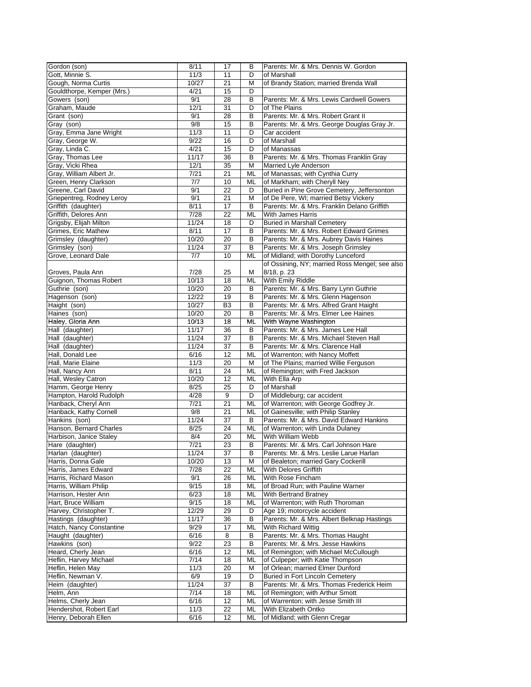| Gordon (son)                                    | 8/11             | 17             | в        | Parents: Mr. & Mrs. Dennis W. Gordon                  |
|-------------------------------------------------|------------------|----------------|----------|-------------------------------------------------------|
| Gott, Minnie S.                                 | 11/3             | 11             | D        | of Marshall                                           |
| Gough, Norma Curtis                             | 10/27            | 21             | М        | of Brandy Station; married Brenda Wall                |
| Gouldthorpe, Kemper (Mrs.)                      | 4/21             | 15             | D        |                                                       |
| Gowers (son)                                    | 9/1              | 28             | В        | Parents: Mr. & Mrs. Lewis Cardwell Gowers             |
| Graham, Maude                                   | 12/1             | 31             | D        | of The Plains                                         |
| Grant (son)                                     | 9/1              | 28             | B        | Parents: Mr. & Mrs. Robert Grant II                   |
| Gray (son)                                      | $\overline{9/8}$ | 15             | В        | Parents: Mr. & Mrs. George Douglas Gray Jr.           |
| Gray, Emma Jane Wright                          | 11/3             | 11             | D        | Car accident                                          |
| Gray, George W.                                 | 9/22             | 16             | D        | of Marshall                                           |
| Gray, Linda C.                                  | 4/21             | 15             | D        | of Manassas                                           |
| Gray, Thomas Lee                                | 11/17            | 36             | В        | Parents: Mr. & Mrs. Thomas Franklin Gray              |
| Gray, Vicki Rhea                                | 12/1             | 35             | M        | Married Lyle Anderson                                 |
| Gray, William Albert Jr.                        | 7/21             | 21             | ML       | of Manassas; with Cynthia Curry                       |
| Green, Henry Clarkson                           | 7/7              | 10             | ML       | of Markham; with Cheryll Ney                          |
| Greene, Carl David                              | 9/1              | 22             | D        | Buried in Pine Grove Cemetery, Jeffersonton           |
| Griepentreg, Rodney Leroy                       | 9/1              | 21             |          | of De Pere, WI; married Betsy Vickery                 |
|                                                 |                  | 17             | М        |                                                       |
| Griffith (daughter)                             | 8/11             |                | B        | Parents: Mr. & Mrs. Franklin Delano Griffith          |
| Griffith, Delores Ann                           | 7/28             | 22             | ML       | With James Harris                                     |
| Grigsby, Elijah Milton                          | 11/24            | 18             | D        | <b>Buried in Marshall Cemetery</b>                    |
| Grimes, Eric Mathew                             | 8/11             | 17             | В        | Parents: Mr. & Mrs. Robert Edward Grimes              |
| Grimsley (daughter)                             | 10/20            | 20             | В        | Parents: Mr. & Mrs. Aubrey Davis Haines               |
| Grimsley (son)                                  | 11/24            | 37             | B        | Parents: Mr. & Mrs. Joseph Grimsley                   |
| Grove, Leonard Dale                             | 7/7              | 10             | ML       | of Midland; with Dorothy Lunceford                    |
|                                                 |                  |                |          | of Ossining, NY; married Ross Mengel; see also        |
| Groves, Paula Ann                               | 7/28             | 25             | М        | 8/18, p. 23                                           |
| Guignon, Thomas Robert                          | 10/13            | 18             | ML       | With Emily Riddle                                     |
| Guthrie (son)                                   | 10/20            | 20             | B        | Parents: Mr. & Mrs. Barry Lynn Guthrie                |
| Hagenson (son)                                  | 12/22            | 19             | В        | Parents: Mr. & Mrs. Glenn Hagenson                    |
| Haight (son)                                    | 10/27            | B <sub>3</sub> | В        | Parents: Mr. & Mrs. Alfred Grant Haight               |
| Haines (son)                                    | 10/20            | 20             | B        | Parents: Mr. & Mrs. Elmer Lee Haines                  |
| Haley, Gloria Ann                               | 10/13            | 18             | ML       | With Wayne Washington                                 |
| Hall (daughter)                                 | 11/17            | 36             | В        | Parents: Mr. & Mrs. James Lee Hall                    |
| Hall (daughter)                                 | 11/24            | 37             | В        | Parents: Mr. & Mrs. Michael Steven Hall               |
|                                                 |                  |                |          |                                                       |
|                                                 |                  |                |          |                                                       |
| Hall (daughter)                                 | 11/24            | 37             | B        | Parents: Mr. & Mrs. Clarence Hall                     |
| Hall, Donald Lee                                | 6/16             | 12             | ML       | of Warrenton; with Nancy Moffett                      |
| Hall, Marie Elaine                              | 11/3             | 20             | М        | of The Plains; married Willie Ferguson                |
| Hall, Nancy Ann                                 | 8/11             | 24             | ML       | of Remington; with Fred Jackson                       |
| Hall, Wesley Catron                             | 10/20            | 12             | ML       | With Ella Arp                                         |
| Hamm, George Henry                              | 8/25             | 25             | D        | of Marshall                                           |
| Hampton, Harold Rudolph                         | 4/28             | 9              | D        | of Middleburg; car accident                           |
| Hanback, Cheryl Ann                             | 7/21             | 21             | ML       | of Warrenton; with George Godfrey Jr.                 |
| Hanback, Kathy Cornell                          | 9/8              | 21             | ML       | of Gainesville; with Philip Stanley                   |
| Hankins (son)                                   | 11/24            | 37             | B        | Parents: Mr. & Mrs. David Edward Hankins              |
| Hanson, Bernard Charles                         | 8/25             | 24             | ML       | of Warrenton; with Linda Dulaney                      |
| Harbison, Janice Staley                         | 8/4              | 20             | ML       | With William Webb                                     |
| Hare (daughter)                                 | 7/21             | 23             | B        | Parents: Mr. & Mrs. Carl Johnson Hare                 |
| Harlan (daughter)                               | 11/24            | 37             | в        | Parents: Mr. & Mrs. Leslie Larue Harlan               |
| Harris, Donna Gale                              | 10/20            | 13             | M        | of Bealeton; married Gary Cockerill                   |
| Harris, James Edward                            | 7/28             | 22             | ML       | With Delores Griffith                                 |
| Harris, Richard Mason                           | 9/1              | 26             | ML       | With Rose Fincham                                     |
| Harris, William Philip                          | 9/15             | 18             | ML       | of Broad Run; with Pauline Warner                     |
| Harrison, Hester Ann                            | 6/23             | 18             | ML       | With Bertrand Bratney                                 |
| Hart, Bruce William                             | 9/15             | 18             | ML       | of Warrenton; with Ruth Thoroman                      |
| Harvey, Christopher T.                          | 12/29            | 29             | D        | Age 19; motorcycle accident                           |
|                                                 | 11/17            | 36             | в        | Parents: Mr. & Mrs. Albert Belknap Hastings           |
| Hastings (daughter)<br>Hatch, Nancy Constantine | 9/29             | 17             | ML       | With Richard Wittig                                   |
|                                                 | 6/16             | 8              | В        | Parents: Mr. & Mrs. Thomas Haught                     |
| Haught (daughter)                               | 9/22             |                |          |                                                       |
| Hawkins (son)                                   |                  | 23             | В        | Parents: Mr. & Mrs. Jesse Hawkins                     |
| Heard, Cherly Jean                              | 6/16             | 12             | ML       | of Remington; with Michael McCullough                 |
| Heflin, Harvey Michael                          | 7/14             | 18             | ML       | of Culpeper; with Katie Thompson                      |
| Heflin, Helen May                               | 11/3             | 20             | М        | of Orlean; married Elmer Dunford                      |
| Heflin, Newman V.                               | 6/9              | 19             | D        | Buried in Fort Lincoln Cemetery                       |
| Heim (daughter)                                 | 11/24            | 37             | В        | Parents: Mr. & Mrs. Thomas Frederick Heim             |
| Helm, Ann                                       | 7/14             | 18             | ML       | of Remington; with Arthur Smott                       |
| Helms, Cherly Jean                              | 6/16             | 12             | ML       | of Warrenton; with Jesse Smith III                    |
| Hendershot, Robert Earl<br>Henry, Deborah Ellen | 11/3<br>6/16     | 22<br>12       | ML<br>ML | With Elizabeth Ontko<br>of Midland; with Glenn Cregar |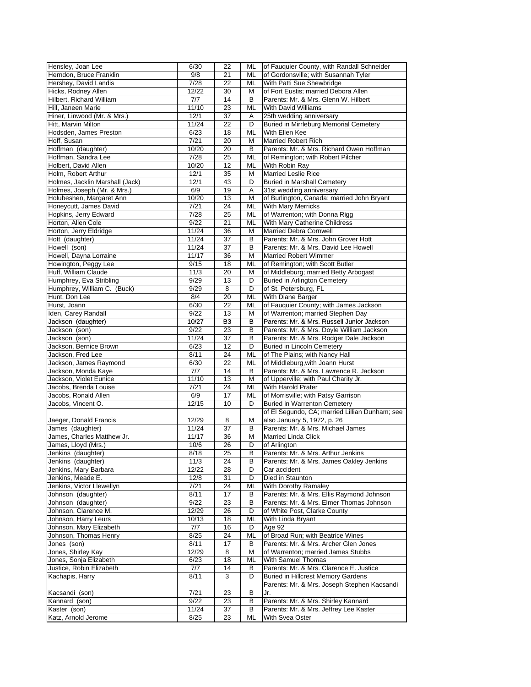| Hensley, Joan Lee               | 6/30  | 22              | ML        | of Fauquier County, with Randall Schneider     |
|---------------------------------|-------|-----------------|-----------|------------------------------------------------|
| Herndon, Bruce Franklin         | 9/8   | 21              | ML        | of Gordonsville; with Susannah Tyler           |
| Hershey, David Landis           | 7/28  | 22              | ML        | With Patti Sue Shewbridge                      |
| Hicks, Rodney Allen             | 12/22 | 30              | м         | of Fort Eustis; married Debora Allen           |
| Hilbert, Richard William        | 7/7   | 14              | B         | Parents: Mr. & Mrs. Glenn W. Hilbert           |
| Hill. Janeen Marie              | 11/10 | 23              | ML        | <b>With David Williams</b>                     |
| Hiner, Linwood (Mr. & Mrs.)     | 12/1  | 37              | Α         | 25th wedding anniversary                       |
| Hitt, Marvin Milton             | 11/24 | 22              | D         |                                                |
|                                 |       |                 |           | Buried in Mirrleburg Memorial Cemetery         |
| Hodsden, James Preston          | 6/23  | 18              | ML        | With Ellen Kee                                 |
| Hoff, Susan                     | 7/21  | 20              | м         | <b>Married Robert Rich</b>                     |
| Hoffman (daughter)              | 10/20 | 20              | B         | Parents: Mr. & Mrs. Richard Owen Hoffman       |
| Hoffman, Sandra Lee             | 7/28  | 25              | ML        | of Remington; with Robert Pilcher              |
| Holbert, David Allen            | 10/20 | 12              | ML        | With Robin Rav                                 |
| Holm, Robert Arthur             | 12/1  | 35              | м         | <b>Married Leslie Rice</b>                     |
| Holmes, Jacklin Marshall (Jack) | 12/1  | 43              | D         | <b>Buried in Marshall Cemetery</b>             |
| Holmes, Joseph (Mr. & Mrs.)     | 6/9   | 19              | Α         | 31st wedding anniversary                       |
| Holubeshen, Margaret Ann        | 10/20 | 13              | M         | of Burlington, Canada; married John Bryant     |
| Honeycutt, James David          | 7/21  | 24              | ML        | <b>With Mary Merricks</b>                      |
| Hopkins, Jerry Edward           | 7/28  | 25              | ML        | of Warrenton; with Donna Rigg                  |
| Horton, Allen Cole              | 9/22  | 21              | ML        | With Mary Catherine Childress                  |
| Horton, Jerry Eldridge          | 11/24 | 36              | M         | <b>Married Debra Cornwell</b>                  |
| Hott (daughter)                 | 11/24 | 37              | B         | Parents: Mr. & Mrs. John Grover Hott           |
| Howell (son)                    | 11/24 | 37              | B         | Parents: Mr. & Mrs. David Lee Howell           |
| Howell, Dayna Lorraine          | 11/17 | 36              | М         | <b>Married Robert Wimmer</b>                   |
| Howington, Peggy Lee            | 9/15  | 18              | ML        | of Remington; with Scott Butler                |
| Huff, William Claude            | 11/3  | 20              | м         | of Middleburg; married Betty Arbogast          |
|                                 |       |                 |           |                                                |
| Humphrey, Eva Stribling         | 9/29  | 13              | D         | Buried in Arlington Cemetery                   |
| Humphrey, William C. (Buck)     | 9/29  | 8               | D         | of St. Petersburg, FL                          |
| Hunt, Don Lee                   | 8/4   | 20              | ML        | With Diane Barger                              |
| Hurst, Joann                    | 6/30  | 22              | ML        | of Fauquier County; with James Jackson         |
| Iden, Carey Randall             | 9/22  | 13              | M         | of Warrenton; married Stephen Day              |
| Jackson (daughter)              | 10/27 | B <sub>3</sub>  | в         | Parents: Mr. & Mrs. Russell Junior Jackson     |
| Jackson (son)                   | 9/22  | 23              | В         | Parents: Mr. & Mrs. Doyle William Jackson      |
| Jackson (son)                   | 11/24 | 37              | В         | Parents: Mr. & Mrs. Rodger Dale Jackson        |
| Jackson, Bernice Brown          | 6/23  | 12              | D         | <b>Buried in Lincoln Cemetery</b>              |
| Jackson, Fred Lee               | 8/11  | 24              | ML        | of The Plains; with Nancy Hall                 |
| Jackson, James Raymond          | 6/30  | $\overline{22}$ | ML        | of Middleburg, with Joann Hurst                |
| Jackson, Monda Kaye             | 7/7   | 14              | B         | Parents: Mr. & Mrs. Lawrence R. Jackson        |
| Jackson, Violet Eunice          | 11/10 | 13              | M         | of Upperville; with Paul Charity Jr.           |
| Jacobs, Brenda Louise           | 7/21  | $\overline{24}$ | ML        | With Harold Prater                             |
| Jacobs, Ronald Allen            | 6/9   | 17              | ML        | of Morrisville; with Patsy Garrison            |
|                                 |       |                 |           |                                                |
| Jacobs, Vincent O.              | 12/15 | 10              | D         | <b>Buried in Warrenton Cemetery</b>            |
|                                 |       |                 |           | of El Segundo, CA; married Lillian Dunham; see |
| Jaeger, Donald Francis          | 12/29 | 8               | M         | also January 5, 1972, p. 26                    |
| James (daughter)                | 11/24 | 37              | B         | Parents: Mr. & Mrs. Michael James              |
| James, Charles Matthew Jr.      | 11/17 | 36              | М         | Married Linda Click                            |
| James, Lloyd (Mrs.)             | 10/6  | 26              | D         | of Arlington                                   |
| Jenkins (daughter)              | 8/18  | 25              | в         | Parents: Mr. & Mrs. Arthur Jenkins             |
| Jenkins (daughter)              | 11/3  | 24              | В         | Parents: Mr. & Mrs. James Oakley Jenkins       |
| Jenkins, Mary Barbara           | 12/22 | 28              | D         | Car accident                                   |
| Jenkins, Meade E.               | 12/8  | 31              | D         | Died in Staunton                               |
| Jenkins, Victor Llewellyn       | 7/21  | 24              | <b>ML</b> | With Dorothy Ramaley                           |
| Johnson (daughter)              | 8/11  | 17              | В         | Parents: Mr. & Mrs. Ellis Raymond Johnson      |
| Johnson (daughter)              | 9/22  | 23              | В         | Parents: Mr. & Mrs. Elmer Thomas Johnson       |
| Johnson, Clarence M.            | 12/29 | 26              | D         | of White Post, Clarke County                   |
|                                 |       |                 |           |                                                |
| Johnson, Harry Leurs            | 10/13 | 18              | ML        | With Linda Bryant                              |
| Johnson, Mary Elizabeth         | 7/7   | 16              | D         | Age 92                                         |
| Johnson, Thomas Henry           | 8/25  | 24              | <b>ML</b> | of Broad Run; with Beatrice Wines              |
| Jones (son)                     | 8/11  | 17              | В         | Parents: Mr. & Mrs. Archer Glen Jones          |
| Jones, Shirley Kay              | 12/29 | 8               | M         | of Warrenton; married James Stubbs             |
| Jones, Sonja Elizabeth          | 6/23  | 18              | ML        | With Samuel Thomas                             |
| Justice, Robin Elizabeth        | 7/7   | 14              | В         | Parents: Mr. & Mrs. Clarence E. Justice        |
| Kachapis, Harry                 | 8/11  | 3               | D         | <b>Buried in Hillcrest Memory Gardens</b>      |
|                                 |       |                 |           | Parents: Mr. & Mrs. Joseph Stephen Kacsandi    |
| Kacsandi (son)                  | 7/21  | 23              | В         | Jr.                                            |
| Kannard (son)                   | 9/22  | 23              | В         | Parents: Mr. & Mrs. Shirley Kannard            |
| Kaster (son)                    | 11/24 | 37              | В         | Parents: Mr. & Mrs. Jeffrey Lee Kaster         |
| Katz, Arnold Jerome             | 8/25  | 23              | ML        | With Svea Oster                                |
|                                 |       |                 |           |                                                |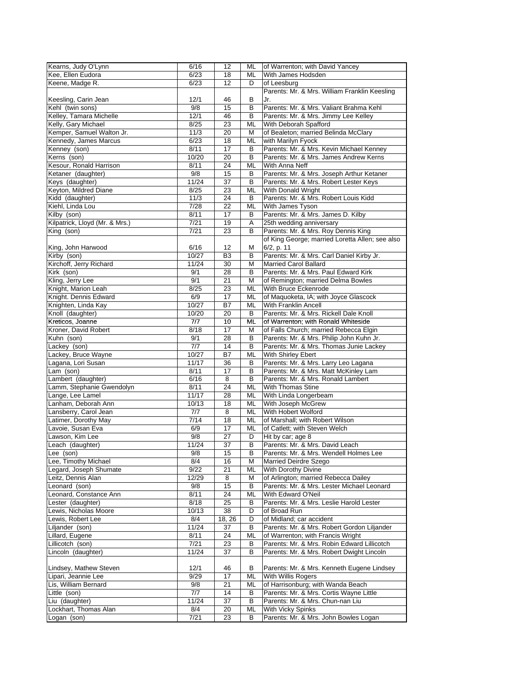| Kearns, Judy O'Lynn                  | 6/16        | $\overline{12}$ | ML      | of Warrenton; with David Yancey                            |
|--------------------------------------|-------------|-----------------|---------|------------------------------------------------------------|
| Kee, Ellen Eudora                    | 6/23        | 18              | ML      | With James Hodsden                                         |
| Keene, Madge R.                      | 6/23        | 12              | D       | of Leesburg                                                |
|                                      |             |                 |         | Parents: Mr. & Mrs. William Franklin Keesling              |
| Keesling, Carin Jean                 | 12/1        | 46              | В       | Jr.                                                        |
| Kehl (twin sons)                     | 9/8         | 15              | B       | Parents: Mr. & Mrs. Valiant Brahma Kehl                    |
|                                      |             |                 |         |                                                            |
| Kelley, Tamara Michelle              | 12/1        | 46              | В       | Parents: Mr. & Mrs. Jimmy Lee Kelley                       |
| Kelly, Gary Michael                  | 8/25        | 23              | ML      | With Deborah Spafford                                      |
| Kemper, Samuel Walton Jr.            | 11/3        | 20              | М       | of Bealeton; married Belinda McClary                       |
| Kennedy, James Marcus                | 6/23        | 18              | ML      | with Marilyn Fyock                                         |
| Kenney (son)                         | 8/11        | 17              | В       | Parents: Mr. & Mrs. Kevin Michael Kenney                   |
| Kerns (son)                          | 10/20       | 20              | В       | Parents: Mr. & Mrs. James Andrew Kerns                     |
| Kesour, Ronald Harrison              | 8/11        | 24              | ML      | With Anna Neff                                             |
| Ketaner (daughter)                   | 9/8         | 15              | В       | Parents: Mr. & Mrs. Joseph Arthur Ketaner                  |
|                                      |             |                 |         |                                                            |
| Keys (daughter)                      | 11/24       | 37              | В       | Parents: Mr. & Mrs. Robert Lester Keys                     |
| Keyton, Mildred Diane                | 8/25        | 23              | ML      | With Donald Wright                                         |
| Kidd (daughter)                      | 11/3        | 24              | В       | Parents: Mr. & Mrs. Robert Louis Kidd                      |
| Kiehl, Linda Lou                     | 7/28        | 22              | ML      | With James Tyson                                           |
| Kilby (son)                          | 8/11        | 17              | В       | Parents: Mr. & Mrs. James D. Kilby                         |
| Kilpatrick, Lloyd (Mr. & Mrs.)       | 7/21        | 19              | Α       | 25th wedding anniversary                                   |
| King (son)                           | 7/21        | 23              | B       | Parents: Mr. & Mrs. Roy Dennis King                        |
|                                      |             |                 |         | of King George; married Loretta Allen; see also            |
|                                      |             |                 |         |                                                            |
| King, John Harwood                   | 6/16        | 12              | М       | $6/2$ , p. 11                                              |
| Kirby (son)                          | 10/27       | B <sub>3</sub>  | B       | Parents: Mr. & Mrs. Carl Daniel Kirby Jr.                  |
| Kirchoff, Jerry Richard              | 11/24       | 30              | М       | Married Carol Ballard                                      |
| Kirk (son)                           | 9/1         | 28              | В       | Parents: Mr. & Mrs. Paul Edward Kirk                       |
| Kling, Jerry Lee                     | 9/1         | 21              | М       | of Remington; married Delma Bowles                         |
| Knight, Marion Leah                  | 8/25        | 23              | ML      | With Bruce Eckenrode                                       |
|                                      |             |                 |         | of Maquoketa, IA; with Joyce Glascock                      |
| Knight. Dennis Edward                | 6/9         | 17              | ML      |                                                            |
| Knighten, Linda Kay                  | 10/27       | B7              | ML      | <b>With Franklin Ancell</b>                                |
| Knoll (daughter)                     | 10/20       | 20              | B       | Parents: Mr. & Mrs. Rickell Dale Knoll                     |
| Kreticos, Joanne                     | 7/7         | 10              | ML      | of Warrenton; with Ronald Whiteside                        |
| Kroner, David Robert                 | 8/18        | 17              | М       | of Falls Church; married Rebecca Elgin                     |
| Kuhn (son)                           | 9/1         | 28              | В       | Parents: Mr. & Mrs. Philip John Kuhn Jr.                   |
| Lackey (son)                         | 7/7         | 14              | B       | Parents: Mr. & Mrs. Thomas Junie Lackey                    |
| Lackey, Bruce Wayne                  | 10/27       | B7              | ML      | With Shirley Ebert                                         |
|                                      | 11/17       | 36              |         |                                                            |
| Lagana, Lori Susan                   |             |                 | В       | Parents: Mr. & Mrs. Larry Leo Lagana                       |
| Lam (son)                            | 8/11        | 17              | В       | Parents: Mr. & Mrs. Matt McKinley Lam                      |
| Lambert (daughter)                   |             | 8               |         | Parents: Mr. & Mrs. Ronald Lambert                         |
|                                      | 6/16        |                 | B       |                                                            |
| Lamm, Stephanie Gwendolyn            | 8/11        | 24              | ML      | With Thomas Stine                                          |
|                                      | 11/17       | 28              | ML      | With Linda Longerbeam                                      |
| Lange, Lee Lamel                     |             |                 |         |                                                            |
| Lanham, Deborah Ann                  | 10/13       | 18              | ML      | With Joseph McGrew                                         |
| Lansberry, Carol Jean                | 7/7         | 8               | ML      | With Hobert Wolford                                        |
| Latimer, Dorothy May                 | 7/14        | 18              | ML      | of Marshall; with Robert Wilson                            |
| Lavoie, Susan Eva                    | 6/9         | 17              | ML      | of Catlett; with Steven Welch                              |
| Lawson, Kim Lee                      | 9/8         | 27              | D       | Hit by car; age 8                                          |
| Leach (daughter)                     | 11/24       | 37              | B       | Parents: Mr. & Mrs. David Leach                            |
| Lee (son)                            | 9/8         | 15              | в       | Parents: Mr. & Mrs. Wendell Holmes Lee                     |
| Lee, Timothy Michael                 | 8/4         | 16              | М       | Married Deirdre Szego                                      |
|                                      |             |                 |         |                                                            |
| Legard, Joseph Shumate               | 9/22        | 21              | ML      | With Dorothy Divine                                        |
| Leitz, Dennis Alan                   | 12/29       | 8               | М       | of Arlington; married Rebecca Dailey                       |
| Leonard (son)                        | 9/8         | 15              | В       | Parents: Mr. & Mrs. Lester Michael Leonard                 |
| Leonard, Constance Ann               | 8/11        | 24              | ML      | With Edward O'Neil                                         |
| Lester (daughter)                    | 8/18        | 25              | В       | Parents: Mr. & Mrs. Leslie Harold Lester                   |
| Lewis, Nicholas Moore                | 10/13       | 38              | D       | of Broad Run                                               |
| Lewis, Robert Lee                    | 8/4         | 18, 26          | D       | of Midland; car accident                                   |
|                                      |             |                 |         |                                                            |
| Liljander (son)                      | 11/24       | 37              | В       | Parents: Mr. & Mrs. Robert Gordon Liljander                |
| Lillard, Eugene                      | 8/11        | 24              | ML      | of Warrenton; with Francis Wright                          |
| Lillicotch (son)                     | 7/21        | 23              | В       | Parents: Mr. & Mrs. Robin Edward Lillicotch                |
| Lincoln (daughter)                   | 11/24       | 37              | в       | Parents: Mr. & Mrs. Robert Dwight Lincoln                  |
|                                      |             |                 |         |                                                            |
| Lindsey, Mathew Steven               | 12/1        | 46              | В       | Parents: Mr. & Mrs. Kenneth Eugene Lindsey                 |
| Lipari, Jeannie Lee                  | 9/29        | 17              | ML      | With Willis Rogers                                         |
| Lis, William Bernard                 | 9/8         | 21              | ML      | of Harrisonburg; with Wanda Beach                          |
|                                      |             |                 |         |                                                            |
| Little (son)                         | 7/7         | 14              | B       | Parents: Mr. & Mrs. Cortis Wayne Little                    |
| Liu (daughter)                       | 11/24       | 37              | В       | Parents: Mr. & Mrs. Chun-nan Liu                           |
| Lockhart, Thomas Alan<br>Logan (son) | 8/4<br>7/21 | 20<br>23        | ML<br>в | With Vicky Spinks<br>Parents: Mr. & Mrs. John Bowles Logan |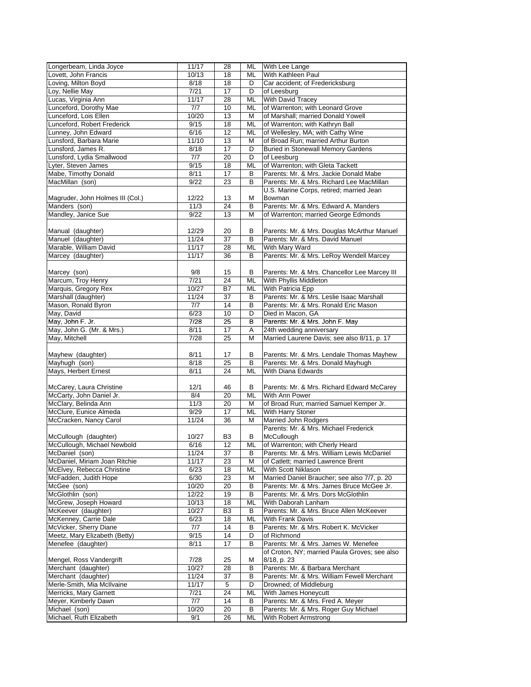| Longerbeam, Linda Joyce                  | 11/17        | 28       | ML        | With Lee Lange                                                 |
|------------------------------------------|--------------|----------|-----------|----------------------------------------------------------------|
| Lovett, John Francis                     | 10/13        | 18       | ML        | With Kathleen Paul                                             |
| Loving, Milton Boyd                      | 8/18         | 18       | D         | Car accident; of Fredericksburg                                |
| Loy, Nellie May                          | 7/21         | 17       | D         | of Leesburg                                                    |
| Lucas, Virginia Ann                      | 11/17        | 28       | ML        | With David Tracey                                              |
| Lunceford, Dorothy Mae                   | 7/7          | 10       | ML        | of Warrenton; with Leonard Grove                               |
| Lunceford, Lois Ellen                    | 10/20        | 13       | М         | of Marshall; married Donald Yowell                             |
| Lunceford, Robert Frederick              | 9/15         | 18       | ML        | of Warrenton; with Kathryn Ball                                |
| Lunney, John Edward                      | 6/16         | 12       | ML        | of Wellesley, MA; with Cathy Wine                              |
| Lunsford, Barbara Marie                  | 11/10        | 13       | М         | of Broad Run; married Arthur Burton                            |
| Lunsford, James R.                       | 8/18         | 17       | D         | <b>Buried in Stonewall Memory Gardens</b>                      |
| Lunsford, Lydia Smallwood                | 7/7          | 20       | D         | of Leesburg                                                    |
| Lyter, Steven James                      | 9/15         | 18       | ML        | of Warrenton; with Gleta Tackett                               |
| Mabe, Timothy Donald                     | 8/11         | 17       | В         | Parents: Mr. & Mrs. Jackie Donald Mabe                         |
| MacMillan (son)                          | 9/22         | 23       | В         | Parents: Mr. & Mrs. Richard Lee MacMillan                      |
|                                          |              |          |           | U.S. Marine Corps, retired; married Jean                       |
| Magruder, John Holmes III (Col.)         | 12/22        | 13       | М         | Bowman                                                         |
| Manders (son)                            | 11/3         | 24       | B         | Parents: Mr. & Mrs. Edward A. Manders                          |
| Mandley, Janice Sue                      | 9/22         | 13       | М         | of Warrenton; married George Edmonds                           |
|                                          |              |          |           |                                                                |
|                                          |              |          |           |                                                                |
| Manual (daughter)                        | 12/29        | 20       | В         | Parents: Mr. & Mrs. Douglas McArthur Manuel                    |
| Manuel (daughter)                        | 11/24        | 37       | В         | Parents: Mr. & Mrs. David Manuel                               |
| Marable, William David                   | 11/17        | 28       | ML        | With Mary Ward                                                 |
| Marcey (daughter)                        | 11/17        | 36       | В         | Parents: Mr. & Mrs. LeRoy Wendell Marcey                       |
|                                          |              |          |           |                                                                |
| Marcey (son)                             | 9/8          | 15       | В         | Parents: Mr. & Mrs. Chancellor Lee Marcey III                  |
| Marcum, Troy Henry                       | 7/21         | 24       | ML        | With Phyllis Middleton                                         |
| Marquis, Gregory Rex                     | 10/27        | B7       | ML        | With Patricia Epp                                              |
| Marshall (daughter)                      | 11/24        | 37       | В         | Parents: Mr. & Mrs. Leslie Isaac Marshall                      |
| Mason, Ronald Byron                      | 7/7          | 14       | В         | Parents: Mr. & Mrs. Ronald Eric Mason                          |
| May, David                               | 6/23         | 10       | D         | Died in Macon, GA                                              |
| May, John F. Jr.                         | 7/28         | 25       | в         | Parents: Mr. & Mrs. John F. May                                |
| May, John G. (Mr. & Mrs.)                | 8/11         | 17       | Α         | 24th wedding anniversary                                       |
| May, Mitchell                            | 7/28         | 25       | М         | Married Laurene Davis; see also 8/11, p. 17                    |
|                                          |              |          |           |                                                                |
| Mayhew (daughter)                        | 8/11         | 17       | В         | Parents: Mr. & Mrs. Lendale Thomas Mayhew                      |
| Mayhugh (son)                            | 8/18         | 25       | В         | Parents: Mr. & Mrs. Donald Mayhugh                             |
| Mays, Herbert Ernest                     | 8/11         | 24       | ML        | With Diana Edwards                                             |
|                                          |              |          |           |                                                                |
| McCarey, Laura Christine                 | 12/1         | 46       | B         | Parents: Mr. & Mrs. Richard Edward McCarey                     |
| McCarty, John Daniel Jr.                 | 8/4          | 20       | ML        | With Ann Power                                                 |
|                                          |              |          |           |                                                                |
|                                          |              |          |           |                                                                |
| McClary, Belinda Ann                     | 11/3         | 20       | м         | of Broad Run; married Samuel Kemper Jr.                        |
| McClure, Eunice Almeda                   | 9/29         | 17       | ML        | With Harry Stoner                                              |
| McCracken, Nancy Carol                   | 11/24        | 36       | М         | Married John Rodgers                                           |
|                                          |              |          |           | Parents: Mr. & Mrs. Michael Frederick                          |
| McCullough (daughter)                    | 10/27        | B3       | В         | McCullough                                                     |
| McCullough, Michael Newbold              | 6/16         | 12       | ML        | of Warrenton; with Cherly Heard                                |
|                                          | 11/24        | 37       | ь         | Parents: Mr. & Mrs. William Lewis McDaniel                     |
| McDaniel, Miriam Joan Ritchie            | 11/17        | 23       | М         | of Catlett; married Lawrence Brent                             |
| McElvey, Rebecca Christine               | 6/23         | 18       | ML        | With Scott Niklason                                            |
| McFadden, Judith Hope                    | 6/30         | 23       | М         | Married Daniel Braucher; see also 7/7, p. 20                   |
| McGee (son)                              | 10/20        | 20       | В         | Parents: Mr. & Mrs. James Bruce McGee Jr.                      |
| McGlothlin (son)                         | 12/22        | 19       | В         | Parents: Mr. & Mrs. Dors McGlothlin                            |
| McGrew, Joseph Howard                    | 10/13        | 18       | ML        | With Daborah Lanham                                            |
| McKeever (daughter)                      | 10/27        | B3       | В         | Parents: Mr. & Mrs. Bruce Allen McKeever                       |
| McKenney, Carrie Dale                    | 6/23         | 18       | <b>ML</b> | With Frank Davis                                               |
| McVicker, Sherry Diane                   | 7/7          | 14       | В         | Parents: Mr. & Mrs. Robert K. McVicker                         |
|                                          |              | 14       | D         | of Richmond                                                    |
| Meetz, Mary Elizabeth (Betty)            | 9/15         | 17       | В         |                                                                |
| Menefee (daughter)                       | 8/11         |          |           | Parents: Mr. & Mrs. James W. Menefee                           |
| McDaniel (son)                           |              |          |           | of Croton, NY; married Paula Groves; see also                  |
| Mengel, Ross Vandergrift                 | 7/28         | 25       | М         | 8/18, p. 23                                                    |
| Merchant (daughter)                      | 10/27        | 28       | В         | Parents: Mr. & Barbara Merchant                                |
| Merchant (daughter)                      | 11/24        | 37       | В         | Parents: Mr. & Mrs. William Fewell Merchant                    |
| Merle-Smith, Mia McIlvaine               | 11/17        | 5        | D         | Drowned; of Middleburg                                         |
| Merricks, Mary Garnett                   | 7/21         | 24       | ML        | With James Honeycutt                                           |
| Meyer, Kimberly Dawn                     | 7/7          | 14       | В         | Parents: Mr. & Mrs. Fred A. Meyer                              |
| Michael (son)<br>Michael, Ruth Elizabeth | 10/20<br>9/1 | 20<br>26 | в<br>ML   | Parents: Mr. & Mrs. Roger Guy Michael<br>With Robert Armstrong |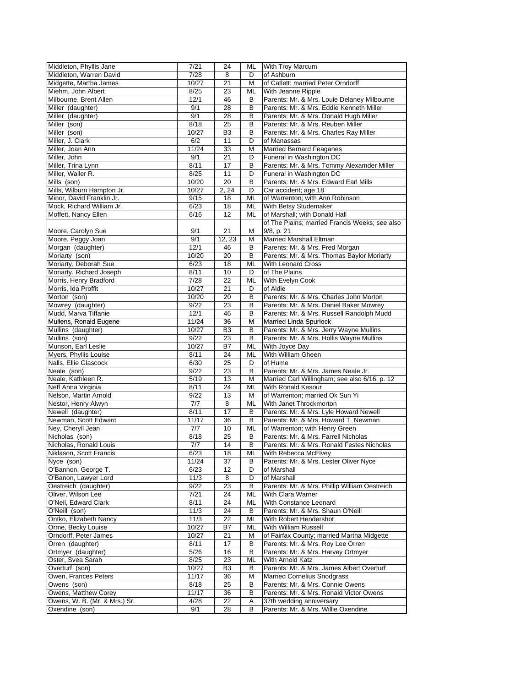| Middleton, Phyllis Jane       | 7/21  | 24              | ML        | With Troy Marcum                               |
|-------------------------------|-------|-----------------|-----------|------------------------------------------------|
| Middleton, Warren David       | 7/28  | 8               | D         | of Ashburn                                     |
| Midgette, Martha James        | 10/27 | 21              | М         | of Catlett; married Peter Orndorff             |
| Miehm, John Albert            | 8/25  | 23              | ML        | With Jeanne Ripple                             |
| Milbourne, Brent Allen        | 12/1  | 46              | В         | Parents: Mr. & Mrs. Louie Delaney Milbourne    |
| Miller (daughter)             | 9/1   | 28              | В         | Parents: Mr. & Mrs. Eddie Kenneth Miller       |
| Miller (daughter)             | 9/1   | 28              | B         | Parents: Mr. & Mrs. Donald Hugh Miller         |
| Miller (son)                  | 8/18  | 25              | В         | Parents: Mr. & Mrs. Reuben Miller              |
| Miller (son)                  | 10/27 | B <sub>3</sub>  | В         | Parents: Mr. & Mrs. Charles Ray Miller         |
|                               |       |                 |           |                                                |
| Miller, J. Clark              | 6/2   | 11              | D         | of Manassas                                    |
| Miller, Joan Ann              | 11/24 | 33              | М         | <b>Married Bernard Feaganes</b>                |
| Miller, John                  | 9/1   | 21              | D         | Funeral in Washington DC                       |
| Miller, Trina Lynn            | 8/11  | 17              | В         | Parents: Mr. & Mrs. Tommy Alexamder Miller     |
| Miller, Waller R.             | 8/25  | 11              | D         | Funeral in Washington DC                       |
| Mills (son)                   | 10/20 | 20              | В         | Parents: Mr. & Mrs. Edward Earl Mills          |
| Mills, Wilburn Hampton Jr.    | 10/27 | 2, 24           | D         | Car accident; age 18                           |
| Minor, David Franklin Jr.     | 9/15  | 18              | ML        | of Warrenton; with Ann Robinson                |
| Mock, Richard William Jr.     | 6/23  | 18              | ML        | With Betsy Studemaker                          |
| Moffett, Nancy Ellen          | 6/16  | 12              | ML        | of Marshall; with Donald Hall                  |
|                               |       |                 |           | of The Plains; married Francis Weeks; see also |
| Moore, Carolyn Sue            | 9/1   | 21              | М         | 9/8, p. 21                                     |
| Moore, Peggy Joan             | 9/1   | 12, 23          | М         | Married Marshall Eltman                        |
| Morgan (daughter)             | 12/1  | 46              | В         | Parents: Mr. & Mrs. Fred Morgan                |
| Moriarty (son)                | 10/20 | 20              | В         | Parents: Mr. & Mrs. Thomas Baylor Moriarty     |
| Moriarty, Deborah Sue         | 6/23  | 18              | ML        | With Leonard Cross                             |
| Moriarty, Richard Joseph      | 8/11  | 10              | D         | of The Plains                                  |
|                               |       | $\overline{22}$ |           |                                                |
| Morris, Henry Bradford        | 7/28  |                 | <b>ML</b> | With Evelyn Cook                               |
| Morris, Ida Proffit           | 10/27 | 21              | D         | of Aldie                                       |
| Morton (son)                  | 10/20 | 20              | В         | Parents: Mr. & Mrs. Charles John Morton        |
| Mowrey (daughter)             | 9/22  | 23              | В         | Parents: Mr. & Mrs. Daniel Baker Mowrey        |
| Mudd, Marva Tiffanie          | 12/1  | 46              | B         | Parents: Mr. & Mrs. Russell Randolph Mudd      |
| Mullens, Ronald Eugene        | 11/24 | 36              | м         | Married Linda Spurlock                         |
| Mullins (daughter)            | 10/27 | B <sub>3</sub>  | В         | Parents: Mr. & Mrs. Jerry Wayne Mullins        |
| Mullins (son)                 | 9/22  | 23              | В         | Parents: Mr. & Mrs. Hollis Wayne Mullins       |
| Munson, Earl Leslie           | 10/27 | B7              | ML        | With Joyce Day                                 |
| Myers, Phyllis Louise         | 8/11  | 24              | ML        | With William Gheen                             |
| Nalls, Ellie Glascock         | 6/30  | 25              | D         | of Hume                                        |
| Neale (son)                   | 9/22  | 23              | B         | Parents: Mr. & Mrs. James Neale Jr.            |
| Neale, Kathleen R.            | 5/19  | 13              | М         | Married Carl Willingham; see also 6/16, p. 12  |
| Neff Anna Virginia            | 8/11  | 24              | ML        | With Ronald Kesour                             |
| Nelson, Martin Arnold         | 9/22  | 13              | м         | of Warrenton; married Ok Sun Yi                |
| Nestor, Henry Alwyn           | 7/7   | 8               | ML        | With Janet Throckmorton                        |
| Newell (daughter)             | 8/11  | 17              | В         | Parents: Mr. & Mrs. Lyle Howard Newell         |
| Newman, Scott Edward          | 11/17 | 36              | B         | Parents: Mr. & Mrs. Howard T. Newman           |
| Ney, Cheryll Jean             | 7/7   | 10              | <b>ML</b> | of Warrenton; with Henry Green                 |
| Nicholas (son)                | 8/18  | 25              | В         | Parents: Mr. & Mrs. Farrell Nicholas           |
| Nicholas, Ronald Louis        | 7/7   | 14              | B         | Parents: Mr. & Mrs. Ronald Festes Nicholas     |
|                               |       |                 |           |                                                |
| Niklason, Scott Francis       | 6/23  | 18              | ML        | With Rebecca McElvey                           |
| Nyce (son)                    | 11/24 | 37              | В         | Parents: Mr. & Mrs. Lester Oliver Nyce         |
| O'Bannon, George T.           | 6/23  | 12              | D         | of Marshall                                    |
| O'Banon, Lawyer Lord          | 11/3  | 8               | D         | of Marshall                                    |
| Oestreich (daughter)          | 9/22  | 23              | В         | Parents: Mr. & Mrs. Phillip William Oestreich  |
| Oliver, Wilson Lee            | 7/21  | 24              | ML        | With Clara Warner                              |
| O'Neil, Edward Clark          | 8/11  | 24              | ML        | With Constance Leonard                         |
| O'Neill (son)                 | 11/3  | 24              | В         | Parents: Mr. & Mrs. Shaun O'Neill              |
| Ontko, Elizabeth Nancy        | 11/3  | 22              | ML        | With Robert Hendershot                         |
| Orme, Becky Louise            | 10/27 | B7              | ML        | With William Russell                           |
| Orndorff, Peter James         | 10/27 | 21              | М         | of Fairfax County; married Martha Midgette     |
| Orren (daughter)              | 8/11  | 17              | В         | Parents: Mr. & Mrs. Roy Lee Orren              |
| Ortmyer (daughter)            | 5/26  | 16              | В         | Parents: Mr. & Mrs. Harvey Ortmyer             |
| Oster, Svea Sarah             | 8/25  | 23              | ML        | With Arnold Katz                               |
| Overturf (son)                | 10/27 | B <sub>3</sub>  | В         | Parents: Mr. & Mrs. James Albert Overturf      |
| Owen, Frances Peters          | 11/17 | 36              | М         | <b>Married Cornelius Snodgrass</b>             |
| Owens (son)                   | 8/18  | 25              | В         | Parents: Mr. & Mrs. Connie Owens               |
| Owens, Matthew Corey          | 11/17 |                 |           | Parents: Mr. & Mrs. Ronald Victor Owens        |
|                               |       | 36              | В         |                                                |
| Owens, W. B. (Mr. & Mrs.) Sr. | 4/28  | 22              | Α         | 37th wedding anniversary                       |
| Oxendine (son)                | 9/1   | 28              | в         | Parents: Mr. & Mrs. Willie Oxendine            |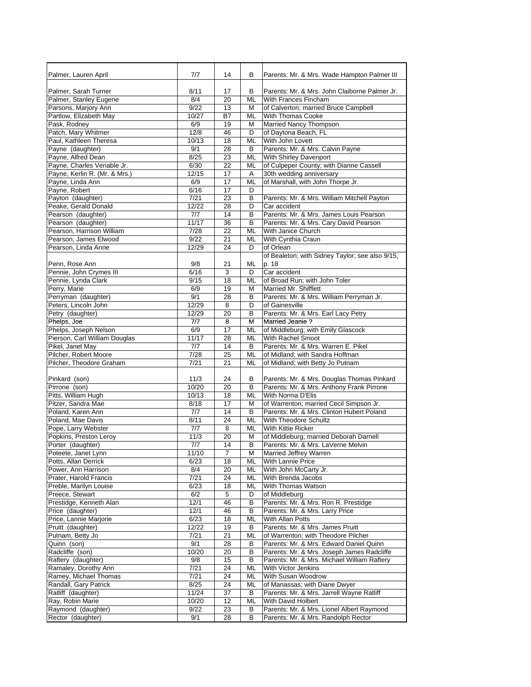| Palmer, Lauren April                        | 7/7         | 14         | в         | Parents: Mr. & Mrs. Wade Hampton Palmer III     |
|---------------------------------------------|-------------|------------|-----------|-------------------------------------------------|
| Palmer, Sarah Turner                        | 8/11        | 17         | B         | Parents: Mr. & Mrs. John Claiborne Palmer Jr.   |
| Palmer, Stanley Eugene                      | 8/4         | 20         | ML        | With Frances Fincham                            |
| Parsons, Marjory Ann                        | 9/22        | 13         | М         | of Calverton; married Bruce Campbell            |
| Partlow, Elizabeth May                      | 10/27       | B7         | ML        | With Thomas Cooke                               |
| Pask, Rodney                                | 6/9         | 19         | M         | Married Nancy Thompson                          |
| Patch, Mary Whitmer                         | 12/8        | 46         | D         | of Daytona Beach, FL                            |
| Paul, Kathleen Theresa                      | 10/13       | 18         | ML        | With John Lovett                                |
| Payne (daughter)                            | 9/1         | 28         | B         | Parents: Mr. & Mrs. Calvin Payne                |
| Payne, Alfred Dean                          | 8/25        | 23         | ML        | With Shirley Davenport                          |
| Payne, Charles Venable Jr.                  | 6/30        | 22         | ML        | of Culpeper County; with Dianne Cassell         |
| Payne, Kerlin R. (Mr. & Mrs.)               | 12/15       | 17         | A         | 30th wedding anniversary                        |
| Payne, Linda Ann                            | 6/9         | 17         | ML        | of Marshall, with John Thorpe Jr.               |
| Payne, Robert                               | 6/16        | 17         | D         |                                                 |
| Payton (daughter)                           | 7/21        | 23         | B         | Parents: Mr. & Mrs. William Mitchell Payton     |
| Peake, Gerald Donald                        | 12/22       | 28         | D         | Car accident                                    |
| Pearson (daughter)                          | 7/7         | 14         | B         | Parents: Mr. & Mrs. James Louis Pearson         |
| Pearson (daughter)                          | 11/17       | 36         | B         | Parents: Mr. & Mrs. Cary David Pearson          |
| Pearson, Harrison William                   | 7/28        | 22         | ML        | With Janice Church                              |
| Pearson, James Elwood                       | 9/22        | 21         | ML        | With Cynthia Craun                              |
| Pearson, Linda Anne                         | 12/29       | 24         | D         | of Orlean                                       |
|                                             |             |            |           | of Bealeton; with Sidney Taylor; see also 9/15, |
| Penn, Rose Ann                              | 9/8         | 21         | ML        | p. 18                                           |
| Pennie, John Crymes III                     | 6/16        | 3          | D         | Car accident                                    |
| Pennie, Lynda Clark                         | 9/15        | 18         | ML        | of Broad Run; with John Toler                   |
| Perry, Marie                                | 6/9         | 19         | м         | Married Mr. Shifflett                           |
| Perryman (daughter)                         | 9/1         | 28         | B         | Parents: Mr. & Mrs. William Perryman Jr.        |
| Peters, Lincoln John                        | 12/29       | 8          | D         | of Gainesville                                  |
| Petry (daughter)                            | 12/29       | 20         | В         | Parents: Mr. & Mrs. Earl Lacy Petry             |
| Phelps, Joe                                 | 7/7         | 8          | М         | Married Jeanie?                                 |
| Phelps, Joseph Nelson                       | 6/9         | 17         | ML        | of Middleburg; with Emily Glascock              |
| Pierson, Carl William Douglas               | 11/17       | 28         | ML        | With Rachel Smoot                               |
| Pikel, Janet May                            | 7/7         | 14         | В         | Parents: Mr. & Mrs. Warren E. Pikel             |
| Pilcher, Robert Moore                       | 7/28        | 25         | ML        | of Midland; with Sandra Hoffman                 |
| Pilcher, Theodore Graham                    | 7/21        | 21         | ML        | of Midland; with Betty Jo Putnam                |
|                                             |             |            |           |                                                 |
| Pinkard (son)                               | 11/3        | 24         | В         | Parents: Mr. & Mrs. Douglas Thomas Pinkard      |
| Pirrone (son)                               | 10/20       | 20         | В         | Parents: Mr. & Mrs. Anthony Frank Pirrone       |
| Pitts, William Hugh                         | 10/13       | 18         | ML        | With Norma D'Elis                               |
| Pitzer, Sandra Mae                          | 8/18        | 17         | м         | of Warrenton; married Cecil Simpson Jr.         |
| Poland, Karen Ann                           | 7/7         | 14         | B         | Parents: Mr. & Mrs. Clinton Hubert Poland       |
| Poland, Mae Davis                           | 8/11        | 24         | ML        | <b>With Theodore Schultz</b>                    |
| Pope, Larry Webster                         | 7/7         | 8          | ML        | <b>With Kittie Ricker</b>                       |
| Popkins, Preston Leroy                      | 11/3<br>7/7 | 20<br>14   | M         | of Middleburg; married Deborah Darnell          |
| Porter (daughter)                           |             |            | В         | Parents: Mr. & Mrs. LaVerne Melvin              |
| Poteete, Janet Lynn                         | 11/10       | $\epsilon$ | M         | <b>Married Jeffrey Warren</b>                   |
| Potts, Allan Derrick<br>Power, Ann Harrison | 6/23<br>8/4 | 18<br>20   | ML<br>ML  | With Lannie Price<br>With John McCarty Jr.      |
| Prater, Harold Francis                      | 7/21        | 24         | ML        | With Brenda Jacobs                              |
| Preble, Marilyn Louise                      | 6/23        | 18         | ML        | With Thomas Watson                              |
| Preece, Stewart                             | 6/2         | 5          | D         | of Middleburg                                   |
| Prestidge, Kenneth Alan                     | 12/1        | 46         | В         | Parents: Mr. & Mrs. Ron R. Prestidge            |
| Price (daughter)                            | 12/1        | 46         | В         | Parents: Mr. & Mrs. Larry Price                 |
| Price, Lannie Marjorie                      | 6/23        | 18         | ML        | With Allan Potts                                |
| Pruitt (daughter)                           | 12/22       | 19         | в         | Parents: Mr. & Mrs. James Pruitt                |
| Putnam, Betty Jo                            | 7/21        | 21         | ML        | of Warrenton; with Theodore Pilcher             |
| Quinn (son)                                 | 9/1         | 28         | В         | Parents: Mr. & Mrs. Edward Daniel Quinn         |
| Radcliffe (son)                             | 10/20       | 20         | В         | Parents: Mr. & Mrs. Joseph James Radcliffe      |
| Raftery (daughter)                          | 9/8         | 15         | В         | Parents: Mr. & Mrs. Michael William Raftery     |
| Ramaley, Dorothy Ann                        | 7/21        | 24         | ML        | With Victor Jenkins                             |
| Ramey, Michael Thomas                       | 7/21        | 24         | ML        | With Susan Woodrow                              |
| Randall, Gary Patrick                       | 8/25        | 24         | ML        | of Manassas; with Diane Dwyer                   |
| Ratliff (daughter)                          | 11/24       | 37         | В         | Parents: Mr. & Mrs. Jarrell Wayne Ratliff       |
| Ray, Robin Marie                            | 10/20       | 12         | <b>ML</b> | With David Holbert                              |
| Raymond (daughter)                          | 9/22        | 23         | В         | Parents: Mr. & Mrs. Lionel Albert Raymond       |
| Rector (daughter)                           | 9/1         | 28         | B         | Parents: Mr. & Mrs. Randolph Rector             |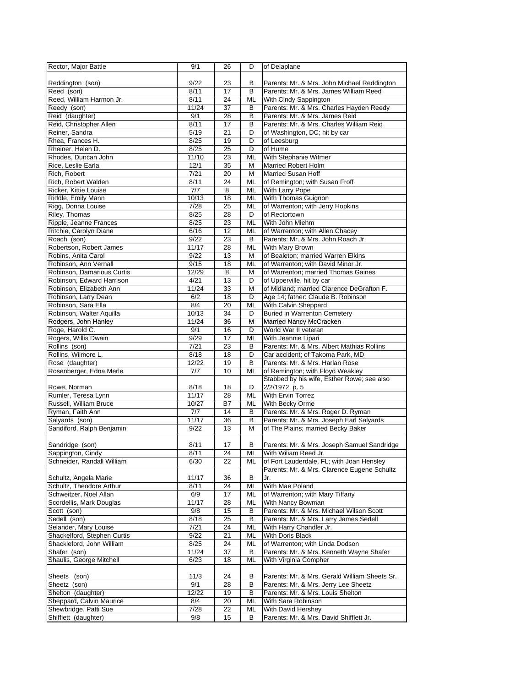| 9/22<br>23<br>В<br>Parents: Mr. & Mrs. John Michael Reddington<br>8/11<br>17<br>Parents: Mr. & Mrs. James William Reed<br>В<br>8/11<br>24<br>ML<br>With Cindy Sappington<br>Parents: Mr. & Mrs. Charles Hayden Reedy<br>11/24<br>37<br>B<br>Parents: Mr. & Mrs. James Reid<br>9/1<br>28<br>B<br>Parents: Mr. & Mrs. Charles William Reid<br>8/11<br>17<br>B<br>Reiner, Sandra<br>$\overline{21}$<br>5/19<br>D<br>of Washington, DC; hit by car<br>8/25<br>19<br>of Leesburg<br>D<br>Rheiner, Helen D.<br>8/25<br>25<br>D<br>of Hume<br>Rhodes, Duncan John<br>11/10<br>23<br>With Stephanie Witmer<br>ML<br>Rice, Leslie Earla<br>12/1<br>35<br>Married Robert Holm<br>M<br>Rich, Robert<br>7/21<br>20<br>M<br><b>Married Susan Hoff</b><br>Rich, Robert Walden<br>8/11<br>24<br>ML<br>of Remington; with Susan Froff<br>Ricker, Kittie Louise<br>$\overline{7/7}$<br>8<br>ML<br><b>With Larry Pope</b><br>Riddle, Emily Mann<br>10/13<br>18<br>ML<br>With Thomas Guignon<br>Rigg, Donna Louise<br>of Warrenton; with Jerry Hopkins<br>7/28<br>25<br>ML<br>Riley, Thomas<br>of Rectortown<br>8/25<br>28<br>D<br>$\overline{23}$<br>Ripple, Jeanne Frances<br>8/25<br>ML<br>With John Miehm<br>Ritchie, Carolyn Diane<br>6/16<br>12<br>ML<br>of Warrenton; with Allen Chacey<br>Roach (son)<br>9/22<br>23<br>Parents: Mr. & Mrs. John Roach Jr.<br>B<br>Robertson, Robert James<br>11/17<br>28<br>ML<br>With Mary Brown<br>of Bealeton: married Warren Elkins<br>Robins, Anita Carol<br>9/22<br>13<br>M<br>Robinson, Ann Vernall<br>9/15<br>18<br>of Warrenton; with David Minor Jr.<br>ML<br>Robinson, Damarious Curtis<br>12/29<br>8<br>of Warrenton; married Thomas Gaines<br>М<br>Robinson, Edward Harrison<br>4/21<br>13<br>of Upperville, hit by car<br>D<br>Robinson, Elizabeth Ann<br>11/24<br>33<br>M<br>of Midland; married Clarence DeGrafton F.<br>6/2<br>18<br>Age 14; father: Claude B. Robinson<br>D<br>Robinson, Sara Ella<br>8/4<br>20<br>ML<br>With Calvin Sheppard<br><b>Buried in Warrenton Cemetery</b><br>10/13<br>34<br>D<br>Rodgers, John Hanley<br>11/24<br>36<br>M<br>Married Nancy McCracken<br>9/1<br>16<br>D<br>World War II veteran<br>9/29<br>$\overline{17}$<br>Rogers, Willis Dwain<br>ML<br>With Jeannie Lipari<br>Rollins (son)<br>7/21<br>Parents: Mr. & Mrs. Albert Mathias Rollins<br>23<br>В<br>8/18<br>18<br>D<br>Car accident; of Takoma Park, MD<br>Rose (daughter)<br>12/22<br>19<br>B<br>Parents: Mr. & Mrs. Harlan Rose<br>Rosenberger, Edna Merle<br>of Remington; with Floyd Weakley<br>7/7<br>10<br>ML<br>Stabbed by his wife, Esther Rowe; see also<br>Rowe, Norman<br>D<br>2/2/1972, p. 5<br>8/18<br>18<br>11/17<br><b>With Ervin Torrez</b><br>Rumler, Teresa Lynn<br>28<br>ML<br>Russell, William Bruce<br>10/27<br><b>B7</b><br>ML<br>With Becky Orme<br>Parents: Mr. & Mrs. Roger D. Ryman<br>Ryman, Faith Ann<br>7/7<br>14<br>В<br>11/17<br>Salvards (son)<br>36<br>B<br>Parents: Mr. & Mrs. Joseph Earl Salyards<br>Sandiford, Ralph Benjamin<br>9/22<br>13<br>M<br>of The Plains; married Becky Baker<br>Sandridge (son)<br>8/11<br>17<br>B<br>Parents: Mr. & Mrs. Joseph Samuel Sandridge<br>Sappington, Cindy<br>8/11<br>24<br>ML<br>With William Reed Jr.<br>of Fort Lauderdale, FL; with Joan Hensley<br>Schneider, Randall William<br>6/30<br>22<br>ML<br>Parents: Mr. & Mrs. Clarence Eugene Schultz<br>B<br>Schultz, Angela Marie<br>11/17<br>36<br>Jr.<br>Schultz, Theodore Arthur<br><b>ML</b><br>With Mae Poland<br>8/11<br>24<br>Schweitzer, Noel Allan<br>of Warrenton; with Mary Tiffany<br>6/9<br>17<br>ML<br>Scordellis, Mark Douglas<br>11/17<br>With Nancy Bowman<br>28<br>ML<br>Parents: Mr. & Mrs. Michael Wilson Scott<br>15<br>Scott (son)<br>9/8<br>В<br>Sedell (son)<br>Parents: Mr. & Mrs. Larry James Sedell<br>8/18<br>25<br>в<br>Selander, Mary Louise<br>7/21<br>ML<br>With Harry Chandler Jr.<br>24<br>Shackelford, Stephen Curtis<br>9/22<br>21<br>With Doris Black<br>ML<br>Shackleford, John William<br>of Warrenton; with Linda Dodson<br>8/25<br>24<br>ML<br>Shafer (son)<br>11/24<br>Parents: Mr. & Mrs. Kenneth Wayne Shafer<br>37<br>В<br><b>ML</b><br>With Virginia Compher<br>6/23<br>18<br>11/3<br>24<br>Parents: Mr. & Mrs. Gerald William Sheets Sr.<br>в<br>9/1<br>В<br>Parents: Mr. & Mrs. Jerry Lee Sheetz<br>28<br>12/22<br>19<br>в<br>Parents: Mr. & Mrs. Louis Shelton<br>8/4<br>With Sara Robinson<br>20<br>ML<br>Shewbridge, Patti Sue<br>With David Hershey<br>7/28<br>22<br>ML<br>Parents: Mr. & Mrs. David Shifflett Jr.<br>9/8<br>15<br>В | Rector, Major Battle     | 9/1 | 26 | D | of Delaplane |
|---------------------------------------------------------------------------------------------------------------------------------------------------------------------------------------------------------------------------------------------------------------------------------------------------------------------------------------------------------------------------------------------------------------------------------------------------------------------------------------------------------------------------------------------------------------------------------------------------------------------------------------------------------------------------------------------------------------------------------------------------------------------------------------------------------------------------------------------------------------------------------------------------------------------------------------------------------------------------------------------------------------------------------------------------------------------------------------------------------------------------------------------------------------------------------------------------------------------------------------------------------------------------------------------------------------------------------------------------------------------------------------------------------------------------------------------------------------------------------------------------------------------------------------------------------------------------------------------------------------------------------------------------------------------------------------------------------------------------------------------------------------------------------------------------------------------------------------------------------------------------------------------------------------------------------------------------------------------------------------------------------------------------------------------------------------------------------------------------------------------------------------------------------------------------------------------------------------------------------------------------------------------------------------------------------------------------------------------------------------------------------------------------------------------------------------------------------------------------------------------------------------------------------------------------------------------------------------------------------------------------------------------------------------------------------------------------------------------------------------------------------------------------------------------------------------------------------------------------------------------------------------------------------------------------------------------------------------------------------------------------------------------------------------------------------------------------------------------------------------------------------------------------------------------------------------------------------------------------------------------------------------------------------------------------------------------------------------------------------------------------------------------------------------------------------------------------------------------------------------------------------------------------------------------------------------------------------------------------------------------------------------------------------------------------------------------------------------------------------------------------------------------------------------------------------------------------------------------------------------------------------------------------------------------------------------------------------------------------------------------------------------------------------------------------------------------------------------------------------------------------------------------------------------------------------------------------------------------------------------------------------------------------------------------------------------------------------------------------------------------------------------------------------------------------------------------------------------------------------------------------------------------------------------------------------|--------------------------|-----|----|---|--------------|
|                                                                                                                                                                                                                                                                                                                                                                                                                                                                                                                                                                                                                                                                                                                                                                                                                                                                                                                                                                                                                                                                                                                                                                                                                                                                                                                                                                                                                                                                                                                                                                                                                                                                                                                                                                                                                                                                                                                                                                                                                                                                                                                                                                                                                                                                                                                                                                                                                                                                                                                                                                                                                                                                                                                                                                                                                                                                                                                                                                                                                                                                                                                                                                                                                                                                                                                                                                                                                                                                                                                                                                                                                                                                                                                                                                                                                                                                                                                                                                                                                                                                                                                                                                                                                                                                                                                                                                                                                                                                                                                                                         |                          |     |    |   |              |
|                                                                                                                                                                                                                                                                                                                                                                                                                                                                                                                                                                                                                                                                                                                                                                                                                                                                                                                                                                                                                                                                                                                                                                                                                                                                                                                                                                                                                                                                                                                                                                                                                                                                                                                                                                                                                                                                                                                                                                                                                                                                                                                                                                                                                                                                                                                                                                                                                                                                                                                                                                                                                                                                                                                                                                                                                                                                                                                                                                                                                                                                                                                                                                                                                                                                                                                                                                                                                                                                                                                                                                                                                                                                                                                                                                                                                                                                                                                                                                                                                                                                                                                                                                                                                                                                                                                                                                                                                                                                                                                                                         | Reddington (son)         |     |    |   |              |
|                                                                                                                                                                                                                                                                                                                                                                                                                                                                                                                                                                                                                                                                                                                                                                                                                                                                                                                                                                                                                                                                                                                                                                                                                                                                                                                                                                                                                                                                                                                                                                                                                                                                                                                                                                                                                                                                                                                                                                                                                                                                                                                                                                                                                                                                                                                                                                                                                                                                                                                                                                                                                                                                                                                                                                                                                                                                                                                                                                                                                                                                                                                                                                                                                                                                                                                                                                                                                                                                                                                                                                                                                                                                                                                                                                                                                                                                                                                                                                                                                                                                                                                                                                                                                                                                                                                                                                                                                                                                                                                                                         | Reed (son)               |     |    |   |              |
|                                                                                                                                                                                                                                                                                                                                                                                                                                                                                                                                                                                                                                                                                                                                                                                                                                                                                                                                                                                                                                                                                                                                                                                                                                                                                                                                                                                                                                                                                                                                                                                                                                                                                                                                                                                                                                                                                                                                                                                                                                                                                                                                                                                                                                                                                                                                                                                                                                                                                                                                                                                                                                                                                                                                                                                                                                                                                                                                                                                                                                                                                                                                                                                                                                                                                                                                                                                                                                                                                                                                                                                                                                                                                                                                                                                                                                                                                                                                                                                                                                                                                                                                                                                                                                                                                                                                                                                                                                                                                                                                                         | Reed, William Harmon Jr. |     |    |   |              |
|                                                                                                                                                                                                                                                                                                                                                                                                                                                                                                                                                                                                                                                                                                                                                                                                                                                                                                                                                                                                                                                                                                                                                                                                                                                                                                                                                                                                                                                                                                                                                                                                                                                                                                                                                                                                                                                                                                                                                                                                                                                                                                                                                                                                                                                                                                                                                                                                                                                                                                                                                                                                                                                                                                                                                                                                                                                                                                                                                                                                                                                                                                                                                                                                                                                                                                                                                                                                                                                                                                                                                                                                                                                                                                                                                                                                                                                                                                                                                                                                                                                                                                                                                                                                                                                                                                                                                                                                                                                                                                                                                         | Reedy (son)              |     |    |   |              |
|                                                                                                                                                                                                                                                                                                                                                                                                                                                                                                                                                                                                                                                                                                                                                                                                                                                                                                                                                                                                                                                                                                                                                                                                                                                                                                                                                                                                                                                                                                                                                                                                                                                                                                                                                                                                                                                                                                                                                                                                                                                                                                                                                                                                                                                                                                                                                                                                                                                                                                                                                                                                                                                                                                                                                                                                                                                                                                                                                                                                                                                                                                                                                                                                                                                                                                                                                                                                                                                                                                                                                                                                                                                                                                                                                                                                                                                                                                                                                                                                                                                                                                                                                                                                                                                                                                                                                                                                                                                                                                                                                         | Reid (daughter)          |     |    |   |              |
|                                                                                                                                                                                                                                                                                                                                                                                                                                                                                                                                                                                                                                                                                                                                                                                                                                                                                                                                                                                                                                                                                                                                                                                                                                                                                                                                                                                                                                                                                                                                                                                                                                                                                                                                                                                                                                                                                                                                                                                                                                                                                                                                                                                                                                                                                                                                                                                                                                                                                                                                                                                                                                                                                                                                                                                                                                                                                                                                                                                                                                                                                                                                                                                                                                                                                                                                                                                                                                                                                                                                                                                                                                                                                                                                                                                                                                                                                                                                                                                                                                                                                                                                                                                                                                                                                                                                                                                                                                                                                                                                                         | Reid, Christopher Allen  |     |    |   |              |
|                                                                                                                                                                                                                                                                                                                                                                                                                                                                                                                                                                                                                                                                                                                                                                                                                                                                                                                                                                                                                                                                                                                                                                                                                                                                                                                                                                                                                                                                                                                                                                                                                                                                                                                                                                                                                                                                                                                                                                                                                                                                                                                                                                                                                                                                                                                                                                                                                                                                                                                                                                                                                                                                                                                                                                                                                                                                                                                                                                                                                                                                                                                                                                                                                                                                                                                                                                                                                                                                                                                                                                                                                                                                                                                                                                                                                                                                                                                                                                                                                                                                                                                                                                                                                                                                                                                                                                                                                                                                                                                                                         |                          |     |    |   |              |
|                                                                                                                                                                                                                                                                                                                                                                                                                                                                                                                                                                                                                                                                                                                                                                                                                                                                                                                                                                                                                                                                                                                                                                                                                                                                                                                                                                                                                                                                                                                                                                                                                                                                                                                                                                                                                                                                                                                                                                                                                                                                                                                                                                                                                                                                                                                                                                                                                                                                                                                                                                                                                                                                                                                                                                                                                                                                                                                                                                                                                                                                                                                                                                                                                                                                                                                                                                                                                                                                                                                                                                                                                                                                                                                                                                                                                                                                                                                                                                                                                                                                                                                                                                                                                                                                                                                                                                                                                                                                                                                                                         | Rhea, Frances H.         |     |    |   |              |
|                                                                                                                                                                                                                                                                                                                                                                                                                                                                                                                                                                                                                                                                                                                                                                                                                                                                                                                                                                                                                                                                                                                                                                                                                                                                                                                                                                                                                                                                                                                                                                                                                                                                                                                                                                                                                                                                                                                                                                                                                                                                                                                                                                                                                                                                                                                                                                                                                                                                                                                                                                                                                                                                                                                                                                                                                                                                                                                                                                                                                                                                                                                                                                                                                                                                                                                                                                                                                                                                                                                                                                                                                                                                                                                                                                                                                                                                                                                                                                                                                                                                                                                                                                                                                                                                                                                                                                                                                                                                                                                                                         |                          |     |    |   |              |
|                                                                                                                                                                                                                                                                                                                                                                                                                                                                                                                                                                                                                                                                                                                                                                                                                                                                                                                                                                                                                                                                                                                                                                                                                                                                                                                                                                                                                                                                                                                                                                                                                                                                                                                                                                                                                                                                                                                                                                                                                                                                                                                                                                                                                                                                                                                                                                                                                                                                                                                                                                                                                                                                                                                                                                                                                                                                                                                                                                                                                                                                                                                                                                                                                                                                                                                                                                                                                                                                                                                                                                                                                                                                                                                                                                                                                                                                                                                                                                                                                                                                                                                                                                                                                                                                                                                                                                                                                                                                                                                                                         |                          |     |    |   |              |
|                                                                                                                                                                                                                                                                                                                                                                                                                                                                                                                                                                                                                                                                                                                                                                                                                                                                                                                                                                                                                                                                                                                                                                                                                                                                                                                                                                                                                                                                                                                                                                                                                                                                                                                                                                                                                                                                                                                                                                                                                                                                                                                                                                                                                                                                                                                                                                                                                                                                                                                                                                                                                                                                                                                                                                                                                                                                                                                                                                                                                                                                                                                                                                                                                                                                                                                                                                                                                                                                                                                                                                                                                                                                                                                                                                                                                                                                                                                                                                                                                                                                                                                                                                                                                                                                                                                                                                                                                                                                                                                                                         |                          |     |    |   |              |
|                                                                                                                                                                                                                                                                                                                                                                                                                                                                                                                                                                                                                                                                                                                                                                                                                                                                                                                                                                                                                                                                                                                                                                                                                                                                                                                                                                                                                                                                                                                                                                                                                                                                                                                                                                                                                                                                                                                                                                                                                                                                                                                                                                                                                                                                                                                                                                                                                                                                                                                                                                                                                                                                                                                                                                                                                                                                                                                                                                                                                                                                                                                                                                                                                                                                                                                                                                                                                                                                                                                                                                                                                                                                                                                                                                                                                                                                                                                                                                                                                                                                                                                                                                                                                                                                                                                                                                                                                                                                                                                                                         |                          |     |    |   |              |
|                                                                                                                                                                                                                                                                                                                                                                                                                                                                                                                                                                                                                                                                                                                                                                                                                                                                                                                                                                                                                                                                                                                                                                                                                                                                                                                                                                                                                                                                                                                                                                                                                                                                                                                                                                                                                                                                                                                                                                                                                                                                                                                                                                                                                                                                                                                                                                                                                                                                                                                                                                                                                                                                                                                                                                                                                                                                                                                                                                                                                                                                                                                                                                                                                                                                                                                                                                                                                                                                                                                                                                                                                                                                                                                                                                                                                                                                                                                                                                                                                                                                                                                                                                                                                                                                                                                                                                                                                                                                                                                                                         |                          |     |    |   |              |
|                                                                                                                                                                                                                                                                                                                                                                                                                                                                                                                                                                                                                                                                                                                                                                                                                                                                                                                                                                                                                                                                                                                                                                                                                                                                                                                                                                                                                                                                                                                                                                                                                                                                                                                                                                                                                                                                                                                                                                                                                                                                                                                                                                                                                                                                                                                                                                                                                                                                                                                                                                                                                                                                                                                                                                                                                                                                                                                                                                                                                                                                                                                                                                                                                                                                                                                                                                                                                                                                                                                                                                                                                                                                                                                                                                                                                                                                                                                                                                                                                                                                                                                                                                                                                                                                                                                                                                                                                                                                                                                                                         |                          |     |    |   |              |
|                                                                                                                                                                                                                                                                                                                                                                                                                                                                                                                                                                                                                                                                                                                                                                                                                                                                                                                                                                                                                                                                                                                                                                                                                                                                                                                                                                                                                                                                                                                                                                                                                                                                                                                                                                                                                                                                                                                                                                                                                                                                                                                                                                                                                                                                                                                                                                                                                                                                                                                                                                                                                                                                                                                                                                                                                                                                                                                                                                                                                                                                                                                                                                                                                                                                                                                                                                                                                                                                                                                                                                                                                                                                                                                                                                                                                                                                                                                                                                                                                                                                                                                                                                                                                                                                                                                                                                                                                                                                                                                                                         |                          |     |    |   |              |
|                                                                                                                                                                                                                                                                                                                                                                                                                                                                                                                                                                                                                                                                                                                                                                                                                                                                                                                                                                                                                                                                                                                                                                                                                                                                                                                                                                                                                                                                                                                                                                                                                                                                                                                                                                                                                                                                                                                                                                                                                                                                                                                                                                                                                                                                                                                                                                                                                                                                                                                                                                                                                                                                                                                                                                                                                                                                                                                                                                                                                                                                                                                                                                                                                                                                                                                                                                                                                                                                                                                                                                                                                                                                                                                                                                                                                                                                                                                                                                                                                                                                                                                                                                                                                                                                                                                                                                                                                                                                                                                                                         |                          |     |    |   |              |
|                                                                                                                                                                                                                                                                                                                                                                                                                                                                                                                                                                                                                                                                                                                                                                                                                                                                                                                                                                                                                                                                                                                                                                                                                                                                                                                                                                                                                                                                                                                                                                                                                                                                                                                                                                                                                                                                                                                                                                                                                                                                                                                                                                                                                                                                                                                                                                                                                                                                                                                                                                                                                                                                                                                                                                                                                                                                                                                                                                                                                                                                                                                                                                                                                                                                                                                                                                                                                                                                                                                                                                                                                                                                                                                                                                                                                                                                                                                                                                                                                                                                                                                                                                                                                                                                                                                                                                                                                                                                                                                                                         |                          |     |    |   |              |
|                                                                                                                                                                                                                                                                                                                                                                                                                                                                                                                                                                                                                                                                                                                                                                                                                                                                                                                                                                                                                                                                                                                                                                                                                                                                                                                                                                                                                                                                                                                                                                                                                                                                                                                                                                                                                                                                                                                                                                                                                                                                                                                                                                                                                                                                                                                                                                                                                                                                                                                                                                                                                                                                                                                                                                                                                                                                                                                                                                                                                                                                                                                                                                                                                                                                                                                                                                                                                                                                                                                                                                                                                                                                                                                                                                                                                                                                                                                                                                                                                                                                                                                                                                                                                                                                                                                                                                                                                                                                                                                                                         |                          |     |    |   |              |
|                                                                                                                                                                                                                                                                                                                                                                                                                                                                                                                                                                                                                                                                                                                                                                                                                                                                                                                                                                                                                                                                                                                                                                                                                                                                                                                                                                                                                                                                                                                                                                                                                                                                                                                                                                                                                                                                                                                                                                                                                                                                                                                                                                                                                                                                                                                                                                                                                                                                                                                                                                                                                                                                                                                                                                                                                                                                                                                                                                                                                                                                                                                                                                                                                                                                                                                                                                                                                                                                                                                                                                                                                                                                                                                                                                                                                                                                                                                                                                                                                                                                                                                                                                                                                                                                                                                                                                                                                                                                                                                                                         |                          |     |    |   |              |
|                                                                                                                                                                                                                                                                                                                                                                                                                                                                                                                                                                                                                                                                                                                                                                                                                                                                                                                                                                                                                                                                                                                                                                                                                                                                                                                                                                                                                                                                                                                                                                                                                                                                                                                                                                                                                                                                                                                                                                                                                                                                                                                                                                                                                                                                                                                                                                                                                                                                                                                                                                                                                                                                                                                                                                                                                                                                                                                                                                                                                                                                                                                                                                                                                                                                                                                                                                                                                                                                                                                                                                                                                                                                                                                                                                                                                                                                                                                                                                                                                                                                                                                                                                                                                                                                                                                                                                                                                                                                                                                                                         |                          |     |    |   |              |
|                                                                                                                                                                                                                                                                                                                                                                                                                                                                                                                                                                                                                                                                                                                                                                                                                                                                                                                                                                                                                                                                                                                                                                                                                                                                                                                                                                                                                                                                                                                                                                                                                                                                                                                                                                                                                                                                                                                                                                                                                                                                                                                                                                                                                                                                                                                                                                                                                                                                                                                                                                                                                                                                                                                                                                                                                                                                                                                                                                                                                                                                                                                                                                                                                                                                                                                                                                                                                                                                                                                                                                                                                                                                                                                                                                                                                                                                                                                                                                                                                                                                                                                                                                                                                                                                                                                                                                                                                                                                                                                                                         |                          |     |    |   |              |
|                                                                                                                                                                                                                                                                                                                                                                                                                                                                                                                                                                                                                                                                                                                                                                                                                                                                                                                                                                                                                                                                                                                                                                                                                                                                                                                                                                                                                                                                                                                                                                                                                                                                                                                                                                                                                                                                                                                                                                                                                                                                                                                                                                                                                                                                                                                                                                                                                                                                                                                                                                                                                                                                                                                                                                                                                                                                                                                                                                                                                                                                                                                                                                                                                                                                                                                                                                                                                                                                                                                                                                                                                                                                                                                                                                                                                                                                                                                                                                                                                                                                                                                                                                                                                                                                                                                                                                                                                                                                                                                                                         |                          |     |    |   |              |
|                                                                                                                                                                                                                                                                                                                                                                                                                                                                                                                                                                                                                                                                                                                                                                                                                                                                                                                                                                                                                                                                                                                                                                                                                                                                                                                                                                                                                                                                                                                                                                                                                                                                                                                                                                                                                                                                                                                                                                                                                                                                                                                                                                                                                                                                                                                                                                                                                                                                                                                                                                                                                                                                                                                                                                                                                                                                                                                                                                                                                                                                                                                                                                                                                                                                                                                                                                                                                                                                                                                                                                                                                                                                                                                                                                                                                                                                                                                                                                                                                                                                                                                                                                                                                                                                                                                                                                                                                                                                                                                                                         |                          |     |    |   |              |
|                                                                                                                                                                                                                                                                                                                                                                                                                                                                                                                                                                                                                                                                                                                                                                                                                                                                                                                                                                                                                                                                                                                                                                                                                                                                                                                                                                                                                                                                                                                                                                                                                                                                                                                                                                                                                                                                                                                                                                                                                                                                                                                                                                                                                                                                                                                                                                                                                                                                                                                                                                                                                                                                                                                                                                                                                                                                                                                                                                                                                                                                                                                                                                                                                                                                                                                                                                                                                                                                                                                                                                                                                                                                                                                                                                                                                                                                                                                                                                                                                                                                                                                                                                                                                                                                                                                                                                                                                                                                                                                                                         |                          |     |    |   |              |
|                                                                                                                                                                                                                                                                                                                                                                                                                                                                                                                                                                                                                                                                                                                                                                                                                                                                                                                                                                                                                                                                                                                                                                                                                                                                                                                                                                                                                                                                                                                                                                                                                                                                                                                                                                                                                                                                                                                                                                                                                                                                                                                                                                                                                                                                                                                                                                                                                                                                                                                                                                                                                                                                                                                                                                                                                                                                                                                                                                                                                                                                                                                                                                                                                                                                                                                                                                                                                                                                                                                                                                                                                                                                                                                                                                                                                                                                                                                                                                                                                                                                                                                                                                                                                                                                                                                                                                                                                                                                                                                                                         |                          |     |    |   |              |
|                                                                                                                                                                                                                                                                                                                                                                                                                                                                                                                                                                                                                                                                                                                                                                                                                                                                                                                                                                                                                                                                                                                                                                                                                                                                                                                                                                                                                                                                                                                                                                                                                                                                                                                                                                                                                                                                                                                                                                                                                                                                                                                                                                                                                                                                                                                                                                                                                                                                                                                                                                                                                                                                                                                                                                                                                                                                                                                                                                                                                                                                                                                                                                                                                                                                                                                                                                                                                                                                                                                                                                                                                                                                                                                                                                                                                                                                                                                                                                                                                                                                                                                                                                                                                                                                                                                                                                                                                                                                                                                                                         |                          |     |    |   |              |
|                                                                                                                                                                                                                                                                                                                                                                                                                                                                                                                                                                                                                                                                                                                                                                                                                                                                                                                                                                                                                                                                                                                                                                                                                                                                                                                                                                                                                                                                                                                                                                                                                                                                                                                                                                                                                                                                                                                                                                                                                                                                                                                                                                                                                                                                                                                                                                                                                                                                                                                                                                                                                                                                                                                                                                                                                                                                                                                                                                                                                                                                                                                                                                                                                                                                                                                                                                                                                                                                                                                                                                                                                                                                                                                                                                                                                                                                                                                                                                                                                                                                                                                                                                                                                                                                                                                                                                                                                                                                                                                                                         |                          |     |    |   |              |
|                                                                                                                                                                                                                                                                                                                                                                                                                                                                                                                                                                                                                                                                                                                                                                                                                                                                                                                                                                                                                                                                                                                                                                                                                                                                                                                                                                                                                                                                                                                                                                                                                                                                                                                                                                                                                                                                                                                                                                                                                                                                                                                                                                                                                                                                                                                                                                                                                                                                                                                                                                                                                                                                                                                                                                                                                                                                                                                                                                                                                                                                                                                                                                                                                                                                                                                                                                                                                                                                                                                                                                                                                                                                                                                                                                                                                                                                                                                                                                                                                                                                                                                                                                                                                                                                                                                                                                                                                                                                                                                                                         | Robinson, Larry Dean     |     |    |   |              |
|                                                                                                                                                                                                                                                                                                                                                                                                                                                                                                                                                                                                                                                                                                                                                                                                                                                                                                                                                                                                                                                                                                                                                                                                                                                                                                                                                                                                                                                                                                                                                                                                                                                                                                                                                                                                                                                                                                                                                                                                                                                                                                                                                                                                                                                                                                                                                                                                                                                                                                                                                                                                                                                                                                                                                                                                                                                                                                                                                                                                                                                                                                                                                                                                                                                                                                                                                                                                                                                                                                                                                                                                                                                                                                                                                                                                                                                                                                                                                                                                                                                                                                                                                                                                                                                                                                                                                                                                                                                                                                                                                         |                          |     |    |   |              |
|                                                                                                                                                                                                                                                                                                                                                                                                                                                                                                                                                                                                                                                                                                                                                                                                                                                                                                                                                                                                                                                                                                                                                                                                                                                                                                                                                                                                                                                                                                                                                                                                                                                                                                                                                                                                                                                                                                                                                                                                                                                                                                                                                                                                                                                                                                                                                                                                                                                                                                                                                                                                                                                                                                                                                                                                                                                                                                                                                                                                                                                                                                                                                                                                                                                                                                                                                                                                                                                                                                                                                                                                                                                                                                                                                                                                                                                                                                                                                                                                                                                                                                                                                                                                                                                                                                                                                                                                                                                                                                                                                         | Robinson, Walter Aguilla |     |    |   |              |
|                                                                                                                                                                                                                                                                                                                                                                                                                                                                                                                                                                                                                                                                                                                                                                                                                                                                                                                                                                                                                                                                                                                                                                                                                                                                                                                                                                                                                                                                                                                                                                                                                                                                                                                                                                                                                                                                                                                                                                                                                                                                                                                                                                                                                                                                                                                                                                                                                                                                                                                                                                                                                                                                                                                                                                                                                                                                                                                                                                                                                                                                                                                                                                                                                                                                                                                                                                                                                                                                                                                                                                                                                                                                                                                                                                                                                                                                                                                                                                                                                                                                                                                                                                                                                                                                                                                                                                                                                                                                                                                                                         |                          |     |    |   |              |
|                                                                                                                                                                                                                                                                                                                                                                                                                                                                                                                                                                                                                                                                                                                                                                                                                                                                                                                                                                                                                                                                                                                                                                                                                                                                                                                                                                                                                                                                                                                                                                                                                                                                                                                                                                                                                                                                                                                                                                                                                                                                                                                                                                                                                                                                                                                                                                                                                                                                                                                                                                                                                                                                                                                                                                                                                                                                                                                                                                                                                                                                                                                                                                                                                                                                                                                                                                                                                                                                                                                                                                                                                                                                                                                                                                                                                                                                                                                                                                                                                                                                                                                                                                                                                                                                                                                                                                                                                                                                                                                                                         | Roge, Harold C.          |     |    |   |              |
|                                                                                                                                                                                                                                                                                                                                                                                                                                                                                                                                                                                                                                                                                                                                                                                                                                                                                                                                                                                                                                                                                                                                                                                                                                                                                                                                                                                                                                                                                                                                                                                                                                                                                                                                                                                                                                                                                                                                                                                                                                                                                                                                                                                                                                                                                                                                                                                                                                                                                                                                                                                                                                                                                                                                                                                                                                                                                                                                                                                                                                                                                                                                                                                                                                                                                                                                                                                                                                                                                                                                                                                                                                                                                                                                                                                                                                                                                                                                                                                                                                                                                                                                                                                                                                                                                                                                                                                                                                                                                                                                                         |                          |     |    |   |              |
|                                                                                                                                                                                                                                                                                                                                                                                                                                                                                                                                                                                                                                                                                                                                                                                                                                                                                                                                                                                                                                                                                                                                                                                                                                                                                                                                                                                                                                                                                                                                                                                                                                                                                                                                                                                                                                                                                                                                                                                                                                                                                                                                                                                                                                                                                                                                                                                                                                                                                                                                                                                                                                                                                                                                                                                                                                                                                                                                                                                                                                                                                                                                                                                                                                                                                                                                                                                                                                                                                                                                                                                                                                                                                                                                                                                                                                                                                                                                                                                                                                                                                                                                                                                                                                                                                                                                                                                                                                                                                                                                                         |                          |     |    |   |              |
|                                                                                                                                                                                                                                                                                                                                                                                                                                                                                                                                                                                                                                                                                                                                                                                                                                                                                                                                                                                                                                                                                                                                                                                                                                                                                                                                                                                                                                                                                                                                                                                                                                                                                                                                                                                                                                                                                                                                                                                                                                                                                                                                                                                                                                                                                                                                                                                                                                                                                                                                                                                                                                                                                                                                                                                                                                                                                                                                                                                                                                                                                                                                                                                                                                                                                                                                                                                                                                                                                                                                                                                                                                                                                                                                                                                                                                                                                                                                                                                                                                                                                                                                                                                                                                                                                                                                                                                                                                                                                                                                                         | Rollins, Wilmore L.      |     |    |   |              |
|                                                                                                                                                                                                                                                                                                                                                                                                                                                                                                                                                                                                                                                                                                                                                                                                                                                                                                                                                                                                                                                                                                                                                                                                                                                                                                                                                                                                                                                                                                                                                                                                                                                                                                                                                                                                                                                                                                                                                                                                                                                                                                                                                                                                                                                                                                                                                                                                                                                                                                                                                                                                                                                                                                                                                                                                                                                                                                                                                                                                                                                                                                                                                                                                                                                                                                                                                                                                                                                                                                                                                                                                                                                                                                                                                                                                                                                                                                                                                                                                                                                                                                                                                                                                                                                                                                                                                                                                                                                                                                                                                         |                          |     |    |   |              |
|                                                                                                                                                                                                                                                                                                                                                                                                                                                                                                                                                                                                                                                                                                                                                                                                                                                                                                                                                                                                                                                                                                                                                                                                                                                                                                                                                                                                                                                                                                                                                                                                                                                                                                                                                                                                                                                                                                                                                                                                                                                                                                                                                                                                                                                                                                                                                                                                                                                                                                                                                                                                                                                                                                                                                                                                                                                                                                                                                                                                                                                                                                                                                                                                                                                                                                                                                                                                                                                                                                                                                                                                                                                                                                                                                                                                                                                                                                                                                                                                                                                                                                                                                                                                                                                                                                                                                                                                                                                                                                                                                         |                          |     |    |   |              |
|                                                                                                                                                                                                                                                                                                                                                                                                                                                                                                                                                                                                                                                                                                                                                                                                                                                                                                                                                                                                                                                                                                                                                                                                                                                                                                                                                                                                                                                                                                                                                                                                                                                                                                                                                                                                                                                                                                                                                                                                                                                                                                                                                                                                                                                                                                                                                                                                                                                                                                                                                                                                                                                                                                                                                                                                                                                                                                                                                                                                                                                                                                                                                                                                                                                                                                                                                                                                                                                                                                                                                                                                                                                                                                                                                                                                                                                                                                                                                                                                                                                                                                                                                                                                                                                                                                                                                                                                                                                                                                                                                         |                          |     |    |   |              |
|                                                                                                                                                                                                                                                                                                                                                                                                                                                                                                                                                                                                                                                                                                                                                                                                                                                                                                                                                                                                                                                                                                                                                                                                                                                                                                                                                                                                                                                                                                                                                                                                                                                                                                                                                                                                                                                                                                                                                                                                                                                                                                                                                                                                                                                                                                                                                                                                                                                                                                                                                                                                                                                                                                                                                                                                                                                                                                                                                                                                                                                                                                                                                                                                                                                                                                                                                                                                                                                                                                                                                                                                                                                                                                                                                                                                                                                                                                                                                                                                                                                                                                                                                                                                                                                                                                                                                                                                                                                                                                                                                         |                          |     |    |   |              |
|                                                                                                                                                                                                                                                                                                                                                                                                                                                                                                                                                                                                                                                                                                                                                                                                                                                                                                                                                                                                                                                                                                                                                                                                                                                                                                                                                                                                                                                                                                                                                                                                                                                                                                                                                                                                                                                                                                                                                                                                                                                                                                                                                                                                                                                                                                                                                                                                                                                                                                                                                                                                                                                                                                                                                                                                                                                                                                                                                                                                                                                                                                                                                                                                                                                                                                                                                                                                                                                                                                                                                                                                                                                                                                                                                                                                                                                                                                                                                                                                                                                                                                                                                                                                                                                                                                                                                                                                                                                                                                                                                         |                          |     |    |   |              |
|                                                                                                                                                                                                                                                                                                                                                                                                                                                                                                                                                                                                                                                                                                                                                                                                                                                                                                                                                                                                                                                                                                                                                                                                                                                                                                                                                                                                                                                                                                                                                                                                                                                                                                                                                                                                                                                                                                                                                                                                                                                                                                                                                                                                                                                                                                                                                                                                                                                                                                                                                                                                                                                                                                                                                                                                                                                                                                                                                                                                                                                                                                                                                                                                                                                                                                                                                                                                                                                                                                                                                                                                                                                                                                                                                                                                                                                                                                                                                                                                                                                                                                                                                                                                                                                                                                                                                                                                                                                                                                                                                         |                          |     |    |   |              |
|                                                                                                                                                                                                                                                                                                                                                                                                                                                                                                                                                                                                                                                                                                                                                                                                                                                                                                                                                                                                                                                                                                                                                                                                                                                                                                                                                                                                                                                                                                                                                                                                                                                                                                                                                                                                                                                                                                                                                                                                                                                                                                                                                                                                                                                                                                                                                                                                                                                                                                                                                                                                                                                                                                                                                                                                                                                                                                                                                                                                                                                                                                                                                                                                                                                                                                                                                                                                                                                                                                                                                                                                                                                                                                                                                                                                                                                                                                                                                                                                                                                                                                                                                                                                                                                                                                                                                                                                                                                                                                                                                         |                          |     |    |   |              |
|                                                                                                                                                                                                                                                                                                                                                                                                                                                                                                                                                                                                                                                                                                                                                                                                                                                                                                                                                                                                                                                                                                                                                                                                                                                                                                                                                                                                                                                                                                                                                                                                                                                                                                                                                                                                                                                                                                                                                                                                                                                                                                                                                                                                                                                                                                                                                                                                                                                                                                                                                                                                                                                                                                                                                                                                                                                                                                                                                                                                                                                                                                                                                                                                                                                                                                                                                                                                                                                                                                                                                                                                                                                                                                                                                                                                                                                                                                                                                                                                                                                                                                                                                                                                                                                                                                                                                                                                                                                                                                                                                         |                          |     |    |   |              |
|                                                                                                                                                                                                                                                                                                                                                                                                                                                                                                                                                                                                                                                                                                                                                                                                                                                                                                                                                                                                                                                                                                                                                                                                                                                                                                                                                                                                                                                                                                                                                                                                                                                                                                                                                                                                                                                                                                                                                                                                                                                                                                                                                                                                                                                                                                                                                                                                                                                                                                                                                                                                                                                                                                                                                                                                                                                                                                                                                                                                                                                                                                                                                                                                                                                                                                                                                                                                                                                                                                                                                                                                                                                                                                                                                                                                                                                                                                                                                                                                                                                                                                                                                                                                                                                                                                                                                                                                                                                                                                                                                         |                          |     |    |   |              |
|                                                                                                                                                                                                                                                                                                                                                                                                                                                                                                                                                                                                                                                                                                                                                                                                                                                                                                                                                                                                                                                                                                                                                                                                                                                                                                                                                                                                                                                                                                                                                                                                                                                                                                                                                                                                                                                                                                                                                                                                                                                                                                                                                                                                                                                                                                                                                                                                                                                                                                                                                                                                                                                                                                                                                                                                                                                                                                                                                                                                                                                                                                                                                                                                                                                                                                                                                                                                                                                                                                                                                                                                                                                                                                                                                                                                                                                                                                                                                                                                                                                                                                                                                                                                                                                                                                                                                                                                                                                                                                                                                         |                          |     |    |   |              |
|                                                                                                                                                                                                                                                                                                                                                                                                                                                                                                                                                                                                                                                                                                                                                                                                                                                                                                                                                                                                                                                                                                                                                                                                                                                                                                                                                                                                                                                                                                                                                                                                                                                                                                                                                                                                                                                                                                                                                                                                                                                                                                                                                                                                                                                                                                                                                                                                                                                                                                                                                                                                                                                                                                                                                                                                                                                                                                                                                                                                                                                                                                                                                                                                                                                                                                                                                                                                                                                                                                                                                                                                                                                                                                                                                                                                                                                                                                                                                                                                                                                                                                                                                                                                                                                                                                                                                                                                                                                                                                                                                         |                          |     |    |   |              |
|                                                                                                                                                                                                                                                                                                                                                                                                                                                                                                                                                                                                                                                                                                                                                                                                                                                                                                                                                                                                                                                                                                                                                                                                                                                                                                                                                                                                                                                                                                                                                                                                                                                                                                                                                                                                                                                                                                                                                                                                                                                                                                                                                                                                                                                                                                                                                                                                                                                                                                                                                                                                                                                                                                                                                                                                                                                                                                                                                                                                                                                                                                                                                                                                                                                                                                                                                                                                                                                                                                                                                                                                                                                                                                                                                                                                                                                                                                                                                                                                                                                                                                                                                                                                                                                                                                                                                                                                                                                                                                                                                         |                          |     |    |   |              |
|                                                                                                                                                                                                                                                                                                                                                                                                                                                                                                                                                                                                                                                                                                                                                                                                                                                                                                                                                                                                                                                                                                                                                                                                                                                                                                                                                                                                                                                                                                                                                                                                                                                                                                                                                                                                                                                                                                                                                                                                                                                                                                                                                                                                                                                                                                                                                                                                                                                                                                                                                                                                                                                                                                                                                                                                                                                                                                                                                                                                                                                                                                                                                                                                                                                                                                                                                                                                                                                                                                                                                                                                                                                                                                                                                                                                                                                                                                                                                                                                                                                                                                                                                                                                                                                                                                                                                                                                                                                                                                                                                         |                          |     |    |   |              |
|                                                                                                                                                                                                                                                                                                                                                                                                                                                                                                                                                                                                                                                                                                                                                                                                                                                                                                                                                                                                                                                                                                                                                                                                                                                                                                                                                                                                                                                                                                                                                                                                                                                                                                                                                                                                                                                                                                                                                                                                                                                                                                                                                                                                                                                                                                                                                                                                                                                                                                                                                                                                                                                                                                                                                                                                                                                                                                                                                                                                                                                                                                                                                                                                                                                                                                                                                                                                                                                                                                                                                                                                                                                                                                                                                                                                                                                                                                                                                                                                                                                                                                                                                                                                                                                                                                                                                                                                                                                                                                                                                         |                          |     |    |   |              |
|                                                                                                                                                                                                                                                                                                                                                                                                                                                                                                                                                                                                                                                                                                                                                                                                                                                                                                                                                                                                                                                                                                                                                                                                                                                                                                                                                                                                                                                                                                                                                                                                                                                                                                                                                                                                                                                                                                                                                                                                                                                                                                                                                                                                                                                                                                                                                                                                                                                                                                                                                                                                                                                                                                                                                                                                                                                                                                                                                                                                                                                                                                                                                                                                                                                                                                                                                                                                                                                                                                                                                                                                                                                                                                                                                                                                                                                                                                                                                                                                                                                                                                                                                                                                                                                                                                                                                                                                                                                                                                                                                         |                          |     |    |   |              |
|                                                                                                                                                                                                                                                                                                                                                                                                                                                                                                                                                                                                                                                                                                                                                                                                                                                                                                                                                                                                                                                                                                                                                                                                                                                                                                                                                                                                                                                                                                                                                                                                                                                                                                                                                                                                                                                                                                                                                                                                                                                                                                                                                                                                                                                                                                                                                                                                                                                                                                                                                                                                                                                                                                                                                                                                                                                                                                                                                                                                                                                                                                                                                                                                                                                                                                                                                                                                                                                                                                                                                                                                                                                                                                                                                                                                                                                                                                                                                                                                                                                                                                                                                                                                                                                                                                                                                                                                                                                                                                                                                         |                          |     |    |   |              |
|                                                                                                                                                                                                                                                                                                                                                                                                                                                                                                                                                                                                                                                                                                                                                                                                                                                                                                                                                                                                                                                                                                                                                                                                                                                                                                                                                                                                                                                                                                                                                                                                                                                                                                                                                                                                                                                                                                                                                                                                                                                                                                                                                                                                                                                                                                                                                                                                                                                                                                                                                                                                                                                                                                                                                                                                                                                                                                                                                                                                                                                                                                                                                                                                                                                                                                                                                                                                                                                                                                                                                                                                                                                                                                                                                                                                                                                                                                                                                                                                                                                                                                                                                                                                                                                                                                                                                                                                                                                                                                                                                         |                          |     |    |   |              |
|                                                                                                                                                                                                                                                                                                                                                                                                                                                                                                                                                                                                                                                                                                                                                                                                                                                                                                                                                                                                                                                                                                                                                                                                                                                                                                                                                                                                                                                                                                                                                                                                                                                                                                                                                                                                                                                                                                                                                                                                                                                                                                                                                                                                                                                                                                                                                                                                                                                                                                                                                                                                                                                                                                                                                                                                                                                                                                                                                                                                                                                                                                                                                                                                                                                                                                                                                                                                                                                                                                                                                                                                                                                                                                                                                                                                                                                                                                                                                                                                                                                                                                                                                                                                                                                                                                                                                                                                                                                                                                                                                         |                          |     |    |   |              |
|                                                                                                                                                                                                                                                                                                                                                                                                                                                                                                                                                                                                                                                                                                                                                                                                                                                                                                                                                                                                                                                                                                                                                                                                                                                                                                                                                                                                                                                                                                                                                                                                                                                                                                                                                                                                                                                                                                                                                                                                                                                                                                                                                                                                                                                                                                                                                                                                                                                                                                                                                                                                                                                                                                                                                                                                                                                                                                                                                                                                                                                                                                                                                                                                                                                                                                                                                                                                                                                                                                                                                                                                                                                                                                                                                                                                                                                                                                                                                                                                                                                                                                                                                                                                                                                                                                                                                                                                                                                                                                                                                         |                          |     |    |   |              |
|                                                                                                                                                                                                                                                                                                                                                                                                                                                                                                                                                                                                                                                                                                                                                                                                                                                                                                                                                                                                                                                                                                                                                                                                                                                                                                                                                                                                                                                                                                                                                                                                                                                                                                                                                                                                                                                                                                                                                                                                                                                                                                                                                                                                                                                                                                                                                                                                                                                                                                                                                                                                                                                                                                                                                                                                                                                                                                                                                                                                                                                                                                                                                                                                                                                                                                                                                                                                                                                                                                                                                                                                                                                                                                                                                                                                                                                                                                                                                                                                                                                                                                                                                                                                                                                                                                                                                                                                                                                                                                                                                         |                          |     |    |   |              |
|                                                                                                                                                                                                                                                                                                                                                                                                                                                                                                                                                                                                                                                                                                                                                                                                                                                                                                                                                                                                                                                                                                                                                                                                                                                                                                                                                                                                                                                                                                                                                                                                                                                                                                                                                                                                                                                                                                                                                                                                                                                                                                                                                                                                                                                                                                                                                                                                                                                                                                                                                                                                                                                                                                                                                                                                                                                                                                                                                                                                                                                                                                                                                                                                                                                                                                                                                                                                                                                                                                                                                                                                                                                                                                                                                                                                                                                                                                                                                                                                                                                                                                                                                                                                                                                                                                                                                                                                                                                                                                                                                         |                          |     |    |   |              |
|                                                                                                                                                                                                                                                                                                                                                                                                                                                                                                                                                                                                                                                                                                                                                                                                                                                                                                                                                                                                                                                                                                                                                                                                                                                                                                                                                                                                                                                                                                                                                                                                                                                                                                                                                                                                                                                                                                                                                                                                                                                                                                                                                                                                                                                                                                                                                                                                                                                                                                                                                                                                                                                                                                                                                                                                                                                                                                                                                                                                                                                                                                                                                                                                                                                                                                                                                                                                                                                                                                                                                                                                                                                                                                                                                                                                                                                                                                                                                                                                                                                                                                                                                                                                                                                                                                                                                                                                                                                                                                                                                         |                          |     |    |   |              |
|                                                                                                                                                                                                                                                                                                                                                                                                                                                                                                                                                                                                                                                                                                                                                                                                                                                                                                                                                                                                                                                                                                                                                                                                                                                                                                                                                                                                                                                                                                                                                                                                                                                                                                                                                                                                                                                                                                                                                                                                                                                                                                                                                                                                                                                                                                                                                                                                                                                                                                                                                                                                                                                                                                                                                                                                                                                                                                                                                                                                                                                                                                                                                                                                                                                                                                                                                                                                                                                                                                                                                                                                                                                                                                                                                                                                                                                                                                                                                                                                                                                                                                                                                                                                                                                                                                                                                                                                                                                                                                                                                         |                          |     |    |   |              |
|                                                                                                                                                                                                                                                                                                                                                                                                                                                                                                                                                                                                                                                                                                                                                                                                                                                                                                                                                                                                                                                                                                                                                                                                                                                                                                                                                                                                                                                                                                                                                                                                                                                                                                                                                                                                                                                                                                                                                                                                                                                                                                                                                                                                                                                                                                                                                                                                                                                                                                                                                                                                                                                                                                                                                                                                                                                                                                                                                                                                                                                                                                                                                                                                                                                                                                                                                                                                                                                                                                                                                                                                                                                                                                                                                                                                                                                                                                                                                                                                                                                                                                                                                                                                                                                                                                                                                                                                                                                                                                                                                         |                          |     |    |   |              |
|                                                                                                                                                                                                                                                                                                                                                                                                                                                                                                                                                                                                                                                                                                                                                                                                                                                                                                                                                                                                                                                                                                                                                                                                                                                                                                                                                                                                                                                                                                                                                                                                                                                                                                                                                                                                                                                                                                                                                                                                                                                                                                                                                                                                                                                                                                                                                                                                                                                                                                                                                                                                                                                                                                                                                                                                                                                                                                                                                                                                                                                                                                                                                                                                                                                                                                                                                                                                                                                                                                                                                                                                                                                                                                                                                                                                                                                                                                                                                                                                                                                                                                                                                                                                                                                                                                                                                                                                                                                                                                                                                         |                          |     |    |   |              |
|                                                                                                                                                                                                                                                                                                                                                                                                                                                                                                                                                                                                                                                                                                                                                                                                                                                                                                                                                                                                                                                                                                                                                                                                                                                                                                                                                                                                                                                                                                                                                                                                                                                                                                                                                                                                                                                                                                                                                                                                                                                                                                                                                                                                                                                                                                                                                                                                                                                                                                                                                                                                                                                                                                                                                                                                                                                                                                                                                                                                                                                                                                                                                                                                                                                                                                                                                                                                                                                                                                                                                                                                                                                                                                                                                                                                                                                                                                                                                                                                                                                                                                                                                                                                                                                                                                                                                                                                                                                                                                                                                         | Shaulis, George Mitchell |     |    |   |              |
|                                                                                                                                                                                                                                                                                                                                                                                                                                                                                                                                                                                                                                                                                                                                                                                                                                                                                                                                                                                                                                                                                                                                                                                                                                                                                                                                                                                                                                                                                                                                                                                                                                                                                                                                                                                                                                                                                                                                                                                                                                                                                                                                                                                                                                                                                                                                                                                                                                                                                                                                                                                                                                                                                                                                                                                                                                                                                                                                                                                                                                                                                                                                                                                                                                                                                                                                                                                                                                                                                                                                                                                                                                                                                                                                                                                                                                                                                                                                                                                                                                                                                                                                                                                                                                                                                                                                                                                                                                                                                                                                                         |                          |     |    |   |              |
|                                                                                                                                                                                                                                                                                                                                                                                                                                                                                                                                                                                                                                                                                                                                                                                                                                                                                                                                                                                                                                                                                                                                                                                                                                                                                                                                                                                                                                                                                                                                                                                                                                                                                                                                                                                                                                                                                                                                                                                                                                                                                                                                                                                                                                                                                                                                                                                                                                                                                                                                                                                                                                                                                                                                                                                                                                                                                                                                                                                                                                                                                                                                                                                                                                                                                                                                                                                                                                                                                                                                                                                                                                                                                                                                                                                                                                                                                                                                                                                                                                                                                                                                                                                                                                                                                                                                                                                                                                                                                                                                                         | Sheets (son)             |     |    |   |              |
|                                                                                                                                                                                                                                                                                                                                                                                                                                                                                                                                                                                                                                                                                                                                                                                                                                                                                                                                                                                                                                                                                                                                                                                                                                                                                                                                                                                                                                                                                                                                                                                                                                                                                                                                                                                                                                                                                                                                                                                                                                                                                                                                                                                                                                                                                                                                                                                                                                                                                                                                                                                                                                                                                                                                                                                                                                                                                                                                                                                                                                                                                                                                                                                                                                                                                                                                                                                                                                                                                                                                                                                                                                                                                                                                                                                                                                                                                                                                                                                                                                                                                                                                                                                                                                                                                                                                                                                                                                                                                                                                                         | Sheetz (son)             |     |    |   |              |
|                                                                                                                                                                                                                                                                                                                                                                                                                                                                                                                                                                                                                                                                                                                                                                                                                                                                                                                                                                                                                                                                                                                                                                                                                                                                                                                                                                                                                                                                                                                                                                                                                                                                                                                                                                                                                                                                                                                                                                                                                                                                                                                                                                                                                                                                                                                                                                                                                                                                                                                                                                                                                                                                                                                                                                                                                                                                                                                                                                                                                                                                                                                                                                                                                                                                                                                                                                                                                                                                                                                                                                                                                                                                                                                                                                                                                                                                                                                                                                                                                                                                                                                                                                                                                                                                                                                                                                                                                                                                                                                                                         | Shelton (daughter)       |     |    |   |              |
|                                                                                                                                                                                                                                                                                                                                                                                                                                                                                                                                                                                                                                                                                                                                                                                                                                                                                                                                                                                                                                                                                                                                                                                                                                                                                                                                                                                                                                                                                                                                                                                                                                                                                                                                                                                                                                                                                                                                                                                                                                                                                                                                                                                                                                                                                                                                                                                                                                                                                                                                                                                                                                                                                                                                                                                                                                                                                                                                                                                                                                                                                                                                                                                                                                                                                                                                                                                                                                                                                                                                                                                                                                                                                                                                                                                                                                                                                                                                                                                                                                                                                                                                                                                                                                                                                                                                                                                                                                                                                                                                                         | Sheppard, Calvin Maurice |     |    |   |              |
|                                                                                                                                                                                                                                                                                                                                                                                                                                                                                                                                                                                                                                                                                                                                                                                                                                                                                                                                                                                                                                                                                                                                                                                                                                                                                                                                                                                                                                                                                                                                                                                                                                                                                                                                                                                                                                                                                                                                                                                                                                                                                                                                                                                                                                                                                                                                                                                                                                                                                                                                                                                                                                                                                                                                                                                                                                                                                                                                                                                                                                                                                                                                                                                                                                                                                                                                                                                                                                                                                                                                                                                                                                                                                                                                                                                                                                                                                                                                                                                                                                                                                                                                                                                                                                                                                                                                                                                                                                                                                                                                                         |                          |     |    |   |              |
|                                                                                                                                                                                                                                                                                                                                                                                                                                                                                                                                                                                                                                                                                                                                                                                                                                                                                                                                                                                                                                                                                                                                                                                                                                                                                                                                                                                                                                                                                                                                                                                                                                                                                                                                                                                                                                                                                                                                                                                                                                                                                                                                                                                                                                                                                                                                                                                                                                                                                                                                                                                                                                                                                                                                                                                                                                                                                                                                                                                                                                                                                                                                                                                                                                                                                                                                                                                                                                                                                                                                                                                                                                                                                                                                                                                                                                                                                                                                                                                                                                                                                                                                                                                                                                                                                                                                                                                                                                                                                                                                                         | Shifflett (daughter)     |     |    |   |              |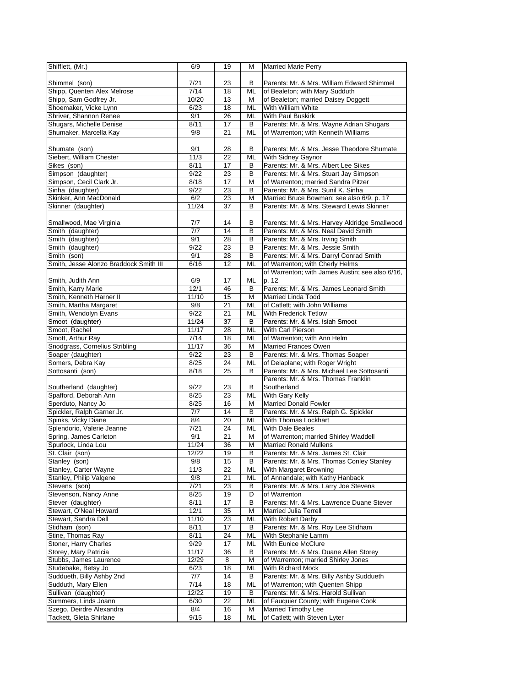| Shifflett, (Mr.)                       | 6/9   | 19              | М         | <b>Married Marie Perry</b>                      |
|----------------------------------------|-------|-----------------|-----------|-------------------------------------------------|
|                                        |       |                 |           |                                                 |
| Shimmel (son)                          | 7/21  | 23              | B         | Parents: Mr. & Mrs. William Edward Shimmel      |
| Shipp, Quenten Alex Melrose            | 7/14  | 18              | ML        | of Bealeton; with Mary Sudduth                  |
| Shipp, Sam Godfrey Jr.                 | 10/20 | 13              | M         | of Bealeton; married Daisey Doggett             |
| Shoemaker, Vicke Lynn                  | 6/23  | 18              | <b>ML</b> | With William White                              |
| Shriver, Shannon Renee                 | 9/1   | 26              | ML        | <b>With Paul Buskirk</b>                        |
| Shugars, Michelle Denise               | 8/11  | $\overline{17}$ | В         | Parents: Mr. & Mrs. Wayne Adrian Shugars        |
| Shumaker, Marcella Kay                 | 9/8   | 21              | ML        | of Warrenton; with Kenneth Williams             |
|                                        |       |                 |           |                                                 |
| Shumate (son)                          | 9/1   | 28              | В         | Parents: Mr. & Mrs. Jesse Theodore Shumate      |
| Siebert, William Chester               | 11/3  | $\overline{22}$ | ML        | With Sidney Gaynor                              |
| Sikes (son)                            | 8/11  | 17              | B         | Parents: Mr. & Mrs. Albert Lee Sikes            |
| Simpson (daughter)                     | 9/22  | 23              | В         | Parents: Mr. & Mrs. Stuart Jay Simpson          |
| Simpson, Cecil Clark Jr.               | 8/18  | 17              | М         | of Warrenton; married Sandra Pitzer             |
| Sinha (daughter)                       | 9/22  | 23              | B         | Parents: Mr. & Mrs. Sunil K. Sinha              |
| Skinker, Ann MacDonald                 | 6/2   | 23              | M         | Married Bruce Bowman; see also 6/9, p. 17       |
| Skinner (daughter)                     | 11/24 | 37              | B         | Parents: Mr. & Mrs. Steward Lewis Skinner       |
|                                        |       |                 |           |                                                 |
| Smallwood, Mae Virginia                | 7/7   | 14              | В         | Parents: Mr. & Mrs. Harvey Aldridge Smallwood   |
| Smith (daughter)                       | 7/7   | 14              | В         | Parents: Mr. & Mrs. Neal David Smith            |
| Smith (daughter)                       | 9/1   | 28              | В         | Parents: Mr. & Mrs. Irving Smith                |
| Smith (daughter)                       | 9/22  | 23              | B         | Parents: Mr. & Mrs. Jessie Smith                |
| Smith (son)                            | 9/1   | 28              | В         | Parents: Mr. & Mrs. Darryl Conrad Smith         |
| Smith, Jesse Alonzo Braddock Smith III | 6/16  | 12              | ML        | of Warrenton; with Cherly Helms                 |
|                                        |       |                 |           | of Warrenton; with James Austin; see also 6/16, |
| Smith, Judith Ann                      | 6/9   | 17              | ML        | p. 12                                           |
| Smith, Karry Marie                     | 12/1  | 46              | B         | Parents: Mr. & Mrs. James Leonard Smith         |
| Smith, Kenneth Harner II               | 11/10 | 15              | М         | <b>Married Linda Todd</b>                       |
| Smith, Martha Margaret                 | 9/8   | 21              | ML        | of Catlett; with John Williams                  |
| Smith, Wendolyn Evans                  | 9/22  | 21              | ML        | <b>With Frederick Tetlow</b>                    |
| Smoot (daughter)                       | 11/24 | 37              | в         | Parents: Mr. & Mrs. Isiah Smoot                 |
| Smoot, Rachel                          | 11/17 | 28              | <b>ML</b> | With Carl Pierson                               |
| Smott, Arthur Ray                      | 7/14  | $\overline{18}$ |           |                                                 |
|                                        |       |                 | ML        | of Warrenton; with Ann Helm                     |
| Snodgrass, Cornelius Stribling         | 11/17 | 36              | м         | Married Frances Owen                            |
| Soaper (daughter)                      | 9/22  | 23              | В         | Parents: Mr. & Mrs. Thomas Soaper               |
| Somers, Debra Kay                      | 8/25  | $\overline{24}$ | ML        | of Delaplane; with Roger Wright                 |
| Sottosanti (son)                       | 8/18  | 25              | B         | Parents: Mr. & Mrs. Michael Lee Sottosanti      |
|                                        |       |                 |           | Parents: Mr. & Mrs. Thomas Franklin             |
| Southerland (daughter)                 | 9/22  | 23              | В         | Southerland                                     |
| Spafford, Deborah Ann                  | 8/25  | 23              | ML        | With Gary Kelly                                 |
| Sperduto, Nancy Jo                     | 8/25  | 16              | M         | <b>Married Donald Fowler</b>                    |
| Spickler, Ralph Garner Jr.             | 7/7   | 14              | В         | Parents: Mr. & Mrs. Ralph G. Spickler           |
| Spinks, Vicky Diane                    | 8/4   | $\overline{20}$ | ML        | With Thomas Lockhart                            |
| Splendorio, Valerie Jeanne             | 7/21  | 24              | ML        | With Dale Beales                                |
| Spring, James Carleton                 | 9/1   | 21              | M         | of Warrenton; married Shirley Waddell           |
| Spurlock, Linda Lou                    | 11/24 | 36              | M         | <b>Married Ronald Mullens</b>                   |
| St. Clair (son)                        | 12/22 | 19              | в         | Parents: Mr. & Mrs. James St. Clair             |
| Stanley (son)                          | 9/8   | 15              | В         | Parents: Mr. & Mrs. Thomas Conley Stanley       |
| Stanley, Carter Wayne                  | 11/3  | 22              | ML        | With Margaret Browning                          |
| Stanley, Philip Valgene                | 9/8   | 21              | ML        | of Annandale; with Kathy Hanback                |
| Stevens (son)                          | 7/21  | 23              | В         | Parents: Mr. & Mrs. Larry Joe Stevens           |
| Stevenson, Nancy Anne                  | 8/25  | 19              | D         | of Warrenton                                    |
| Stever (daughter)                      | 8/11  | 17              | В         | Parents: Mr. & Mrs. Lawrence Duane Stever       |
| Stewart, O'Neal Howard                 | 12/1  | 35              | M         | <b>Married Julia Terrell</b>                    |
| Stewart, Sandra Dell                   | 11/10 | 23              | ML        | With Robert Darby                               |
| Stidham (son)                          | 8/11  | 17              | В         | Parents: Mr. & Mrs. Roy Lee Stidham             |
| Stine, Thomas Ray                      | 8/11  | 24              | ML        | With Stephanie Lamm                             |
| Stoner, Harry Charles                  | 9/29  | 17              | ML        | With Eunice McClure                             |
| Storey, Mary Patricia                  | 11/17 | 36              | В         | Parents: Mr. & Mrs. Duane Allen Storey          |
| Stubbs, James Laurence                 | 12/29 | 8               | M         | of Warrenton; married Shirley Jones             |
| Studebake, Betsy Jo                    | 6/23  | 18              | ML        | With Richard Mock                               |
| Suddueth, Billy Ashby 2nd              | 7/7   | 14              | В         | Parents: Mr. & Mrs. Billy Ashby Suddueth        |
| Sudduth, Mary Ellen                    | 7/14  | 18              | <b>ML</b> | of Warrenton; with Quenten Shipp                |
| Sullivan (daughter)                    | 12/22 | 19              | В         | Parents: Mr. & Mrs. Harold Sullivan             |
| Summers, Linds Joann                   | 6/30  | 22              | ML        | of Fauquier County; with Eugene Cook            |
| Szego, Deirdre Alexandra               | 8/4   | 16              | M         | Married Timothy Lee                             |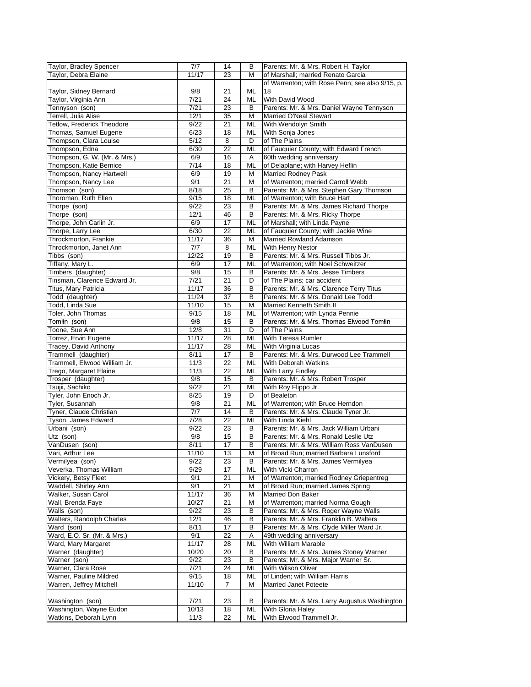| Taylor, Debra Elaine<br>11/17<br>23<br>of Marshall; married Renato Garcia<br>м<br>9/8<br>Taylor, Sidney Bernard<br>21<br>ML<br>18<br>Taylor, Virginia Ann<br>7/21<br>24<br>ML<br>With David Wood<br>Tennyson (son)<br>7/21<br>23<br>Parents: Mr. & Mrs. Daniel Wayne Tennyson<br>B<br>Terrell, Julia Alise<br>12/1<br>35<br>M<br>Married O'Neal Stewart<br>Tetlow, Frederick Theodore<br>9/22<br>21<br>ML<br>With Wendolyn Smith<br>6/23<br>18<br>ML<br>Thomas, Samuel Eugene<br>With Sonja Jones<br>of The Plains<br>Thompson, Clara Louise<br>5/12<br>8<br>D<br>of Fauquier County; with Edward French<br>6/30<br>22<br>ML<br>Thompson, Edna<br>6/9<br>Thompson, G. W. (Mr. & Mrs.)<br>16<br>60th wedding anniversary<br>A<br>7/14<br>of Delaplane; with Harvey Heflin<br>Thompson, Katie Bernice<br>18<br>ML<br>Thompson, Nancy Hartwell<br>6/9<br>19<br><b>Married Rodney Pask</b><br>м<br>9/1<br>$\overline{21}$<br>of Warrenton; married Carroll Webb<br>Thompson, Nancy Lee<br>М<br>Thomson (son)<br>8/18<br>25<br>В<br>Parents: Mr. & Mrs. Stephen Gary Thomson<br>Thoroman, Ruth Ellen<br>9/15<br>18<br>of Warrenton; with Bruce Hart<br>ML<br>9/22<br>23<br>B<br>Parents: Mr. & Mrs. James Richard Thorpe<br>Thorpe (son)<br>Thorpe (son)<br>12/1<br>46<br>В<br>Parents: Mr. & Mrs. Ricky Thorpe<br>6/9<br>17<br>Thorpe, John Carlin Jr.<br>ML<br>of Marshall; with Linda Payne<br>Thorpe, Larry Lee<br>6/30<br>22<br>ML<br>of Fauquier County; with Jackie Wine<br>Throckmorton, Frankie<br>11/17<br><b>Married Rowland Adamson</b><br>36<br>М<br>Throckmorton, Janet Ann<br>7/7<br>8<br>ML<br>With Henry Nestor<br>Tibbs (son)<br>12/22<br>19<br>Parents: Mr. & Mrs. Russell Tibbs Jr.<br>В<br>Tiffany, Mary L.<br>6/9<br>17<br>ML<br>of Warrenton; with Noel Schweitzer<br>Timbers (daughter)<br>9/8<br>15<br>Parents: Mr. & Mrs. Jesse Timbers<br>B<br>Tinsman, Clarence Edward Jr.<br>7/21<br>21<br>of The Plains; car accident<br>D<br>Titus, Mary Patricia<br>11/17<br>36<br>В<br>Parents: Mr. & Mrs. Clarence Terry Titus<br>Parents: Mr. & Mrs. Donald Lee Todd<br>Todd (daughter)<br>11/24<br>37<br>B<br>Married Kenneth Smith II<br>Todd, Linda Sue<br>11/10<br>15<br>М<br>Toler, John Thomas<br>9/15<br>18<br>of Warrenton; with Lynda Pennie<br>ML<br>9/8<br>15<br>Parents: Mr. & Mrs. Thomas Elwood Tomlin<br>Tomlin (son)<br>в<br>12/8<br>31<br>D<br>of The Plains<br>Toone, Sue Ann<br>Torrez, Ervin Eugene<br>11/17<br>28<br>ML<br>With Teresa Rumler<br>Tracey, David Anthony<br>11/17<br>28<br>With Virginia Lucas<br>ML<br>Parents: Mr. & Mrs. Durwood Lee Trammell<br>Trammell (daughter)<br>8/11<br>17<br>B<br>Trammell, Elwood William Jr.<br>$\overline{22}$<br>11/3<br>ML<br>With Deborah Watkins<br>Trego, Margaret Elaine<br>11/3<br>22<br><b>ML</b><br>With Larry Findley<br>Parents: Mr. & Mrs. Robert Trosper<br>9/8<br>Trosper (daughter)<br>15<br>B<br>9/22<br>21<br>ML<br>With Roy Flippo Jr.<br>Tsujii, Sachiko<br>Tyler, John Enoch Jr.<br>8/25<br>19<br>of Bealeton<br>D<br>Tyler, Susannah<br>9/8<br>21<br>ML<br>of Warrenton; with Bruce Herndon<br>Tyner, Claude Christian<br>7/7<br>14<br>Parents: Mr. & Mrs. Claude Tyner Jr.<br>В<br>Tyson, James Edward<br>7/28<br>22<br>ML<br>With Linda Kiehl<br>9/22<br>Parents: Mr. & Mrs. Jack William Urbani<br>Urbani (son)<br>23<br>B<br>9/8<br>В<br>Parents: Mr. & Mrs. Ronald Leslie Utz<br>Utz (son)<br>15<br>VanDusen (son)<br>8/11<br>17<br>B<br>Parents: Mr. & Mrs. William Ross VanDusen<br>Varı, Arthur Lee<br>11/10<br>13<br>M<br>of Broad Run; married Barbara Lunstord<br>Parents: Mr. & Mrs. James Vermilyea<br>Vermilyea (son)<br>9/22<br>23<br>в<br>Veverka, Thomas William<br>With Vicki Charron<br>9/29<br>17<br>ML<br>Vickery, Betsy Fleet<br>9/1<br>21<br>of Warrenton; married Rodney Griepentreg<br>М<br>9/1<br>of Broad Run; married James Spring<br>Waddell, Shirley Ann<br>21<br>М<br>Walker, Susan Carol<br>11/17<br>36<br>М<br>Married Don Baker<br>Wall, Brenda Faye<br>10/27<br>21<br>of Warrenton; married Norma Gough<br>М<br>Walls (son)<br>9/22<br>23<br>Parents: Mr. & Mrs. Roger Wayne Walls<br>в<br>Walters, Randolph Charles<br>Parents: Mr. & Mrs. Franklin B. Walters<br>12/1<br>46<br>в<br>Ward (son)<br>Parents: Mr. & Mrs. Clyde Miller Ward Jr.<br>8/11<br>17<br>В<br>Ward, E.O. Sr. (Mr. & Mrs.)<br>9/1<br>22<br>Α<br>49th wedding anniversary<br>11/17<br><b>ML</b><br>Ward, Mary Margaret<br>28<br>With William Marable<br>Warner (daughter)<br>10/20<br>Parents: Mr. & Mrs. James Stoney Warner<br>20<br>в<br>В<br>Warner (son)<br>9/22<br>23<br>Parents: Mr. & Mrs. Major Warner Sr.<br>Warner, Clara Rose<br>With Wilson Oliver<br>7/21<br>24<br>ML<br>Warner, Pauline Mildred<br>of Linden; with William Harris<br>9/15<br>18<br>ML<br>Warren, Jeffrey Mitchell<br>11/10<br><b>Married Janet Poteete</b><br>7<br>М<br>Washington (son)<br>7/21<br>23<br>В | of Warrenton; with Rose Penn; see also 9/15, p.<br>Parents: Mr. & Mrs. Larry Augustus Washington<br>Washington, Wayne Eudon<br>10/13<br>18<br>ML<br>With Gloria Haley<br>Watkins, Deborah Lynn<br>11/3<br>With Elwood Trammell Jr.<br>22<br>ML | Taylor, Bradley Spencer | 7/7 | 14 | B | Parents: Mr. & Mrs. Robert H. Taylor |
|--------------------------------------------------------------------------------------------------------------------------------------------------------------------------------------------------------------------------------------------------------------------------------------------------------------------------------------------------------------------------------------------------------------------------------------------------------------------------------------------------------------------------------------------------------------------------------------------------------------------------------------------------------------------------------------------------------------------------------------------------------------------------------------------------------------------------------------------------------------------------------------------------------------------------------------------------------------------------------------------------------------------------------------------------------------------------------------------------------------------------------------------------------------------------------------------------------------------------------------------------------------------------------------------------------------------------------------------------------------------------------------------------------------------------------------------------------------------------------------------------------------------------------------------------------------------------------------------------------------------------------------------------------------------------------------------------------------------------------------------------------------------------------------------------------------------------------------------------------------------------------------------------------------------------------------------------------------------------------------------------------------------------------------------------------------------------------------------------------------------------------------------------------------------------------------------------------------------------------------------------------------------------------------------------------------------------------------------------------------------------------------------------------------------------------------------------------------------------------------------------------------------------------------------------------------------------------------------------------------------------------------------------------------------------------------------------------------------------------------------------------------------------------------------------------------------------------------------------------------------------------------------------------------------------------------------------------------------------------------------------------------------------------------------------------------------------------------------------------------------------------------------------------------------------------------------------------------------------------------------------------------------------------------------------------------------------------------------------------------------------------------------------------------------------------------------------------------------------------------------------------------------------------------------------------------------------------------------------------------------------------------------------------------------------------------------------------------------------------------------------------------------------------------------------------------------------------------------------------------------------------------------------------------------------------------------------------------------------------------------------------------------------------------------------------------------------------------------------------------------------------------------------------------------------------------------------------------------------------------------------------------------------------------------------------------------------------------------------------------------------------------------------------------------------------------------------------------------------------------------------------------------------------------------------------------------------------------------------------------------------------------------------------------------------------------------------------------------------------------------------------------------------------------------------------------------------------------------------------------------------------------------------------|------------------------------------------------------------------------------------------------------------------------------------------------------------------------------------------------------------------------------------------------|-------------------------|-----|----|---|--------------------------------------|
|                                                                                                                                                                                                                                                                                                                                                                                                                                                                                                                                                                                                                                                                                                                                                                                                                                                                                                                                                                                                                                                                                                                                                                                                                                                                                                                                                                                                                                                                                                                                                                                                                                                                                                                                                                                                                                                                                                                                                                                                                                                                                                                                                                                                                                                                                                                                                                                                                                                                                                                                                                                                                                                                                                                                                                                                                                                                                                                                                                                                                                                                                                                                                                                                                                                                                                                                                                                                                                                                                                                                                                                                                                                                                                                                                                                                                                                                                                                                                                                                                                                                                                                                                                                                                                                                                                                                                                                                                                                                                                                                                                                                                                                                                                                                                                                                                                                                                                        |                                                                                                                                                                                                                                                |                         |     |    |   |                                      |
|                                                                                                                                                                                                                                                                                                                                                                                                                                                                                                                                                                                                                                                                                                                                                                                                                                                                                                                                                                                                                                                                                                                                                                                                                                                                                                                                                                                                                                                                                                                                                                                                                                                                                                                                                                                                                                                                                                                                                                                                                                                                                                                                                                                                                                                                                                                                                                                                                                                                                                                                                                                                                                                                                                                                                                                                                                                                                                                                                                                                                                                                                                                                                                                                                                                                                                                                                                                                                                                                                                                                                                                                                                                                                                                                                                                                                                                                                                                                                                                                                                                                                                                                                                                                                                                                                                                                                                                                                                                                                                                                                                                                                                                                                                                                                                                                                                                                                                        |                                                                                                                                                                                                                                                |                         |     |    |   |                                      |
|                                                                                                                                                                                                                                                                                                                                                                                                                                                                                                                                                                                                                                                                                                                                                                                                                                                                                                                                                                                                                                                                                                                                                                                                                                                                                                                                                                                                                                                                                                                                                                                                                                                                                                                                                                                                                                                                                                                                                                                                                                                                                                                                                                                                                                                                                                                                                                                                                                                                                                                                                                                                                                                                                                                                                                                                                                                                                                                                                                                                                                                                                                                                                                                                                                                                                                                                                                                                                                                                                                                                                                                                                                                                                                                                                                                                                                                                                                                                                                                                                                                                                                                                                                                                                                                                                                                                                                                                                                                                                                                                                                                                                                                                                                                                                                                                                                                                                                        |                                                                                                                                                                                                                                                |                         |     |    |   |                                      |
|                                                                                                                                                                                                                                                                                                                                                                                                                                                                                                                                                                                                                                                                                                                                                                                                                                                                                                                                                                                                                                                                                                                                                                                                                                                                                                                                                                                                                                                                                                                                                                                                                                                                                                                                                                                                                                                                                                                                                                                                                                                                                                                                                                                                                                                                                                                                                                                                                                                                                                                                                                                                                                                                                                                                                                                                                                                                                                                                                                                                                                                                                                                                                                                                                                                                                                                                                                                                                                                                                                                                                                                                                                                                                                                                                                                                                                                                                                                                                                                                                                                                                                                                                                                                                                                                                                                                                                                                                                                                                                                                                                                                                                                                                                                                                                                                                                                                                                        |                                                                                                                                                                                                                                                |                         |     |    |   |                                      |
|                                                                                                                                                                                                                                                                                                                                                                                                                                                                                                                                                                                                                                                                                                                                                                                                                                                                                                                                                                                                                                                                                                                                                                                                                                                                                                                                                                                                                                                                                                                                                                                                                                                                                                                                                                                                                                                                                                                                                                                                                                                                                                                                                                                                                                                                                                                                                                                                                                                                                                                                                                                                                                                                                                                                                                                                                                                                                                                                                                                                                                                                                                                                                                                                                                                                                                                                                                                                                                                                                                                                                                                                                                                                                                                                                                                                                                                                                                                                                                                                                                                                                                                                                                                                                                                                                                                                                                                                                                                                                                                                                                                                                                                                                                                                                                                                                                                                                                        |                                                                                                                                                                                                                                                |                         |     |    |   |                                      |
|                                                                                                                                                                                                                                                                                                                                                                                                                                                                                                                                                                                                                                                                                                                                                                                                                                                                                                                                                                                                                                                                                                                                                                                                                                                                                                                                                                                                                                                                                                                                                                                                                                                                                                                                                                                                                                                                                                                                                                                                                                                                                                                                                                                                                                                                                                                                                                                                                                                                                                                                                                                                                                                                                                                                                                                                                                                                                                                                                                                                                                                                                                                                                                                                                                                                                                                                                                                                                                                                                                                                                                                                                                                                                                                                                                                                                                                                                                                                                                                                                                                                                                                                                                                                                                                                                                                                                                                                                                                                                                                                                                                                                                                                                                                                                                                                                                                                                                        |                                                                                                                                                                                                                                                |                         |     |    |   |                                      |
|                                                                                                                                                                                                                                                                                                                                                                                                                                                                                                                                                                                                                                                                                                                                                                                                                                                                                                                                                                                                                                                                                                                                                                                                                                                                                                                                                                                                                                                                                                                                                                                                                                                                                                                                                                                                                                                                                                                                                                                                                                                                                                                                                                                                                                                                                                                                                                                                                                                                                                                                                                                                                                                                                                                                                                                                                                                                                                                                                                                                                                                                                                                                                                                                                                                                                                                                                                                                                                                                                                                                                                                                                                                                                                                                                                                                                                                                                                                                                                                                                                                                                                                                                                                                                                                                                                                                                                                                                                                                                                                                                                                                                                                                                                                                                                                                                                                                                                        |                                                                                                                                                                                                                                                |                         |     |    |   |                                      |
|                                                                                                                                                                                                                                                                                                                                                                                                                                                                                                                                                                                                                                                                                                                                                                                                                                                                                                                                                                                                                                                                                                                                                                                                                                                                                                                                                                                                                                                                                                                                                                                                                                                                                                                                                                                                                                                                                                                                                                                                                                                                                                                                                                                                                                                                                                                                                                                                                                                                                                                                                                                                                                                                                                                                                                                                                                                                                                                                                                                                                                                                                                                                                                                                                                                                                                                                                                                                                                                                                                                                                                                                                                                                                                                                                                                                                                                                                                                                                                                                                                                                                                                                                                                                                                                                                                                                                                                                                                                                                                                                                                                                                                                                                                                                                                                                                                                                                                        |                                                                                                                                                                                                                                                |                         |     |    |   |                                      |
|                                                                                                                                                                                                                                                                                                                                                                                                                                                                                                                                                                                                                                                                                                                                                                                                                                                                                                                                                                                                                                                                                                                                                                                                                                                                                                                                                                                                                                                                                                                                                                                                                                                                                                                                                                                                                                                                                                                                                                                                                                                                                                                                                                                                                                                                                                                                                                                                                                                                                                                                                                                                                                                                                                                                                                                                                                                                                                                                                                                                                                                                                                                                                                                                                                                                                                                                                                                                                                                                                                                                                                                                                                                                                                                                                                                                                                                                                                                                                                                                                                                                                                                                                                                                                                                                                                                                                                                                                                                                                                                                                                                                                                                                                                                                                                                                                                                                                                        |                                                                                                                                                                                                                                                |                         |     |    |   |                                      |
|                                                                                                                                                                                                                                                                                                                                                                                                                                                                                                                                                                                                                                                                                                                                                                                                                                                                                                                                                                                                                                                                                                                                                                                                                                                                                                                                                                                                                                                                                                                                                                                                                                                                                                                                                                                                                                                                                                                                                                                                                                                                                                                                                                                                                                                                                                                                                                                                                                                                                                                                                                                                                                                                                                                                                                                                                                                                                                                                                                                                                                                                                                                                                                                                                                                                                                                                                                                                                                                                                                                                                                                                                                                                                                                                                                                                                                                                                                                                                                                                                                                                                                                                                                                                                                                                                                                                                                                                                                                                                                                                                                                                                                                                                                                                                                                                                                                                                                        |                                                                                                                                                                                                                                                |                         |     |    |   |                                      |
|                                                                                                                                                                                                                                                                                                                                                                                                                                                                                                                                                                                                                                                                                                                                                                                                                                                                                                                                                                                                                                                                                                                                                                                                                                                                                                                                                                                                                                                                                                                                                                                                                                                                                                                                                                                                                                                                                                                                                                                                                                                                                                                                                                                                                                                                                                                                                                                                                                                                                                                                                                                                                                                                                                                                                                                                                                                                                                                                                                                                                                                                                                                                                                                                                                                                                                                                                                                                                                                                                                                                                                                                                                                                                                                                                                                                                                                                                                                                                                                                                                                                                                                                                                                                                                                                                                                                                                                                                                                                                                                                                                                                                                                                                                                                                                                                                                                                                                        |                                                                                                                                                                                                                                                |                         |     |    |   |                                      |
|                                                                                                                                                                                                                                                                                                                                                                                                                                                                                                                                                                                                                                                                                                                                                                                                                                                                                                                                                                                                                                                                                                                                                                                                                                                                                                                                                                                                                                                                                                                                                                                                                                                                                                                                                                                                                                                                                                                                                                                                                                                                                                                                                                                                                                                                                                                                                                                                                                                                                                                                                                                                                                                                                                                                                                                                                                                                                                                                                                                                                                                                                                                                                                                                                                                                                                                                                                                                                                                                                                                                                                                                                                                                                                                                                                                                                                                                                                                                                                                                                                                                                                                                                                                                                                                                                                                                                                                                                                                                                                                                                                                                                                                                                                                                                                                                                                                                                                        |                                                                                                                                                                                                                                                |                         |     |    |   |                                      |
|                                                                                                                                                                                                                                                                                                                                                                                                                                                                                                                                                                                                                                                                                                                                                                                                                                                                                                                                                                                                                                                                                                                                                                                                                                                                                                                                                                                                                                                                                                                                                                                                                                                                                                                                                                                                                                                                                                                                                                                                                                                                                                                                                                                                                                                                                                                                                                                                                                                                                                                                                                                                                                                                                                                                                                                                                                                                                                                                                                                                                                                                                                                                                                                                                                                                                                                                                                                                                                                                                                                                                                                                                                                                                                                                                                                                                                                                                                                                                                                                                                                                                                                                                                                                                                                                                                                                                                                                                                                                                                                                                                                                                                                                                                                                                                                                                                                                                                        |                                                                                                                                                                                                                                                |                         |     |    |   |                                      |
|                                                                                                                                                                                                                                                                                                                                                                                                                                                                                                                                                                                                                                                                                                                                                                                                                                                                                                                                                                                                                                                                                                                                                                                                                                                                                                                                                                                                                                                                                                                                                                                                                                                                                                                                                                                                                                                                                                                                                                                                                                                                                                                                                                                                                                                                                                                                                                                                                                                                                                                                                                                                                                                                                                                                                                                                                                                                                                                                                                                                                                                                                                                                                                                                                                                                                                                                                                                                                                                                                                                                                                                                                                                                                                                                                                                                                                                                                                                                                                                                                                                                                                                                                                                                                                                                                                                                                                                                                                                                                                                                                                                                                                                                                                                                                                                                                                                                                                        |                                                                                                                                                                                                                                                |                         |     |    |   |                                      |
|                                                                                                                                                                                                                                                                                                                                                                                                                                                                                                                                                                                                                                                                                                                                                                                                                                                                                                                                                                                                                                                                                                                                                                                                                                                                                                                                                                                                                                                                                                                                                                                                                                                                                                                                                                                                                                                                                                                                                                                                                                                                                                                                                                                                                                                                                                                                                                                                                                                                                                                                                                                                                                                                                                                                                                                                                                                                                                                                                                                                                                                                                                                                                                                                                                                                                                                                                                                                                                                                                                                                                                                                                                                                                                                                                                                                                                                                                                                                                                                                                                                                                                                                                                                                                                                                                                                                                                                                                                                                                                                                                                                                                                                                                                                                                                                                                                                                                                        |                                                                                                                                                                                                                                                |                         |     |    |   |                                      |
|                                                                                                                                                                                                                                                                                                                                                                                                                                                                                                                                                                                                                                                                                                                                                                                                                                                                                                                                                                                                                                                                                                                                                                                                                                                                                                                                                                                                                                                                                                                                                                                                                                                                                                                                                                                                                                                                                                                                                                                                                                                                                                                                                                                                                                                                                                                                                                                                                                                                                                                                                                                                                                                                                                                                                                                                                                                                                                                                                                                                                                                                                                                                                                                                                                                                                                                                                                                                                                                                                                                                                                                                                                                                                                                                                                                                                                                                                                                                                                                                                                                                                                                                                                                                                                                                                                                                                                                                                                                                                                                                                                                                                                                                                                                                                                                                                                                                                                        |                                                                                                                                                                                                                                                |                         |     |    |   |                                      |
|                                                                                                                                                                                                                                                                                                                                                                                                                                                                                                                                                                                                                                                                                                                                                                                                                                                                                                                                                                                                                                                                                                                                                                                                                                                                                                                                                                                                                                                                                                                                                                                                                                                                                                                                                                                                                                                                                                                                                                                                                                                                                                                                                                                                                                                                                                                                                                                                                                                                                                                                                                                                                                                                                                                                                                                                                                                                                                                                                                                                                                                                                                                                                                                                                                                                                                                                                                                                                                                                                                                                                                                                                                                                                                                                                                                                                                                                                                                                                                                                                                                                                                                                                                                                                                                                                                                                                                                                                                                                                                                                                                                                                                                                                                                                                                                                                                                                                                        |                                                                                                                                                                                                                                                |                         |     |    |   |                                      |
|                                                                                                                                                                                                                                                                                                                                                                                                                                                                                                                                                                                                                                                                                                                                                                                                                                                                                                                                                                                                                                                                                                                                                                                                                                                                                                                                                                                                                                                                                                                                                                                                                                                                                                                                                                                                                                                                                                                                                                                                                                                                                                                                                                                                                                                                                                                                                                                                                                                                                                                                                                                                                                                                                                                                                                                                                                                                                                                                                                                                                                                                                                                                                                                                                                                                                                                                                                                                                                                                                                                                                                                                                                                                                                                                                                                                                                                                                                                                                                                                                                                                                                                                                                                                                                                                                                                                                                                                                                                                                                                                                                                                                                                                                                                                                                                                                                                                                                        |                                                                                                                                                                                                                                                |                         |     |    |   |                                      |
|                                                                                                                                                                                                                                                                                                                                                                                                                                                                                                                                                                                                                                                                                                                                                                                                                                                                                                                                                                                                                                                                                                                                                                                                                                                                                                                                                                                                                                                                                                                                                                                                                                                                                                                                                                                                                                                                                                                                                                                                                                                                                                                                                                                                                                                                                                                                                                                                                                                                                                                                                                                                                                                                                                                                                                                                                                                                                                                                                                                                                                                                                                                                                                                                                                                                                                                                                                                                                                                                                                                                                                                                                                                                                                                                                                                                                                                                                                                                                                                                                                                                                                                                                                                                                                                                                                                                                                                                                                                                                                                                                                                                                                                                                                                                                                                                                                                                                                        |                                                                                                                                                                                                                                                |                         |     |    |   |                                      |
|                                                                                                                                                                                                                                                                                                                                                                                                                                                                                                                                                                                                                                                                                                                                                                                                                                                                                                                                                                                                                                                                                                                                                                                                                                                                                                                                                                                                                                                                                                                                                                                                                                                                                                                                                                                                                                                                                                                                                                                                                                                                                                                                                                                                                                                                                                                                                                                                                                                                                                                                                                                                                                                                                                                                                                                                                                                                                                                                                                                                                                                                                                                                                                                                                                                                                                                                                                                                                                                                                                                                                                                                                                                                                                                                                                                                                                                                                                                                                                                                                                                                                                                                                                                                                                                                                                                                                                                                                                                                                                                                                                                                                                                                                                                                                                                                                                                                                                        |                                                                                                                                                                                                                                                |                         |     |    |   |                                      |
|                                                                                                                                                                                                                                                                                                                                                                                                                                                                                                                                                                                                                                                                                                                                                                                                                                                                                                                                                                                                                                                                                                                                                                                                                                                                                                                                                                                                                                                                                                                                                                                                                                                                                                                                                                                                                                                                                                                                                                                                                                                                                                                                                                                                                                                                                                                                                                                                                                                                                                                                                                                                                                                                                                                                                                                                                                                                                                                                                                                                                                                                                                                                                                                                                                                                                                                                                                                                                                                                                                                                                                                                                                                                                                                                                                                                                                                                                                                                                                                                                                                                                                                                                                                                                                                                                                                                                                                                                                                                                                                                                                                                                                                                                                                                                                                                                                                                                                        |                                                                                                                                                                                                                                                |                         |     |    |   |                                      |
|                                                                                                                                                                                                                                                                                                                                                                                                                                                                                                                                                                                                                                                                                                                                                                                                                                                                                                                                                                                                                                                                                                                                                                                                                                                                                                                                                                                                                                                                                                                                                                                                                                                                                                                                                                                                                                                                                                                                                                                                                                                                                                                                                                                                                                                                                                                                                                                                                                                                                                                                                                                                                                                                                                                                                                                                                                                                                                                                                                                                                                                                                                                                                                                                                                                                                                                                                                                                                                                                                                                                                                                                                                                                                                                                                                                                                                                                                                                                                                                                                                                                                                                                                                                                                                                                                                                                                                                                                                                                                                                                                                                                                                                                                                                                                                                                                                                                                                        |                                                                                                                                                                                                                                                |                         |     |    |   |                                      |
|                                                                                                                                                                                                                                                                                                                                                                                                                                                                                                                                                                                                                                                                                                                                                                                                                                                                                                                                                                                                                                                                                                                                                                                                                                                                                                                                                                                                                                                                                                                                                                                                                                                                                                                                                                                                                                                                                                                                                                                                                                                                                                                                                                                                                                                                                                                                                                                                                                                                                                                                                                                                                                                                                                                                                                                                                                                                                                                                                                                                                                                                                                                                                                                                                                                                                                                                                                                                                                                                                                                                                                                                                                                                                                                                                                                                                                                                                                                                                                                                                                                                                                                                                                                                                                                                                                                                                                                                                                                                                                                                                                                                                                                                                                                                                                                                                                                                                                        |                                                                                                                                                                                                                                                |                         |     |    |   |                                      |
|                                                                                                                                                                                                                                                                                                                                                                                                                                                                                                                                                                                                                                                                                                                                                                                                                                                                                                                                                                                                                                                                                                                                                                                                                                                                                                                                                                                                                                                                                                                                                                                                                                                                                                                                                                                                                                                                                                                                                                                                                                                                                                                                                                                                                                                                                                                                                                                                                                                                                                                                                                                                                                                                                                                                                                                                                                                                                                                                                                                                                                                                                                                                                                                                                                                                                                                                                                                                                                                                                                                                                                                                                                                                                                                                                                                                                                                                                                                                                                                                                                                                                                                                                                                                                                                                                                                                                                                                                                                                                                                                                                                                                                                                                                                                                                                                                                                                                                        |                                                                                                                                                                                                                                                |                         |     |    |   |                                      |
|                                                                                                                                                                                                                                                                                                                                                                                                                                                                                                                                                                                                                                                                                                                                                                                                                                                                                                                                                                                                                                                                                                                                                                                                                                                                                                                                                                                                                                                                                                                                                                                                                                                                                                                                                                                                                                                                                                                                                                                                                                                                                                                                                                                                                                                                                                                                                                                                                                                                                                                                                                                                                                                                                                                                                                                                                                                                                                                                                                                                                                                                                                                                                                                                                                                                                                                                                                                                                                                                                                                                                                                                                                                                                                                                                                                                                                                                                                                                                                                                                                                                                                                                                                                                                                                                                                                                                                                                                                                                                                                                                                                                                                                                                                                                                                                                                                                                                                        |                                                                                                                                                                                                                                                |                         |     |    |   |                                      |
|                                                                                                                                                                                                                                                                                                                                                                                                                                                                                                                                                                                                                                                                                                                                                                                                                                                                                                                                                                                                                                                                                                                                                                                                                                                                                                                                                                                                                                                                                                                                                                                                                                                                                                                                                                                                                                                                                                                                                                                                                                                                                                                                                                                                                                                                                                                                                                                                                                                                                                                                                                                                                                                                                                                                                                                                                                                                                                                                                                                                                                                                                                                                                                                                                                                                                                                                                                                                                                                                                                                                                                                                                                                                                                                                                                                                                                                                                                                                                                                                                                                                                                                                                                                                                                                                                                                                                                                                                                                                                                                                                                                                                                                                                                                                                                                                                                                                                                        |                                                                                                                                                                                                                                                |                         |     |    |   |                                      |
|                                                                                                                                                                                                                                                                                                                                                                                                                                                                                                                                                                                                                                                                                                                                                                                                                                                                                                                                                                                                                                                                                                                                                                                                                                                                                                                                                                                                                                                                                                                                                                                                                                                                                                                                                                                                                                                                                                                                                                                                                                                                                                                                                                                                                                                                                                                                                                                                                                                                                                                                                                                                                                                                                                                                                                                                                                                                                                                                                                                                                                                                                                                                                                                                                                                                                                                                                                                                                                                                                                                                                                                                                                                                                                                                                                                                                                                                                                                                                                                                                                                                                                                                                                                                                                                                                                                                                                                                                                                                                                                                                                                                                                                                                                                                                                                                                                                                                                        |                                                                                                                                                                                                                                                |                         |     |    |   |                                      |
|                                                                                                                                                                                                                                                                                                                                                                                                                                                                                                                                                                                                                                                                                                                                                                                                                                                                                                                                                                                                                                                                                                                                                                                                                                                                                                                                                                                                                                                                                                                                                                                                                                                                                                                                                                                                                                                                                                                                                                                                                                                                                                                                                                                                                                                                                                                                                                                                                                                                                                                                                                                                                                                                                                                                                                                                                                                                                                                                                                                                                                                                                                                                                                                                                                                                                                                                                                                                                                                                                                                                                                                                                                                                                                                                                                                                                                                                                                                                                                                                                                                                                                                                                                                                                                                                                                                                                                                                                                                                                                                                                                                                                                                                                                                                                                                                                                                                                                        |                                                                                                                                                                                                                                                |                         |     |    |   |                                      |
|                                                                                                                                                                                                                                                                                                                                                                                                                                                                                                                                                                                                                                                                                                                                                                                                                                                                                                                                                                                                                                                                                                                                                                                                                                                                                                                                                                                                                                                                                                                                                                                                                                                                                                                                                                                                                                                                                                                                                                                                                                                                                                                                                                                                                                                                                                                                                                                                                                                                                                                                                                                                                                                                                                                                                                                                                                                                                                                                                                                                                                                                                                                                                                                                                                                                                                                                                                                                                                                                                                                                                                                                                                                                                                                                                                                                                                                                                                                                                                                                                                                                                                                                                                                                                                                                                                                                                                                                                                                                                                                                                                                                                                                                                                                                                                                                                                                                                                        |                                                                                                                                                                                                                                                |                         |     |    |   |                                      |
|                                                                                                                                                                                                                                                                                                                                                                                                                                                                                                                                                                                                                                                                                                                                                                                                                                                                                                                                                                                                                                                                                                                                                                                                                                                                                                                                                                                                                                                                                                                                                                                                                                                                                                                                                                                                                                                                                                                                                                                                                                                                                                                                                                                                                                                                                                                                                                                                                                                                                                                                                                                                                                                                                                                                                                                                                                                                                                                                                                                                                                                                                                                                                                                                                                                                                                                                                                                                                                                                                                                                                                                                                                                                                                                                                                                                                                                                                                                                                                                                                                                                                                                                                                                                                                                                                                                                                                                                                                                                                                                                                                                                                                                                                                                                                                                                                                                                                                        |                                                                                                                                                                                                                                                |                         |     |    |   |                                      |
|                                                                                                                                                                                                                                                                                                                                                                                                                                                                                                                                                                                                                                                                                                                                                                                                                                                                                                                                                                                                                                                                                                                                                                                                                                                                                                                                                                                                                                                                                                                                                                                                                                                                                                                                                                                                                                                                                                                                                                                                                                                                                                                                                                                                                                                                                                                                                                                                                                                                                                                                                                                                                                                                                                                                                                                                                                                                                                                                                                                                                                                                                                                                                                                                                                                                                                                                                                                                                                                                                                                                                                                                                                                                                                                                                                                                                                                                                                                                                                                                                                                                                                                                                                                                                                                                                                                                                                                                                                                                                                                                                                                                                                                                                                                                                                                                                                                                                                        |                                                                                                                                                                                                                                                |                         |     |    |   |                                      |
|                                                                                                                                                                                                                                                                                                                                                                                                                                                                                                                                                                                                                                                                                                                                                                                                                                                                                                                                                                                                                                                                                                                                                                                                                                                                                                                                                                                                                                                                                                                                                                                                                                                                                                                                                                                                                                                                                                                                                                                                                                                                                                                                                                                                                                                                                                                                                                                                                                                                                                                                                                                                                                                                                                                                                                                                                                                                                                                                                                                                                                                                                                                                                                                                                                                                                                                                                                                                                                                                                                                                                                                                                                                                                                                                                                                                                                                                                                                                                                                                                                                                                                                                                                                                                                                                                                                                                                                                                                                                                                                                                                                                                                                                                                                                                                                                                                                                                                        |                                                                                                                                                                                                                                                |                         |     |    |   |                                      |
|                                                                                                                                                                                                                                                                                                                                                                                                                                                                                                                                                                                                                                                                                                                                                                                                                                                                                                                                                                                                                                                                                                                                                                                                                                                                                                                                                                                                                                                                                                                                                                                                                                                                                                                                                                                                                                                                                                                                                                                                                                                                                                                                                                                                                                                                                                                                                                                                                                                                                                                                                                                                                                                                                                                                                                                                                                                                                                                                                                                                                                                                                                                                                                                                                                                                                                                                                                                                                                                                                                                                                                                                                                                                                                                                                                                                                                                                                                                                                                                                                                                                                                                                                                                                                                                                                                                                                                                                                                                                                                                                                                                                                                                                                                                                                                                                                                                                                                        |                                                                                                                                                                                                                                                |                         |     |    |   |                                      |
|                                                                                                                                                                                                                                                                                                                                                                                                                                                                                                                                                                                                                                                                                                                                                                                                                                                                                                                                                                                                                                                                                                                                                                                                                                                                                                                                                                                                                                                                                                                                                                                                                                                                                                                                                                                                                                                                                                                                                                                                                                                                                                                                                                                                                                                                                                                                                                                                                                                                                                                                                                                                                                                                                                                                                                                                                                                                                                                                                                                                                                                                                                                                                                                                                                                                                                                                                                                                                                                                                                                                                                                                                                                                                                                                                                                                                                                                                                                                                                                                                                                                                                                                                                                                                                                                                                                                                                                                                                                                                                                                                                                                                                                                                                                                                                                                                                                                                                        |                                                                                                                                                                                                                                                |                         |     |    |   |                                      |
|                                                                                                                                                                                                                                                                                                                                                                                                                                                                                                                                                                                                                                                                                                                                                                                                                                                                                                                                                                                                                                                                                                                                                                                                                                                                                                                                                                                                                                                                                                                                                                                                                                                                                                                                                                                                                                                                                                                                                                                                                                                                                                                                                                                                                                                                                                                                                                                                                                                                                                                                                                                                                                                                                                                                                                                                                                                                                                                                                                                                                                                                                                                                                                                                                                                                                                                                                                                                                                                                                                                                                                                                                                                                                                                                                                                                                                                                                                                                                                                                                                                                                                                                                                                                                                                                                                                                                                                                                                                                                                                                                                                                                                                                                                                                                                                                                                                                                                        |                                                                                                                                                                                                                                                |                         |     |    |   |                                      |
|                                                                                                                                                                                                                                                                                                                                                                                                                                                                                                                                                                                                                                                                                                                                                                                                                                                                                                                                                                                                                                                                                                                                                                                                                                                                                                                                                                                                                                                                                                                                                                                                                                                                                                                                                                                                                                                                                                                                                                                                                                                                                                                                                                                                                                                                                                                                                                                                                                                                                                                                                                                                                                                                                                                                                                                                                                                                                                                                                                                                                                                                                                                                                                                                                                                                                                                                                                                                                                                                                                                                                                                                                                                                                                                                                                                                                                                                                                                                                                                                                                                                                                                                                                                                                                                                                                                                                                                                                                                                                                                                                                                                                                                                                                                                                                                                                                                                                                        |                                                                                                                                                                                                                                                |                         |     |    |   |                                      |
|                                                                                                                                                                                                                                                                                                                                                                                                                                                                                                                                                                                                                                                                                                                                                                                                                                                                                                                                                                                                                                                                                                                                                                                                                                                                                                                                                                                                                                                                                                                                                                                                                                                                                                                                                                                                                                                                                                                                                                                                                                                                                                                                                                                                                                                                                                                                                                                                                                                                                                                                                                                                                                                                                                                                                                                                                                                                                                                                                                                                                                                                                                                                                                                                                                                                                                                                                                                                                                                                                                                                                                                                                                                                                                                                                                                                                                                                                                                                                                                                                                                                                                                                                                                                                                                                                                                                                                                                                                                                                                                                                                                                                                                                                                                                                                                                                                                                                                        |                                                                                                                                                                                                                                                |                         |     |    |   |                                      |
|                                                                                                                                                                                                                                                                                                                                                                                                                                                                                                                                                                                                                                                                                                                                                                                                                                                                                                                                                                                                                                                                                                                                                                                                                                                                                                                                                                                                                                                                                                                                                                                                                                                                                                                                                                                                                                                                                                                                                                                                                                                                                                                                                                                                                                                                                                                                                                                                                                                                                                                                                                                                                                                                                                                                                                                                                                                                                                                                                                                                                                                                                                                                                                                                                                                                                                                                                                                                                                                                                                                                                                                                                                                                                                                                                                                                                                                                                                                                                                                                                                                                                                                                                                                                                                                                                                                                                                                                                                                                                                                                                                                                                                                                                                                                                                                                                                                                                                        |                                                                                                                                                                                                                                                |                         |     |    |   |                                      |
|                                                                                                                                                                                                                                                                                                                                                                                                                                                                                                                                                                                                                                                                                                                                                                                                                                                                                                                                                                                                                                                                                                                                                                                                                                                                                                                                                                                                                                                                                                                                                                                                                                                                                                                                                                                                                                                                                                                                                                                                                                                                                                                                                                                                                                                                                                                                                                                                                                                                                                                                                                                                                                                                                                                                                                                                                                                                                                                                                                                                                                                                                                                                                                                                                                                                                                                                                                                                                                                                                                                                                                                                                                                                                                                                                                                                                                                                                                                                                                                                                                                                                                                                                                                                                                                                                                                                                                                                                                                                                                                                                                                                                                                                                                                                                                                                                                                                                                        |                                                                                                                                                                                                                                                |                         |     |    |   |                                      |
|                                                                                                                                                                                                                                                                                                                                                                                                                                                                                                                                                                                                                                                                                                                                                                                                                                                                                                                                                                                                                                                                                                                                                                                                                                                                                                                                                                                                                                                                                                                                                                                                                                                                                                                                                                                                                                                                                                                                                                                                                                                                                                                                                                                                                                                                                                                                                                                                                                                                                                                                                                                                                                                                                                                                                                                                                                                                                                                                                                                                                                                                                                                                                                                                                                                                                                                                                                                                                                                                                                                                                                                                                                                                                                                                                                                                                                                                                                                                                                                                                                                                                                                                                                                                                                                                                                                                                                                                                                                                                                                                                                                                                                                                                                                                                                                                                                                                                                        |                                                                                                                                                                                                                                                |                         |     |    |   |                                      |
|                                                                                                                                                                                                                                                                                                                                                                                                                                                                                                                                                                                                                                                                                                                                                                                                                                                                                                                                                                                                                                                                                                                                                                                                                                                                                                                                                                                                                                                                                                                                                                                                                                                                                                                                                                                                                                                                                                                                                                                                                                                                                                                                                                                                                                                                                                                                                                                                                                                                                                                                                                                                                                                                                                                                                                                                                                                                                                                                                                                                                                                                                                                                                                                                                                                                                                                                                                                                                                                                                                                                                                                                                                                                                                                                                                                                                                                                                                                                                                                                                                                                                                                                                                                                                                                                                                                                                                                                                                                                                                                                                                                                                                                                                                                                                                                                                                                                                                        |                                                                                                                                                                                                                                                |                         |     |    |   |                                      |
|                                                                                                                                                                                                                                                                                                                                                                                                                                                                                                                                                                                                                                                                                                                                                                                                                                                                                                                                                                                                                                                                                                                                                                                                                                                                                                                                                                                                                                                                                                                                                                                                                                                                                                                                                                                                                                                                                                                                                                                                                                                                                                                                                                                                                                                                                                                                                                                                                                                                                                                                                                                                                                                                                                                                                                                                                                                                                                                                                                                                                                                                                                                                                                                                                                                                                                                                                                                                                                                                                                                                                                                                                                                                                                                                                                                                                                                                                                                                                                                                                                                                                                                                                                                                                                                                                                                                                                                                                                                                                                                                                                                                                                                                                                                                                                                                                                                                                                        |                                                                                                                                                                                                                                                |                         |     |    |   |                                      |
|                                                                                                                                                                                                                                                                                                                                                                                                                                                                                                                                                                                                                                                                                                                                                                                                                                                                                                                                                                                                                                                                                                                                                                                                                                                                                                                                                                                                                                                                                                                                                                                                                                                                                                                                                                                                                                                                                                                                                                                                                                                                                                                                                                                                                                                                                                                                                                                                                                                                                                                                                                                                                                                                                                                                                                                                                                                                                                                                                                                                                                                                                                                                                                                                                                                                                                                                                                                                                                                                                                                                                                                                                                                                                                                                                                                                                                                                                                                                                                                                                                                                                                                                                                                                                                                                                                                                                                                                                                                                                                                                                                                                                                                                                                                                                                                                                                                                                                        |                                                                                                                                                                                                                                                |                         |     |    |   |                                      |
|                                                                                                                                                                                                                                                                                                                                                                                                                                                                                                                                                                                                                                                                                                                                                                                                                                                                                                                                                                                                                                                                                                                                                                                                                                                                                                                                                                                                                                                                                                                                                                                                                                                                                                                                                                                                                                                                                                                                                                                                                                                                                                                                                                                                                                                                                                                                                                                                                                                                                                                                                                                                                                                                                                                                                                                                                                                                                                                                                                                                                                                                                                                                                                                                                                                                                                                                                                                                                                                                                                                                                                                                                                                                                                                                                                                                                                                                                                                                                                                                                                                                                                                                                                                                                                                                                                                                                                                                                                                                                                                                                                                                                                                                                                                                                                                                                                                                                                        |                                                                                                                                                                                                                                                |                         |     |    |   |                                      |
|                                                                                                                                                                                                                                                                                                                                                                                                                                                                                                                                                                                                                                                                                                                                                                                                                                                                                                                                                                                                                                                                                                                                                                                                                                                                                                                                                                                                                                                                                                                                                                                                                                                                                                                                                                                                                                                                                                                                                                                                                                                                                                                                                                                                                                                                                                                                                                                                                                                                                                                                                                                                                                                                                                                                                                                                                                                                                                                                                                                                                                                                                                                                                                                                                                                                                                                                                                                                                                                                                                                                                                                                                                                                                                                                                                                                                                                                                                                                                                                                                                                                                                                                                                                                                                                                                                                                                                                                                                                                                                                                                                                                                                                                                                                                                                                                                                                                                                        |                                                                                                                                                                                                                                                |                         |     |    |   |                                      |
|                                                                                                                                                                                                                                                                                                                                                                                                                                                                                                                                                                                                                                                                                                                                                                                                                                                                                                                                                                                                                                                                                                                                                                                                                                                                                                                                                                                                                                                                                                                                                                                                                                                                                                                                                                                                                                                                                                                                                                                                                                                                                                                                                                                                                                                                                                                                                                                                                                                                                                                                                                                                                                                                                                                                                                                                                                                                                                                                                                                                                                                                                                                                                                                                                                                                                                                                                                                                                                                                                                                                                                                                                                                                                                                                                                                                                                                                                                                                                                                                                                                                                                                                                                                                                                                                                                                                                                                                                                                                                                                                                                                                                                                                                                                                                                                                                                                                                                        |                                                                                                                                                                                                                                                |                         |     |    |   |                                      |
|                                                                                                                                                                                                                                                                                                                                                                                                                                                                                                                                                                                                                                                                                                                                                                                                                                                                                                                                                                                                                                                                                                                                                                                                                                                                                                                                                                                                                                                                                                                                                                                                                                                                                                                                                                                                                                                                                                                                                                                                                                                                                                                                                                                                                                                                                                                                                                                                                                                                                                                                                                                                                                                                                                                                                                                                                                                                                                                                                                                                                                                                                                                                                                                                                                                                                                                                                                                                                                                                                                                                                                                                                                                                                                                                                                                                                                                                                                                                                                                                                                                                                                                                                                                                                                                                                                                                                                                                                                                                                                                                                                                                                                                                                                                                                                                                                                                                                                        |                                                                                                                                                                                                                                                |                         |     |    |   |                                      |
|                                                                                                                                                                                                                                                                                                                                                                                                                                                                                                                                                                                                                                                                                                                                                                                                                                                                                                                                                                                                                                                                                                                                                                                                                                                                                                                                                                                                                                                                                                                                                                                                                                                                                                                                                                                                                                                                                                                                                                                                                                                                                                                                                                                                                                                                                                                                                                                                                                                                                                                                                                                                                                                                                                                                                                                                                                                                                                                                                                                                                                                                                                                                                                                                                                                                                                                                                                                                                                                                                                                                                                                                                                                                                                                                                                                                                                                                                                                                                                                                                                                                                                                                                                                                                                                                                                                                                                                                                                                                                                                                                                                                                                                                                                                                                                                                                                                                                                        |                                                                                                                                                                                                                                                |                         |     |    |   |                                      |
|                                                                                                                                                                                                                                                                                                                                                                                                                                                                                                                                                                                                                                                                                                                                                                                                                                                                                                                                                                                                                                                                                                                                                                                                                                                                                                                                                                                                                                                                                                                                                                                                                                                                                                                                                                                                                                                                                                                                                                                                                                                                                                                                                                                                                                                                                                                                                                                                                                                                                                                                                                                                                                                                                                                                                                                                                                                                                                                                                                                                                                                                                                                                                                                                                                                                                                                                                                                                                                                                                                                                                                                                                                                                                                                                                                                                                                                                                                                                                                                                                                                                                                                                                                                                                                                                                                                                                                                                                                                                                                                                                                                                                                                                                                                                                                                                                                                                                                        |                                                                                                                                                                                                                                                |                         |     |    |   |                                      |
|                                                                                                                                                                                                                                                                                                                                                                                                                                                                                                                                                                                                                                                                                                                                                                                                                                                                                                                                                                                                                                                                                                                                                                                                                                                                                                                                                                                                                                                                                                                                                                                                                                                                                                                                                                                                                                                                                                                                                                                                                                                                                                                                                                                                                                                                                                                                                                                                                                                                                                                                                                                                                                                                                                                                                                                                                                                                                                                                                                                                                                                                                                                                                                                                                                                                                                                                                                                                                                                                                                                                                                                                                                                                                                                                                                                                                                                                                                                                                                                                                                                                                                                                                                                                                                                                                                                                                                                                                                                                                                                                                                                                                                                                                                                                                                                                                                                                                                        |                                                                                                                                                                                                                                                |                         |     |    |   |                                      |
|                                                                                                                                                                                                                                                                                                                                                                                                                                                                                                                                                                                                                                                                                                                                                                                                                                                                                                                                                                                                                                                                                                                                                                                                                                                                                                                                                                                                                                                                                                                                                                                                                                                                                                                                                                                                                                                                                                                                                                                                                                                                                                                                                                                                                                                                                                                                                                                                                                                                                                                                                                                                                                                                                                                                                                                                                                                                                                                                                                                                                                                                                                                                                                                                                                                                                                                                                                                                                                                                                                                                                                                                                                                                                                                                                                                                                                                                                                                                                                                                                                                                                                                                                                                                                                                                                                                                                                                                                                                                                                                                                                                                                                                                                                                                                                                                                                                                                                        |                                                                                                                                                                                                                                                |                         |     |    |   |                                      |
|                                                                                                                                                                                                                                                                                                                                                                                                                                                                                                                                                                                                                                                                                                                                                                                                                                                                                                                                                                                                                                                                                                                                                                                                                                                                                                                                                                                                                                                                                                                                                                                                                                                                                                                                                                                                                                                                                                                                                                                                                                                                                                                                                                                                                                                                                                                                                                                                                                                                                                                                                                                                                                                                                                                                                                                                                                                                                                                                                                                                                                                                                                                                                                                                                                                                                                                                                                                                                                                                                                                                                                                                                                                                                                                                                                                                                                                                                                                                                                                                                                                                                                                                                                                                                                                                                                                                                                                                                                                                                                                                                                                                                                                                                                                                                                                                                                                                                                        |                                                                                                                                                                                                                                                |                         |     |    |   |                                      |
|                                                                                                                                                                                                                                                                                                                                                                                                                                                                                                                                                                                                                                                                                                                                                                                                                                                                                                                                                                                                                                                                                                                                                                                                                                                                                                                                                                                                                                                                                                                                                                                                                                                                                                                                                                                                                                                                                                                                                                                                                                                                                                                                                                                                                                                                                                                                                                                                                                                                                                                                                                                                                                                                                                                                                                                                                                                                                                                                                                                                                                                                                                                                                                                                                                                                                                                                                                                                                                                                                                                                                                                                                                                                                                                                                                                                                                                                                                                                                                                                                                                                                                                                                                                                                                                                                                                                                                                                                                                                                                                                                                                                                                                                                                                                                                                                                                                                                                        |                                                                                                                                                                                                                                                |                         |     |    |   |                                      |
|                                                                                                                                                                                                                                                                                                                                                                                                                                                                                                                                                                                                                                                                                                                                                                                                                                                                                                                                                                                                                                                                                                                                                                                                                                                                                                                                                                                                                                                                                                                                                                                                                                                                                                                                                                                                                                                                                                                                                                                                                                                                                                                                                                                                                                                                                                                                                                                                                                                                                                                                                                                                                                                                                                                                                                                                                                                                                                                                                                                                                                                                                                                                                                                                                                                                                                                                                                                                                                                                                                                                                                                                                                                                                                                                                                                                                                                                                                                                                                                                                                                                                                                                                                                                                                                                                                                                                                                                                                                                                                                                                                                                                                                                                                                                                                                                                                                                                                        |                                                                                                                                                                                                                                                |                         |     |    |   |                                      |
|                                                                                                                                                                                                                                                                                                                                                                                                                                                                                                                                                                                                                                                                                                                                                                                                                                                                                                                                                                                                                                                                                                                                                                                                                                                                                                                                                                                                                                                                                                                                                                                                                                                                                                                                                                                                                                                                                                                                                                                                                                                                                                                                                                                                                                                                                                                                                                                                                                                                                                                                                                                                                                                                                                                                                                                                                                                                                                                                                                                                                                                                                                                                                                                                                                                                                                                                                                                                                                                                                                                                                                                                                                                                                                                                                                                                                                                                                                                                                                                                                                                                                                                                                                                                                                                                                                                                                                                                                                                                                                                                                                                                                                                                                                                                                                                                                                                                                                        |                                                                                                                                                                                                                                                |                         |     |    |   |                                      |
|                                                                                                                                                                                                                                                                                                                                                                                                                                                                                                                                                                                                                                                                                                                                                                                                                                                                                                                                                                                                                                                                                                                                                                                                                                                                                                                                                                                                                                                                                                                                                                                                                                                                                                                                                                                                                                                                                                                                                                                                                                                                                                                                                                                                                                                                                                                                                                                                                                                                                                                                                                                                                                                                                                                                                                                                                                                                                                                                                                                                                                                                                                                                                                                                                                                                                                                                                                                                                                                                                                                                                                                                                                                                                                                                                                                                                                                                                                                                                                                                                                                                                                                                                                                                                                                                                                                                                                                                                                                                                                                                                                                                                                                                                                                                                                                                                                                                                                        |                                                                                                                                                                                                                                                |                         |     |    |   |                                      |
|                                                                                                                                                                                                                                                                                                                                                                                                                                                                                                                                                                                                                                                                                                                                                                                                                                                                                                                                                                                                                                                                                                                                                                                                                                                                                                                                                                                                                                                                                                                                                                                                                                                                                                                                                                                                                                                                                                                                                                                                                                                                                                                                                                                                                                                                                                                                                                                                                                                                                                                                                                                                                                                                                                                                                                                                                                                                                                                                                                                                                                                                                                                                                                                                                                                                                                                                                                                                                                                                                                                                                                                                                                                                                                                                                                                                                                                                                                                                                                                                                                                                                                                                                                                                                                                                                                                                                                                                                                                                                                                                                                                                                                                                                                                                                                                                                                                                                                        |                                                                                                                                                                                                                                                |                         |     |    |   |                                      |
|                                                                                                                                                                                                                                                                                                                                                                                                                                                                                                                                                                                                                                                                                                                                                                                                                                                                                                                                                                                                                                                                                                                                                                                                                                                                                                                                                                                                                                                                                                                                                                                                                                                                                                                                                                                                                                                                                                                                                                                                                                                                                                                                                                                                                                                                                                                                                                                                                                                                                                                                                                                                                                                                                                                                                                                                                                                                                                                                                                                                                                                                                                                                                                                                                                                                                                                                                                                                                                                                                                                                                                                                                                                                                                                                                                                                                                                                                                                                                                                                                                                                                                                                                                                                                                                                                                                                                                                                                                                                                                                                                                                                                                                                                                                                                                                                                                                                                                        |                                                                                                                                                                                                                                                |                         |     |    |   |                                      |
|                                                                                                                                                                                                                                                                                                                                                                                                                                                                                                                                                                                                                                                                                                                                                                                                                                                                                                                                                                                                                                                                                                                                                                                                                                                                                                                                                                                                                                                                                                                                                                                                                                                                                                                                                                                                                                                                                                                                                                                                                                                                                                                                                                                                                                                                                                                                                                                                                                                                                                                                                                                                                                                                                                                                                                                                                                                                                                                                                                                                                                                                                                                                                                                                                                                                                                                                                                                                                                                                                                                                                                                                                                                                                                                                                                                                                                                                                                                                                                                                                                                                                                                                                                                                                                                                                                                                                                                                                                                                                                                                                                                                                                                                                                                                                                                                                                                                                                        |                                                                                                                                                                                                                                                |                         |     |    |   |                                      |
|                                                                                                                                                                                                                                                                                                                                                                                                                                                                                                                                                                                                                                                                                                                                                                                                                                                                                                                                                                                                                                                                                                                                                                                                                                                                                                                                                                                                                                                                                                                                                                                                                                                                                                                                                                                                                                                                                                                                                                                                                                                                                                                                                                                                                                                                                                                                                                                                                                                                                                                                                                                                                                                                                                                                                                                                                                                                                                                                                                                                                                                                                                                                                                                                                                                                                                                                                                                                                                                                                                                                                                                                                                                                                                                                                                                                                                                                                                                                                                                                                                                                                                                                                                                                                                                                                                                                                                                                                                                                                                                                                                                                                                                                                                                                                                                                                                                                                                        |                                                                                                                                                                                                                                                |                         |     |    |   |                                      |
|                                                                                                                                                                                                                                                                                                                                                                                                                                                                                                                                                                                                                                                                                                                                                                                                                                                                                                                                                                                                                                                                                                                                                                                                                                                                                                                                                                                                                                                                                                                                                                                                                                                                                                                                                                                                                                                                                                                                                                                                                                                                                                                                                                                                                                                                                                                                                                                                                                                                                                                                                                                                                                                                                                                                                                                                                                                                                                                                                                                                                                                                                                                                                                                                                                                                                                                                                                                                                                                                                                                                                                                                                                                                                                                                                                                                                                                                                                                                                                                                                                                                                                                                                                                                                                                                                                                                                                                                                                                                                                                                                                                                                                                                                                                                                                                                                                                                                                        |                                                                                                                                                                                                                                                |                         |     |    |   |                                      |
|                                                                                                                                                                                                                                                                                                                                                                                                                                                                                                                                                                                                                                                                                                                                                                                                                                                                                                                                                                                                                                                                                                                                                                                                                                                                                                                                                                                                                                                                                                                                                                                                                                                                                                                                                                                                                                                                                                                                                                                                                                                                                                                                                                                                                                                                                                                                                                                                                                                                                                                                                                                                                                                                                                                                                                                                                                                                                                                                                                                                                                                                                                                                                                                                                                                                                                                                                                                                                                                                                                                                                                                                                                                                                                                                                                                                                                                                                                                                                                                                                                                                                                                                                                                                                                                                                                                                                                                                                                                                                                                                                                                                                                                                                                                                                                                                                                                                                                        |                                                                                                                                                                                                                                                |                         |     |    |   |                                      |
|                                                                                                                                                                                                                                                                                                                                                                                                                                                                                                                                                                                                                                                                                                                                                                                                                                                                                                                                                                                                                                                                                                                                                                                                                                                                                                                                                                                                                                                                                                                                                                                                                                                                                                                                                                                                                                                                                                                                                                                                                                                                                                                                                                                                                                                                                                                                                                                                                                                                                                                                                                                                                                                                                                                                                                                                                                                                                                                                                                                                                                                                                                                                                                                                                                                                                                                                                                                                                                                                                                                                                                                                                                                                                                                                                                                                                                                                                                                                                                                                                                                                                                                                                                                                                                                                                                                                                                                                                                                                                                                                                                                                                                                                                                                                                                                                                                                                                                        |                                                                                                                                                                                                                                                |                         |     |    |   |                                      |
|                                                                                                                                                                                                                                                                                                                                                                                                                                                                                                                                                                                                                                                                                                                                                                                                                                                                                                                                                                                                                                                                                                                                                                                                                                                                                                                                                                                                                                                                                                                                                                                                                                                                                                                                                                                                                                                                                                                                                                                                                                                                                                                                                                                                                                                                                                                                                                                                                                                                                                                                                                                                                                                                                                                                                                                                                                                                                                                                                                                                                                                                                                                                                                                                                                                                                                                                                                                                                                                                                                                                                                                                                                                                                                                                                                                                                                                                                                                                                                                                                                                                                                                                                                                                                                                                                                                                                                                                                                                                                                                                                                                                                                                                                                                                                                                                                                                                                                        |                                                                                                                                                                                                                                                |                         |     |    |   |                                      |
|                                                                                                                                                                                                                                                                                                                                                                                                                                                                                                                                                                                                                                                                                                                                                                                                                                                                                                                                                                                                                                                                                                                                                                                                                                                                                                                                                                                                                                                                                                                                                                                                                                                                                                                                                                                                                                                                                                                                                                                                                                                                                                                                                                                                                                                                                                                                                                                                                                                                                                                                                                                                                                                                                                                                                                                                                                                                                                                                                                                                                                                                                                                                                                                                                                                                                                                                                                                                                                                                                                                                                                                                                                                                                                                                                                                                                                                                                                                                                                                                                                                                                                                                                                                                                                                                                                                                                                                                                                                                                                                                                                                                                                                                                                                                                                                                                                                                                                        |                                                                                                                                                                                                                                                |                         |     |    |   |                                      |
|                                                                                                                                                                                                                                                                                                                                                                                                                                                                                                                                                                                                                                                                                                                                                                                                                                                                                                                                                                                                                                                                                                                                                                                                                                                                                                                                                                                                                                                                                                                                                                                                                                                                                                                                                                                                                                                                                                                                                                                                                                                                                                                                                                                                                                                                                                                                                                                                                                                                                                                                                                                                                                                                                                                                                                                                                                                                                                                                                                                                                                                                                                                                                                                                                                                                                                                                                                                                                                                                                                                                                                                                                                                                                                                                                                                                                                                                                                                                                                                                                                                                                                                                                                                                                                                                                                                                                                                                                                                                                                                                                                                                                                                                                                                                                                                                                                                                                                        |                                                                                                                                                                                                                                                |                         |     |    |   |                                      |
|                                                                                                                                                                                                                                                                                                                                                                                                                                                                                                                                                                                                                                                                                                                                                                                                                                                                                                                                                                                                                                                                                                                                                                                                                                                                                                                                                                                                                                                                                                                                                                                                                                                                                                                                                                                                                                                                                                                                                                                                                                                                                                                                                                                                                                                                                                                                                                                                                                                                                                                                                                                                                                                                                                                                                                                                                                                                                                                                                                                                                                                                                                                                                                                                                                                                                                                                                                                                                                                                                                                                                                                                                                                                                                                                                                                                                                                                                                                                                                                                                                                                                                                                                                                                                                                                                                                                                                                                                                                                                                                                                                                                                                                                                                                                                                                                                                                                                                        |                                                                                                                                                                                                                                                |                         |     |    |   |                                      |
|                                                                                                                                                                                                                                                                                                                                                                                                                                                                                                                                                                                                                                                                                                                                                                                                                                                                                                                                                                                                                                                                                                                                                                                                                                                                                                                                                                                                                                                                                                                                                                                                                                                                                                                                                                                                                                                                                                                                                                                                                                                                                                                                                                                                                                                                                                                                                                                                                                                                                                                                                                                                                                                                                                                                                                                                                                                                                                                                                                                                                                                                                                                                                                                                                                                                                                                                                                                                                                                                                                                                                                                                                                                                                                                                                                                                                                                                                                                                                                                                                                                                                                                                                                                                                                                                                                                                                                                                                                                                                                                                                                                                                                                                                                                                                                                                                                                                                                        |                                                                                                                                                                                                                                                |                         |     |    |   |                                      |
|                                                                                                                                                                                                                                                                                                                                                                                                                                                                                                                                                                                                                                                                                                                                                                                                                                                                                                                                                                                                                                                                                                                                                                                                                                                                                                                                                                                                                                                                                                                                                                                                                                                                                                                                                                                                                                                                                                                                                                                                                                                                                                                                                                                                                                                                                                                                                                                                                                                                                                                                                                                                                                                                                                                                                                                                                                                                                                                                                                                                                                                                                                                                                                                                                                                                                                                                                                                                                                                                                                                                                                                                                                                                                                                                                                                                                                                                                                                                                                                                                                                                                                                                                                                                                                                                                                                                                                                                                                                                                                                                                                                                                                                                                                                                                                                                                                                                                                        |                                                                                                                                                                                                                                                |                         |     |    |   |                                      |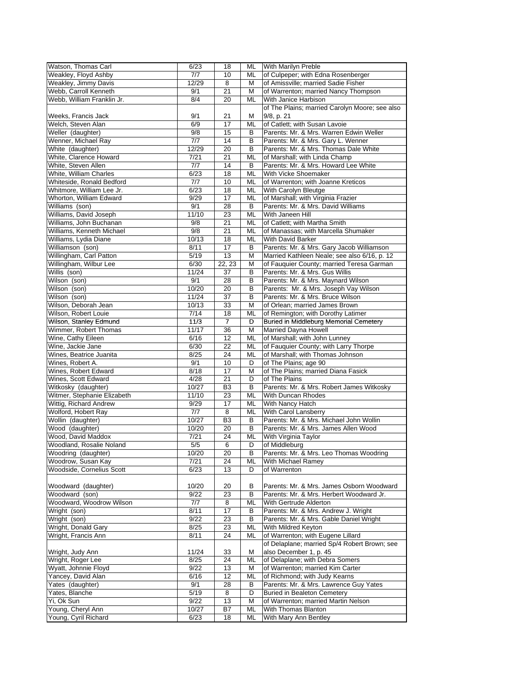| Watson, Thomas Carl                       | 6/23             | 18             | ML        | With Marilyn Preble                            |
|-------------------------------------------|------------------|----------------|-----------|------------------------------------------------|
| Weakley, Floyd Ashby                      | 7/7              | 10             | ML        | of Culpeper; with Edna Rosenberger             |
| Weakley, Jimmy Davis                      | 12/29            | 8              | М         | of Amissville; married Sadie Fisher            |
| Webb, Carroll Kenneth                     | 9/1              | 21             | M         | of Warrenton; married Nancy Thompson           |
| Webb, William Franklin Jr.                | 8/4              | 20             | ML        | With Janice Harbison                           |
|                                           |                  |                |           | of The Plains; married Carolyn Moore; see also |
| Weeks, Francis Jack                       | 9/1              | 21             | М         | 9/8, p. 21                                     |
| Welch, Steven Alan                        | 6/9              | 17             |           | of Catlett; with Susan Lavoie                  |
|                                           |                  |                | ML        |                                                |
| Weller (daughter)                         | 9/8              | 15             | B         | Parents: Mr. & Mrs. Warren Edwin Weller        |
| Wenner, Michael Ray                       | 7/7              | 14             | В         | Parents: Mr. & Mrs. Gary L. Wenner             |
| White (daughter)                          | 12/29            | 20             | B         | Parents: Mr. & Mrs. Thomas Dale White          |
| White, Clarence Howard                    | 7/21             | 21             | <b>ML</b> | of Marshall: with Linda Champ                  |
| White, Steven Allen                       | 7/7              | 14             | В         | Parents: Mr. & Mrs. Howard Lee White           |
| White, William Charles                    | 6/23             | 18             | ML        | With Vicke Shoemaker                           |
| Whiteside, Ronald Bedford                 | 7/7              | 10             | ML        | of Warrenton; with Joanne Kreticos             |
| Whitmore, William Lee Jr.                 | 6/23             | 18             | ML        | With Carolyn Bleutge                           |
| Whorton, William Edward                   | 9/29             | 17             | ML        | of Marshall; with Virginia Frazier             |
| Williams (son)                            | 9/1              | 28             | B         | Parents: Mr. & Mrs. David Williams             |
| Williams, David Joseph                    | 11/10            | 23             | <b>ML</b> | With Janeen Hill                               |
| Williams, John Buchanan                   | $\overline{9/8}$ | 21             | ML        | of Catlett; with Martha Smith                  |
| Williams, Kenneth Michael                 | 9/8              | 21             | ML        | of Manassas; with Marcella Shumaker            |
| Williams, Lydia Diane                     | 10/13            | 18             | ML        | With David Barker                              |
| Williamson (son)                          | 8/11             | 17             | В         | Parents: Mr. & Mrs. Gary Jacob Williamson      |
| Willingham, Carl Patton                   | 5/19             | 13             | M         | Married Kathleen Neale; see also 6/16, p. 12   |
|                                           |                  |                |           |                                                |
| Willingham, Wilbur Lee                    | 6/30             | 22, 23         | М         | of Fauquier County; married Teresa Garman      |
| Willis (son)                              | 11/24            | 37             | В         | Parents: Mr. & Mrs. Gus Willis                 |
| Wilson (son)                              | 9/1              | 28             | В         | Parents: Mr. & Mrs. Maynard Wilson             |
| Wilson (son)                              | 10/20            | 20             | B         | Parents: Mr. & Mrs. Joseph Vay Wilson          |
| Wilson (son)                              | 11/24            | 37             | В         | Parents: Mr. & Mrs. Bruce Wilson               |
| Wilson, Deborah Jean                      | 10/13            | 33             | M         | of Orlean; married James Brown                 |
| Wilson, Robert Louie                      | 7/14             | 18             | ML        | of Remington; with Dorothy Latimer             |
| Wilson, Stanley Edmund                    | 11/3             | 7              | D         | <b>Buried in Middleburg Memorial Cemetery</b>  |
| Wimmer, Robert Thomas                     | 11/17            | 36             | М         | Married Dayna Howell                           |
| Wine, Cathy Eileen                        | 6/16             | 12             | ML        | of Marshall; with John Lunney                  |
| Wine, Jackie Jane                         | 6/30             | 22             | ML        | of Fauquier County; with Larry Thorpe          |
| Wines, Beatrice Juanita                   | 8/25             | 24             | ML        | of Marshall; with Thomas Johnson               |
| Wines, Robert A.                          | 9/1              | 10             | D         | of The Plains; age 90                          |
| Wines, Robert Edward                      | 8/18             | 17             | М         | of The Plains; married Diana Fasick            |
| Wines, Scott Edward                       | 4/28             | 21             | D         | of The Plains                                  |
|                                           | 10/27            | <b>B3</b>      | B         |                                                |
| Witkosky (daughter)                       |                  |                |           | Parents: Mr. & Mrs. Robert James Witkosky      |
| Witmer, Stephanie Elizabeth               | 11/10            | 23             | ML        | With Duncan Rhodes                             |
| Wittig, Richard Andrew                    | 9/29             | 17             | ML        | With Nancy Hatch                               |
| Wolford, Hobert Ray                       | 7/7              | 8              | ML        | With Carol Lansberry                           |
| Wollin (daughter)                         | 10/27            | B <sub>3</sub> | В         | Parents: Mr. & Mrs. Michael John Wollin        |
| Wood (daughter)                           | 10/20            | 20             | В         | Parents: Mr. & Mrs. James Allen Wood           |
| Wood, David Maddox                        | 7/21             | 24             | ML        | With Virginia Taylor                           |
| Woodland, Rosalie Noland                  | 5/5              | 6              | D         | of Middleburg                                  |
| Woodring (daughter)                       | 10/20            | 20             | B         | Parents: Mr. & Mrs. Leo Thomas Woodring        |
| Woodrow, Susan Kay                        | 7/21             | 24             | ML        | With Michael Ramey                             |
| Woodside, Cornelius Scott                 | 6/23             | 13             | D         | of Warrenton                                   |
|                                           |                  |                |           |                                                |
| Woodward (daughter)                       | 10/20            | 20             | В         | Parents: Mr. & Mrs. James Osborn Woodward      |
| Woodward (son)                            | 9/22             | 23             | В         | Parents: Mr. & Mrs. Herbert Woodward Jr.       |
| Woodward, Woodrow Wilson                  | 7/7              | 8              | <b>ML</b> | With Gertrude Alderton                         |
| Wright (son)                              |                  |                |           | Parents: Mr. & Mrs. Andrew J. Wright           |
|                                           | 8/11             | 17             | В         |                                                |
| Wright (son)                              | 9/22             | 23             | В         | Parents: Mr. & Mrs. Gable Daniel Wright        |
| Wright, Donald Gary                       | 8/25             | 23             | ML        | With Mildred Keyton                            |
| Wright, Francis Ann                       | 8/11             | 24             | ML        | of Warrenton; with Eugene Lillard              |
|                                           |                  |                |           | of Delaplane; married Sp/4 Robert Brown; see   |
| Wright, Judy Ann                          |                  | 33             | М         | also December 1, p. 45                         |
| Wright, Roger Lee                         | 11/24            |                |           |                                                |
|                                           | 8/25             | 24             | ML        | of Delaplane; with Debra Somers                |
| Wyatt, Johnnie Floyd                      | 9/22             | 13             | М         | of Warrenton; married Kim Carter               |
|                                           |                  |                |           |                                                |
| Yancey, David Alan                        | 6/16             | 12             | <b>ML</b> | of Richmond; with Judy Kearns                  |
| Yates (daughter)                          | 9/1              | 28             | В         | Parents: Mr. & Mrs. Lawrence Guy Yates         |
| Yates, Blanche                            | 5/19             | 8              | D         | <b>Buried in Bealeton Cemetery</b>             |
| Yi, Ok Sun                                | 9/22             | 13             | М         | of Warrenton; married Martin Nelson            |
| Young, Cheryl Ann<br>Young, Cyril Richard | 10/27<br>6/23    | B7<br>18       | ML<br>ML  | With Thomas Blanton<br>With Mary Ann Bentley   |